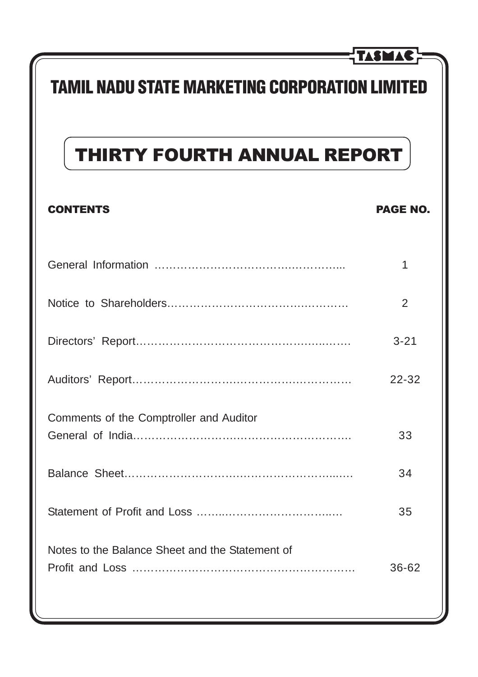# TAMIL NADU STATE MARKETING CORPORATION LIMITED

# THIRTY FOURTH ANNUAL REPORT

### CONTENTS PAGE NO.

**TASMAC** 

|                                                 | 1         |
|-------------------------------------------------|-----------|
|                                                 | 2         |
|                                                 | $3 - 21$  |
|                                                 | $22 - 32$ |
| Comments of the Comptroller and Auditor         |           |
|                                                 | 33        |
|                                                 | 34        |
|                                                 | 35        |
| Notes to the Balance Sheet and the Statement of | $36 - 62$ |
|                                                 |           |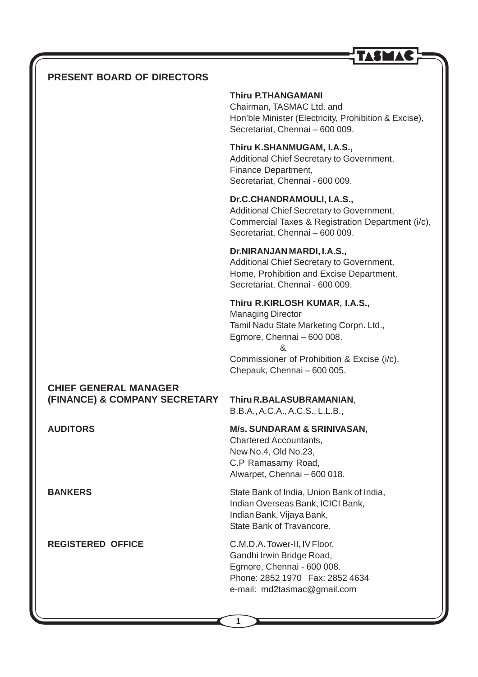### **TASMA PRESENT BOARD OF DIRECTORS Thiru P.THANGAMANI** Chairman, TASMAC Ltd. and Hon'ble Minister (Electricity, Prohibition & Excise), Secretariat, Chennai – 600 009. **Thiru K.SHANMUGAM, I.A.S.,** Additional Chief Secretary to Government, Finance Department, Secretariat, Chennai - 600 009. **Dr.C.CHANDRAMOULI, I.A.S.,** Additional Chief Secretary to Government, Commercial Taxes & Registration Department (i/c), Secretariat, Chennai – 600 009. **Dr.NIRANJAN MARDI, I.A.S.,** Additional Chief Secretary to Government, Home, Prohibition and Excise Department, Secretariat, Chennai - 600 009. **Thiru R.KIRLOSH KUMAR, I.A.S.,** Managing Director Tamil Nadu State Marketing Corpn. Ltd., Egmore, Chennai – 600 008. & Commissioner of Prohibition & Excise (i/c), Chepauk, Chennai – 600 005. **CHIEF GENERAL MANAGER (FINANCE) & COMPANY SECRETARY Thiru R.BALASUBRAMANIAN**, B.B.A., A.C.A., A.C.S., L.L.B., **AUDITORS M/s. SUNDARAM & SRINIVASAN,** Chartered Accountants, New No.4, Old No.23, C.P Ramasamy Road, Alwarpet, Chennai – 600 018. **BANKERS State Bank of India, Union Bank of India,** Indian Overseas Bank, ICICI Bank, Indian Bank, Vijaya Bank, State Bank of Travancore. **REGISTERED OFFICE** C.M.D.A. Tower-II, IV Floor, Gandhi Irwin Bridge Road, Egmore, Chennai - 600 008. Phone: 2852 1970 Fax: 2852 4634 e-mail: md2tasmac@gmail.com

**1**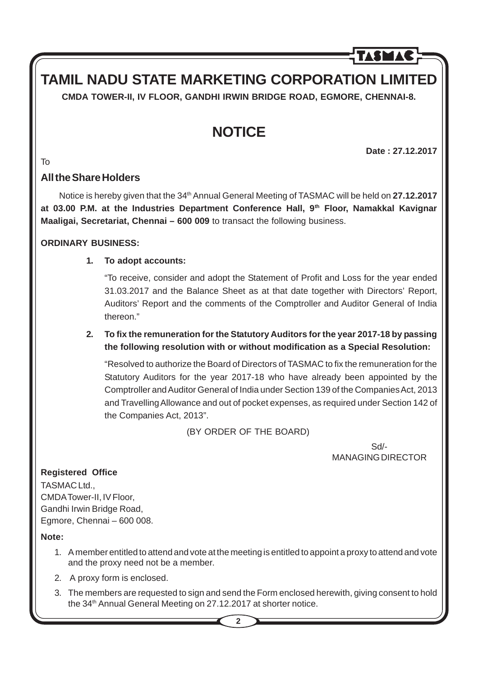# **TAMIL NADU STATE MARKETING CORPORATION LIMITED**

**CMDA TOWER-II, IV FLOOR, GANDHI IRWIN BRIDGE ROAD, EGMORE, CHENNAI-8.**

# **NOTICE**

**Date : 27.12.2017**

To

### **All the Share Holders**

Notice is hereby given that the 34<sup>th</sup> Annual General Meeting of TASMAC will be held on 27.12.2017 **at 03.00 P.M. at the Industries Department Conference Hall, 9th Floor, Namakkal Kavignar Maaligai, Secretariat, Chennai – 600 009** to transact the following business.

### **ORDINARY BUSINESS:**

### **1. To adopt accounts:**

"To receive, consider and adopt the Statement of Profit and Loss for the year ended 31.03.2017 and the Balance Sheet as at that date together with Directors' Report, Auditors' Report and the comments of the Comptroller and Auditor General of India thereon."

### **2. To fix the remuneration for the Statutory Auditors for the year 2017-18 by passing the following resolution with or without modification as a Special Resolution:**

"Resolved to authorize the Board of Directors of TASMAC to fix the remuneration for the Statutory Auditors for the year 2017-18 who have already been appointed by the Comptroller and Auditor General of India under Section 139 of the Companies Act, 2013 and Travelling Allowance and out of pocket expenses, as required under Section 142 of the Companies Act, 2013".

(BY ORDER OF THE BOARD)

Sd/- MANAGING DIRECTOR

### **Registered Office**

TASMAC Ltd., CMDA Tower-II, IV Floor, Gandhi Irwin Bridge Road, Egmore, Chennai – 600 008.

### **Note:**

- 1. A member entitled to attend and vote at the meeting is entitled to appoint a proxy to attend and vote and the proxy need not be a member.
- 2. A proxy form is enclosed.
- 3. The members are requested to sign and send the Form enclosed herewith, giving consent to hold the 34<sup>th</sup> Annual General Meeting on 27.12.2017 at shorter notice.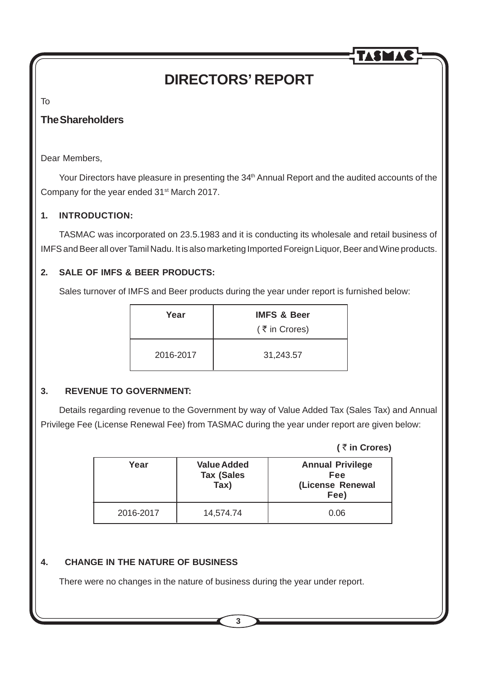# **DIRECTORS' REPORT**

To

### **The Shareholders**

Dear Members,

Your Directors have pleasure in presenting the 34<sup>th</sup> Annual Report and the audited accounts of the Company for the year ended 31<sup>st</sup> March 2017.

### **1. INTRODUCTION:**

TASMAC was incorporated on 23.5.1983 and it is conducting its wholesale and retail business of IMFS and Beer all over Tamil Nadu. It is also marketing Imported Foreign Liquor, Beer and Wine products.

### **2. SALE OF IMFS & BEER PRODUCTS:**

Sales turnover of IMFS and Beer products during the year under report is furnished below:

| Year      | <b>IMFS &amp; Beer</b><br>$($ ₹ in Crores) |
|-----------|--------------------------------------------|
| 2016-2017 | 31,243.57                                  |

### **3. REVENUE TO GOVERNMENT:**

Details regarding revenue to the Government by way of Value Added Tax (Sales Tax) and Annual Privilege Fee (License Renewal Fee) from TASMAC during the year under report are given below:

**(** ` **in Crores)**

**TASMA** 

| Year      | <b>Value Added</b><br><b>Tax (Sales</b><br>Tax) | <b>Annual Privilege</b><br>Fee<br>(License Renewal<br>Fee) |
|-----------|-------------------------------------------------|------------------------------------------------------------|
| 2016-2017 | 14,574.74                                       | 0.06                                                       |

### **4. CHANGE IN THE NATURE OF BUSINESS**

There were no changes in the nature of business during the year under report.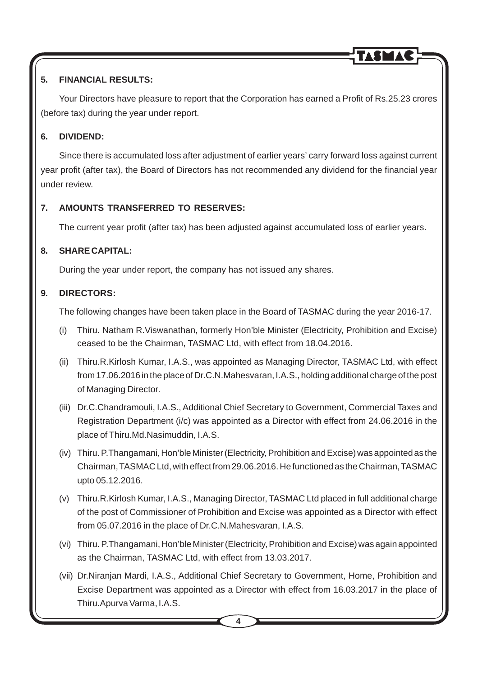### **5. FINANCIAL RESULTS:**

Your Directors have pleasure to report that the Corporation has earned a Profit of Rs.25.23 crores (before tax) during the year under report.

### **6. DIVIDEND:**

Since there is accumulated loss after adjustment of earlier years' carry forward loss against current year profit (after tax), the Board of Directors has not recommended any dividend for the financial year under review.

### **7. AMOUNTS TRANSFERRED TO RESERVES:**

The current year profit (after tax) has been adjusted against accumulated loss of earlier years.

### **8. SHARE CAPITAL:**

During the year under report, the company has not issued any shares.

### **9. DIRECTORS:**

The following changes have been taken place in the Board of TASMAC during the year 2016-17.

- (i) Thiru. Natham R.Viswanathan, formerly Hon'ble Minister (Electricity, Prohibition and Excise) ceased to be the Chairman, TASMAC Ltd, with effect from 18.04.2016.
- (ii) Thiru.R.Kirlosh Kumar, I.A.S., was appointed as Managing Director, TASMAC Ltd, with effect from 17.06.2016 in the place of Dr.C.N.Mahesvaran, I.A.S., holding additional charge of the post of Managing Director.
- (iii) Dr.C.Chandramouli, I.A.S., Additional Chief Secretary to Government, Commercial Taxes and Registration Department (i/c) was appointed as a Director with effect from 24.06.2016 in the place of Thiru.Md.Nasimuddin, I.A.S.
- (iv) Thiru. P.Thangamani, Hon'ble Minister (Electricity, Prohibition and Excise) was appointed as the Chairman, TASMAC Ltd, with effect from 29.06.2016. He functioned as the Chairman, TASMAC upto 05.12.2016.
- (v) Thiru.R.Kirlosh Kumar, I.A.S., Managing Director, TASMAC Ltd placed in full additional charge of the post of Commissioner of Prohibition and Excise was appointed as a Director with effect from 05.07.2016 in the place of Dr.C.N.Mahesvaran, I.A.S.
- (vi) Thiru. P.Thangamani, Hon'ble Minister (Electricity, Prohibition and Excise) was again appointed as the Chairman, TASMAC Ltd, with effect from 13.03.2017.
- (vii) Dr.Niranjan Mardi, I.A.S., Additional Chief Secretary to Government, Home, Prohibition and Excise Department was appointed as a Director with effect from 16.03.2017 in the place of Thiru.Apurva Varma, I.A.S.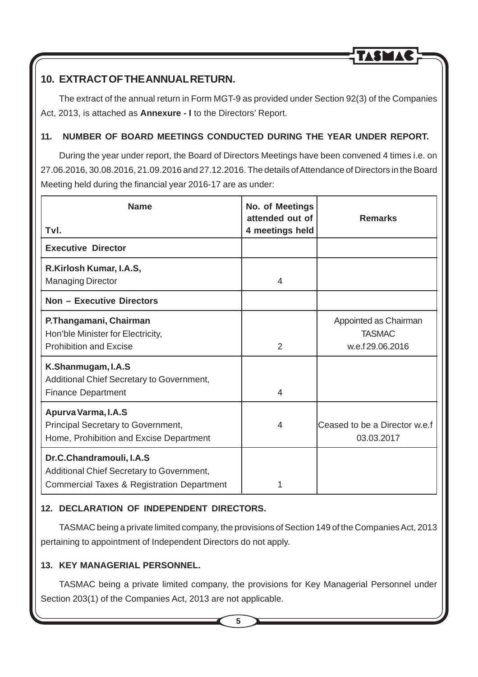### **10. EXTRACT OF THE ANNUAL RETURN.**

The extract of the annual return in Form MGT-9 as provided under Section 92(3) of the Companies Act, 2013, is attached as **Annexure - I** to the Directors' Report.

**TASMAC** 

### **11. NUMBER OF BOARD MEETINGS CONDUCTED DURING THE YEAR UNDER REPORT.**

During the year under report, the Board of Directors Meetings have been convened 4 times i.e. on 27.06.2016, 30.08.2016, 21.09.2016 and 27.12.2016. The details of Attendance of Directors in the Board Meeting held during the financial year 2016-17 are as under:

| <b>Name</b>                                | No. of Meetings<br>attended out of | <b>Remarks</b>                |
|--------------------------------------------|------------------------------------|-------------------------------|
| Tvl.                                       | 4 meetings held                    |                               |
| <b>Executive Director</b>                  |                                    |                               |
| R.Kirlosh Kumar, I.A.S,                    |                                    |                               |
| <b>Managing Director</b>                   | 4                                  |                               |
| <b>Non - Executive Directors</b>           |                                    |                               |
| P.Thangamani, Chairman                     |                                    | Appointed as Chairman         |
| Hon'ble Minister for Electricity,          |                                    | <b>TASMAC</b>                 |
| <b>Prohibition and Excise</b>              | 2                                  | w.e.f29.06.2016               |
| K.Shanmugam, I.A.S                         |                                    |                               |
| Additional Chief Secretary to Government,  |                                    |                               |
| <b>Finance Department</b>                  | 4                                  |                               |
| Apurva Varma, I.A.S                        |                                    |                               |
| Principal Secretary to Government,         | 4                                  | Ceased to be a Director w.e.f |
| Home, Prohibition and Excise Department    |                                    | 03.03.2017                    |
| Dr.C.Chandramouli, I.A.S                   |                                    |                               |
| Additional Chief Secretary to Government,  |                                    |                               |
| Commercial Taxes & Registration Department |                                    |                               |

### **12. DECLARATION OF INDEPENDENT DIRECTORS.**

TASMAC being a private limited company, the provisions of Section 149 of the Companies Act, 2013 pertaining to appointment of Independent Directors do not apply.

### **13. KEY MANAGERIAL PERSONNEL.**

TASMAC being a private limited company, the provisions for Key Managerial Personnel under Section 203(1) of the Companies Act, 2013 are not applicable.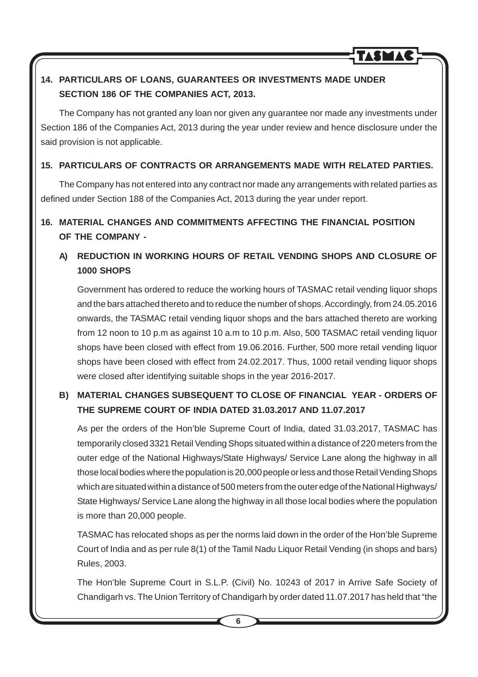### **14. PARTICULARS OF LOANS, GUARANTEES OR INVESTMENTS MADE UNDER SECTION 186 OF THE COMPANIES ACT, 2013.**

The Company has not granted any loan nor given any guarantee nor made any investments under Section 186 of the Companies Act, 2013 during the year under review and hence disclosure under the said provision is not applicable.

### **15. PARTICULARS OF CONTRACTS OR ARRANGEMENTS MADE WITH RELATED PARTIES.**

The Company has not entered into any contract nor made any arrangements with related parties as defined under Section 188 of the Companies Act, 2013 during the year under report.

### **16. MATERIAL CHANGES AND COMMITMENTS AFFECTING THE FINANCIAL POSITION OF THE COMPANY -**

### **A) REDUCTION IN WORKING HOURS OF RETAIL VENDING SHOPS AND CLOSURE OF 1000 SHOPS**

Government has ordered to reduce the working hours of TASMAC retail vending liquor shops and the bars attached thereto and to reduce the number of shops. Accordingly, from 24.05.2016 onwards, the TASMAC retail vending liquor shops and the bars attached thereto are working from 12 noon to 10 p.m as against 10 a.m to 10 p.m. Also, 500 TASMAC retail vending liquor shops have been closed with effect from 19.06.2016. Further, 500 more retail vending liquor shops have been closed with effect from 24.02.2017. Thus, 1000 retail vending liquor shops were closed after identifying suitable shops in the year 2016-2017.

### **B) MATERIAL CHANGES SUBSEQUENT TO CLOSE OF FINANCIAL YEAR - ORDERS OF THE SUPREME COURT OF INDIA DATED 31.03.2017 AND 11.07.2017**

As per the orders of the Hon'ble Supreme Court of India, dated 31.03.2017, TASMAC has temporarily closed 3321 Retail Vending Shops situated within a distance of 220 meters from the outer edge of the National Highways/State Highways/ Service Lane along the highway in all those local bodies where the population is 20,000 people or less and those Retail Vending Shops which are situated within a distance of 500 meters from the outer edge of the National Highways/ State Highways/ Service Lane along the highway in all those local bodies where the population is more than 20,000 people.

TASMAC has relocated shops as per the norms laid down in the order of the Hon'ble Supreme Court of India and as per rule 8(1) of the Tamil Nadu Liquor Retail Vending (in shops and bars) Rules, 2003.

The Hon'ble Supreme Court in S.L.P. (Civil) No. 10243 of 2017 in Arrive Safe Society of Chandigarh vs. The Union Territory of Chandigarh by order dated 11.07.2017 has held that "the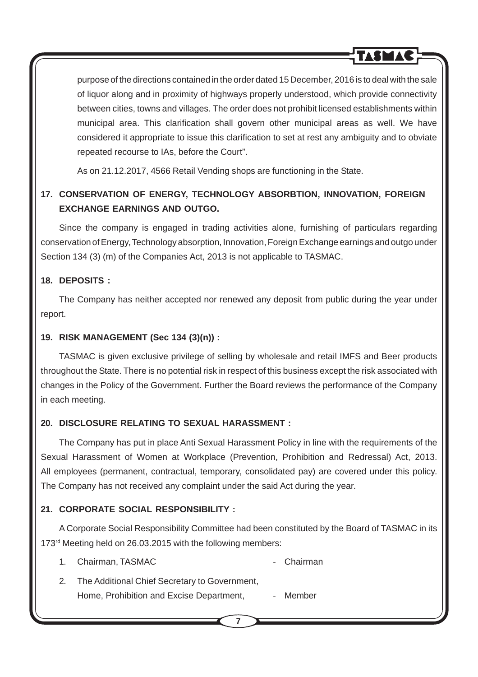purpose of the directions contained in the order dated 15 December, 2016 is to deal with the sale of liquor along and in proximity of highways properly understood, which provide connectivity between cities, towns and villages. The order does not prohibit licensed establishments within municipal area. This clarification shall govern other municipal areas as well. We have considered it appropriate to issue this clarification to set at rest any ambiguity and to obviate repeated recourse to IAs, before the Court".

As on 21.12.2017, 4566 Retail Vending shops are functioning in the State.

### **17. CONSERVATION OF ENERGY, TECHNOLOGY ABSORBTION, INNOVATION, FOREIGN EXCHANGE EARNINGS AND OUTGO.**

Since the company is engaged in trading activities alone, furnishing of particulars regarding conservation of Energy, Technology absorption, Innovation, Foreign Exchange earnings and outgo under Section 134 (3) (m) of the Companies Act, 2013 is not applicable to TASMAC.

### **18. DEPOSITS :**

The Company has neither accepted nor renewed any deposit from public during the year under report.

### **19. RISK MANAGEMENT (Sec 134 (3)(n)) :**

TASMAC is given exclusive privilege of selling by wholesale and retail IMFS and Beer products throughout the State. There is no potential risk in respect of this business except the risk associated with changes in the Policy of the Government. Further the Board reviews the performance of the Company in each meeting.

### **20. DISCLOSURE RELATING TO SEXUAL HARASSMENT :**

The Company has put in place Anti Sexual Harassment Policy in line with the requirements of the Sexual Harassment of Women at Workplace (Prevention, Prohibition and Redressal) Act, 2013. All employees (permanent, contractual, temporary, consolidated pay) are covered under this policy. The Company has not received any complaint under the said Act during the year.

### **21. CORPORATE SOCIAL RESPONSIBILITY :**

A Corporate Social Responsibility Committee had been constituted by the Board of TASMAC in its 173<sup>rd</sup> Meeting held on 26.03.2015 with the following members:

- 1. Chairman, TASMAC Chairman
- 2. The Additional Chief Secretary to Government, Home, Prohibition and Excise Department, The Member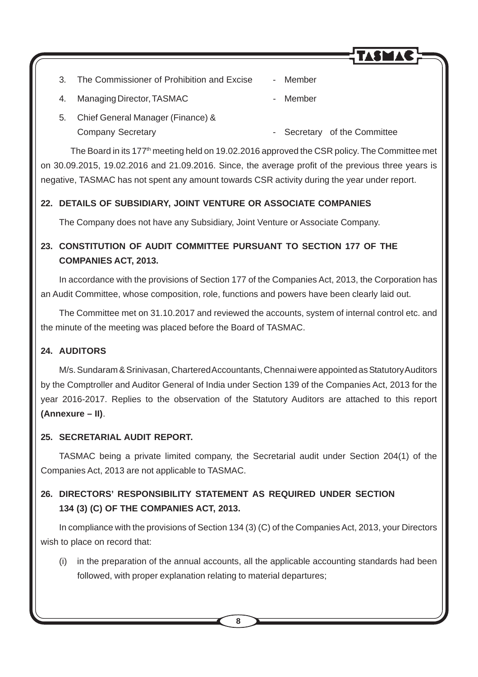- 3. The Commissioner of Prohibition and Excise Member
- 4. Managing Director, TASMAC  **Member**

TASMA

5. Chief General Manager (Finance) & Company Secretary **Company Secretary Company** Secretary of the Committee

The Board in its 177<sup>th</sup> meeting held on 19.02.2016 approved the CSR policy. The Committee met on 30.09.2015, 19.02.2016 and 21.09.2016. Since, the average profit of the previous three years is negative, TASMAC has not spent any amount towards CSR activity during the year under report.

### **22. DETAILS OF SUBSIDIARY, JOINT VENTURE OR ASSOCIATE COMPANIES**

The Company does not have any Subsidiary, Joint Venture or Associate Company.

### **23. CONSTITUTION OF AUDIT COMMITTEE PURSUANT TO SECTION 177 OF THE COMPANIES ACT, 2013.**

In accordance with the provisions of Section 177 of the Companies Act, 2013, the Corporation has an Audit Committee, whose composition, role, functions and powers have been clearly laid out.

The Committee met on 31.10.2017 and reviewed the accounts, system of internal control etc. and the minute of the meeting was placed before the Board of TASMAC.

### **24. AUDITORS**

M/s. Sundaram & Srinivasan, Chartered Accountants, Chennai were appointed as Statutory Auditors by the Comptroller and Auditor General of India under Section 139 of the Companies Act, 2013 for the year 2016-2017. Replies to the observation of the Statutory Auditors are attached to this report **(Annexure – II)**.

### **25. SECRETARIAL AUDIT REPORT.**

TASMAC being a private limited company, the Secretarial audit under Section 204(1) of the Companies Act, 2013 are not applicable to TASMAC.

### **26. DIRECTORS' RESPONSIBILITY STATEMENT AS REQUIRED UNDER SECTION 134 (3) (C) OF THE COMPANIES ACT, 2013.**

In compliance with the provisions of Section 134 (3) (C) of the Companies Act, 2013, your Directors wish to place on record that:

(i) in the preparation of the annual accounts, all the applicable accounting standards had been followed, with proper explanation relating to material departures;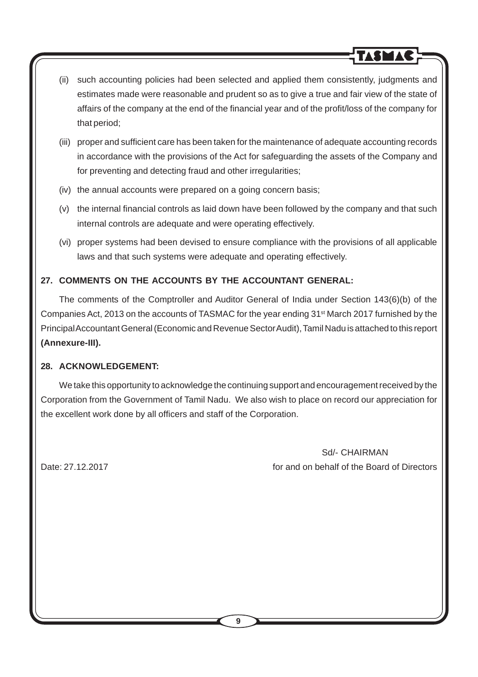- (ii) such accounting policies had been selected and applied them consistently, judgments and estimates made were reasonable and prudent so as to give a true and fair view of the state of affairs of the company at the end of the financial year and of the profit/loss of the company for that period;
- (iii) proper and sufficient care has been taken for the maintenance of adequate accounting records in accordance with the provisions of the Act for safeguarding the assets of the Company and for preventing and detecting fraud and other irregularities;
- (iv) the annual accounts were prepared on a going concern basis;
- (v) the internal financial controls as laid down have been followed by the company and that such internal controls are adequate and were operating effectively.
- (vi) proper systems had been devised to ensure compliance with the provisions of all applicable laws and that such systems were adequate and operating effectively.

### **27. COMMENTS ON THE ACCOUNTS BY THE ACCOUNTANT GENERAL:**

The comments of the Comptroller and Auditor General of India under Section 143(6)(b) of the Companies Act, 2013 on the accounts of TASMAC for the year ending 31<sup>st</sup> March 2017 furnished by the Principal Accountant General (Economic and Revenue Sector Audit), Tamil Nadu is attached to this report **(Annexure-III).**

### **28. ACKNOWLEDGEMENT:**

We take this opportunity to acknowledge the continuing support and encouragement received by the Corporation from the Government of Tamil Nadu. We also wish to place on record our appreciation for the excellent work done by all officers and staff of the Corporation.

Sd/- CHAIRMAN Date: 27.12.2017 **Date: 27.12.2017 blue and Directors for and on behalf of the Board of Directors**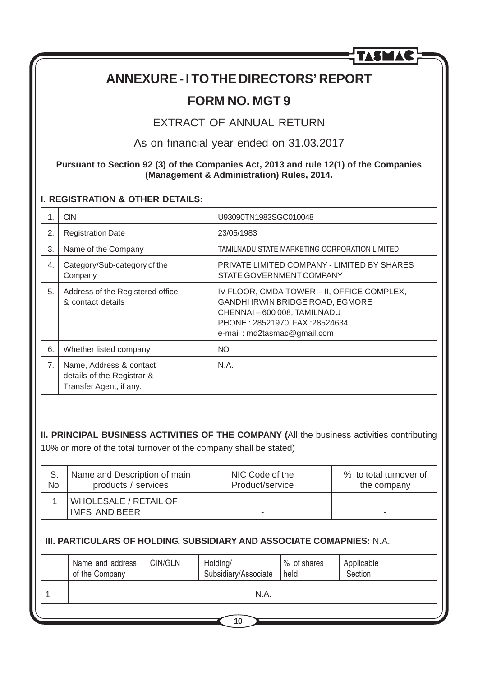## **ANNEXURE - I TO THE DIRECTORS' REPORT**

**TASMAC** 

## **FORM NO. MGT 9**

### EXTRACT OF ANNUAL RETURN

As on financial year ended on 31.03.2017

### **Pursuant to Section 92 (3) of the Companies Act, 2013 and rule 12(1) of the Companies (Management & Administration) Rules, 2014.**

### **I. REGISTRATION & OTHER DETAILS:**

|    | CIN.                                                                             | U93090TN1983SGC010048                                                                                                                                                        |
|----|----------------------------------------------------------------------------------|------------------------------------------------------------------------------------------------------------------------------------------------------------------------------|
| 2. | <b>Registration Date</b>                                                         | 23/05/1983                                                                                                                                                                   |
| 3. | Name of the Company                                                              | TAMILNADU STATE MARKETING CORPORATION LIMITED                                                                                                                                |
| 4. | Category/Sub-category of the<br>Company                                          | PRIVATE LIMITED COMPANY - LIMITED BY SHARES<br>STATE GOVERNMENT COMPANY                                                                                                      |
| 5. | Address of the Registered office<br>& contact details                            | IV FLOOR, CMDA TOWER - II, OFFICE COMPLEX,<br>GANDHI IRWIN BRIDGE ROAD, EGMORE<br>CHENNAI-600 008, TAMILNADU<br>PHONE: 28521970 FAX: 28524634<br>e-mail: md2tasmac@gmail.com |
| 6. | Whether listed company                                                           | NO                                                                                                                                                                           |
| 7. | Name, Address & contact<br>details of the Registrar &<br>Transfer Agent, if any. | N.A.                                                                                                                                                                         |

**II. PRINCIPAL BUSINESS ACTIVITIES OF THE COMPANY (**All the business activities contributing 10% or more of the total turnover of the company shall be stated)

| No. | Name and Description of main                         | NIC Code of the | % to total turnover of |
|-----|------------------------------------------------------|-----------------|------------------------|
|     | products / services                                  | Product/service | the company            |
|     | <b>WHOLESALE / RETAIL OF</b><br><b>IMFS AND BEER</b> |                 |                        |

### **III. PARTICULARS OF HOLDING, SUBSIDIARY AND ASSOCIATE COMAPNIES:** N.A.

|  | Name and address<br>of the Company | CIN/GLN | Holding/<br>Subsidiary/Associate | % of shares<br>held | Applicable<br>Section |
|--|------------------------------------|---------|----------------------------------|---------------------|-----------------------|
|  |                                    |         | N.A.                             |                     |                       |
|  |                                    |         | 10                               |                     |                       |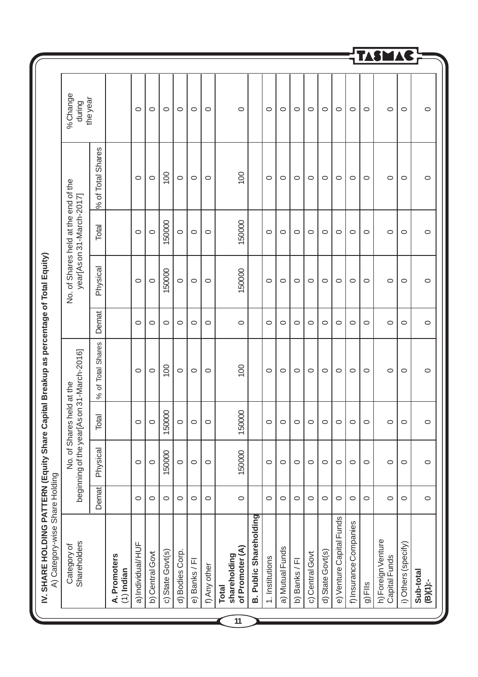|                                                                                                                          |                                            |                   |                              |                   |                 |                  |                 |               |              |                                                 |                        |                 |                 |               |                 |                  |                          |                        |             | FASMAC!                             |                     |                          |
|--------------------------------------------------------------------------------------------------------------------------|--------------------------------------------|-------------------|------------------------------|-------------------|-----------------|------------------|-----------------|---------------|--------------|-------------------------------------------------|------------------------|-----------------|-----------------|---------------|-----------------|------------------|--------------------------|------------------------|-------------|-------------------------------------|---------------------|--------------------------|
|                                                                                                                          |                                            |                   |                              |                   |                 |                  |                 |               |              |                                                 |                        |                 |                 |               |                 |                  |                          |                        |             |                                     |                     |                          |
|                                                                                                                          | %Change<br>the year<br>during              |                   |                              | $\circ$           | $\circ$         | $\circ$          | $\circ$         | $\circ$       | $\circ$      | $\circ$                                         |                        | $\circ$         | $\circ$         | $\circ$       | $\circ$         | $\circ$          | $\circ$                  | $\circ$                | $\circ$     | $\circ$                             | $\circ$             | $\circ$                  |
|                                                                                                                          |                                            | % of Total Shares |                              | $\circ$           | $\circ$         | 100              | $\circ$         | $\circ$       | $\circ$      | 100                                             |                        | $\circ$         | $\circ$         | $\circ$       | $\circ$         | $\circ$          | $\circ$                  | $\circ$                | $\circ$     | $\circ$                             | $\circ$             | $\circ$                  |
|                                                                                                                          | year[As on 31-March-2017]                  | Total             |                              | $\circ$           | $\circ$         | 150000           | $\circ$         | $\circ$       | $\circ$      | 150000                                          |                        | $\circ$         | $\circ$         | $\circ$       | $\circ$         | $\circ$          | $\circ$                  | $\circ$                | $\circ$     | $\circ$                             | $\circ$             | $\circ$                  |
|                                                                                                                          | No. of Shares held at the end of the       | Physical          |                              | $\circ$           | $\circ$         | 150000           | $\circ$         | $\circ$       | $\circ$      | 150000                                          |                        | $\circ$         | ○               | $\circ$       | $\circ$         | $\circ$          | $\circ$                  | $\circ$                | $\circ$     | $\circ$                             | $\circ$             | $\circ$                  |
|                                                                                                                          |                                            | Demat             |                              | $\circ$           | $\circ$         | $\circ$          | $\circ$         | $\circ$       | 0            | $\circ$                                         |                        | $\circ$         | $\circ$         | $\circ$       | $\circ$         | $\circ$          | $\circ$                  | $\circ$                | $\circ$     | $\circ$                             | $\circ$             | $\circ$                  |
|                                                                                                                          | beginning of the year[As on 31-March-2016] | % of Total Shares |                              | $\circ$           | $\circ$         | 100              | $\circ$         | $\circ$       | $\circ$      | 100                                             |                        | $\circ$         | $\circ$         | $\circ$       | $\circ$         | $\circ$          | $\circ$                  | $\circ$                | $\circ$     | $\circ$                             | $\circ$             | $\circ$                  |
|                                                                                                                          | No. of Shares held at the                  | Total             |                              | $\circ$           | $\circ$         | 150000           | $\circ$         | $\circ$       | $\circ$      | 150000                                          |                        | $\circ$         | $\circ$         | $\circ$       | $\circ$         | $\circ$          | $\circ$                  | $\circ$                | $\circ$     | $\circ$                             | $\circ$             | $\circ$                  |
|                                                                                                                          |                                            | Physical          |                              | $\circ$           | $\circ$         | 150000           | $\circ$         | $\circ$       | $\circ$      | 150000                                          |                        | $\circ$         | $\circ$         | $\circ$       | $\circ$         | $\circ$          | $\circ$                  | $\circ$                | $\circ$     | $\circ$                             | $\circ$             | $\circ$                  |
|                                                                                                                          |                                            | Demat             |                              | $\circ$           | $\circ$         | $\circ$          | $\circ$         | $\circ$       | $\circ$      | $\circ$                                         |                        | $\circ$         | $\circ$         | $\circ$       | $\circ$         | $\circ$          | $\circ$                  | $\circ$                | $\circ$     | $\circ$                             | $\circ$             | $\circ$                  |
| IV. SHARE HOLDING PATTERN (Equity Share Capital Breakup as percentage of Total Equity)<br>A) Category-wise Share Holding | Shareholders<br>Category of                |                   | A. Promoters<br>$(1)$ Indian | a) Individual/HUF | b) Central Govt | c) State Govt(s) | d) Bodies Corp. | e) Banks / FI | f) Any other | of Promoter (A)<br>shareholding<br><b>Total</b> | B. Public Shareholding | 1. Institutions | a) Mutual Funds | b) Banks / Fl | c) Central Govt | d) State Govt(s) | e) Venture Capital Funds | f) Insurance Companies | $g$ ) Fills | h) Foreign Venture<br>Capital Funds | i) Others (specify) | Sub-total<br>$(B)(1)$ :- |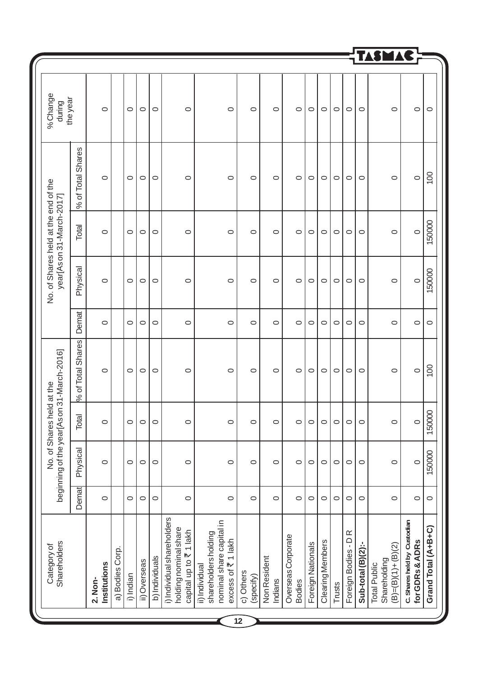| %Change<br>the year<br>during              |                   | 0                              |                | $\circ$   | $\circ$      | $\circ$        | $\circ$                                                                      | $\circ$                                                                                  | $\circ$                | $\circ$                 | $\circ$                             | $\circ$           | 0                | $\circ$ | $\circ$                        | $\circ$           | 0                                                          | $\circ$                                        | $\circ$             |
|--------------------------------------------|-------------------|--------------------------------|----------------|-----------|--------------|----------------|------------------------------------------------------------------------------|------------------------------------------------------------------------------------------|------------------------|-------------------------|-------------------------------------|-------------------|------------------|---------|--------------------------------|-------------------|------------------------------------------------------------|------------------------------------------------|---------------------|
|                                            | % of Total Shares | $\circ$                        |                | $\circ$   | $\circ$      | $\circ$        | $\circ$                                                                      | $\circ$                                                                                  | $\circ$                | $\circ$                 | $\circ$                             | $\circ$           | $\circ$          | $\circ$ | $\circ$                        | $\circ$           | $\circ$                                                    | $\circ$                                        | 100                 |
| year[As on 31-March-2017]                  | Total             | 0                              |                | $\circ$   | $\circ$      | $\circ$        | $\circ$                                                                      | $\circ$                                                                                  | $\circ$                | $\circ$                 | $\circ$                             | $\circ$           | 0                | $\circ$ | $\circ$                        | $\circ$           | 0                                                          | $\circ$                                        | 150000              |
| No. of Shares held at the end of the       | Physical          | 0                              |                | $\circ$   | $\circ$      | $\circ$        | $\circ$                                                                      | $\circ$                                                                                  | $\circ$                | $\circ$                 | $\circ$                             | $\circ$           | $\circ$          | $\circ$ | $\circ$                        | $\circ$           | 0                                                          | $\circ$                                        | 150000              |
|                                            | Demat             | $\circ$                        |                | ○         | $\circ$      | $\circ$        | $\circ$                                                                      | $\circ$                                                                                  | $\circ$                | $\circ$                 | $\circ$                             | $\circ$           | $\circ$          | $\circ$ | $\circ$                        | $\circ$           | 0                                                          | $\circ$                                        | $\circ$             |
| beginning of the year[As on 31-March-2016] | % of Total Shares | 0                              |                | $\circ$   | $\circ$      | $\circ$        | $\circ$                                                                      | $\circ$                                                                                  | $\circ$                | $\circ$                 | $\circ$                             | $\circ$           | $\circ$          | $\circ$ | $\circ$                        | $\circ$           | $\circ$                                                    | $\circ$                                        | 100                 |
| No. of Shares held at the                  | Total             | $\circ$                        |                | $\circ$   | $\circ$      | $\circ$        | $\circ$                                                                      | $\circ$                                                                                  | $\circ$                | $\circ$                 | $\circ$                             | $\circ$           | $\circ$          | $\circ$ | $\circ$                        | $\circ$           | $\circ$                                                    | $\circ$                                        | 150000              |
|                                            | Physical          | $\circ$                        |                | $\circ$   | $\circ$      | $\circ$        | $\circ$                                                                      | $\circ$                                                                                  | $\circ$                | $\circ$                 | $\circ$                             | $\circ$           | $\circ$          | $\circ$ | $\circ$                        | $\circ$           | $\circ$                                                    | $\circ$                                        | 150000              |
|                                            | Demat             | $\circ$                        |                | $\circ$   | $\circ$      | $\circ$        | $\circ$                                                                      | $\circ$                                                                                  | $\circ$                | $\circ$                 | $\circ$                             | $\circ$           | $\circ$          | $\circ$ | $\circ$                        | $\circ$           | $\circ$                                                    | $\circ$                                        | $\circ$             |
| Shareholders<br>Category of                |                   | <b>Institutions</b><br>2. Non- | a) Bodies Corp | i) Indian | ii) Overseas | b) Individuals | i) Individual shareholders<br>holding nominal share<br>capital up to ₹1 lakh | nominal share capital in<br>shareholders holding<br>excess of ₹ 1 lakh<br>ii) Individual | c) Others<br>(specify) | Non Resident<br>Indians | Overseas Corporate<br><b>Bodies</b> | Foreign Nationals | Clearing Members | Trusts  | $\simeq$<br>Foreign Bodies - D | Sub-total(B)(2):- | $(B)=(B)(1)+(B)(2)$<br>Shareholding<br><b>Total Public</b> | C. Shares held by Custodian<br>for GDRs & ADRs | Grand Total (A+B+C) |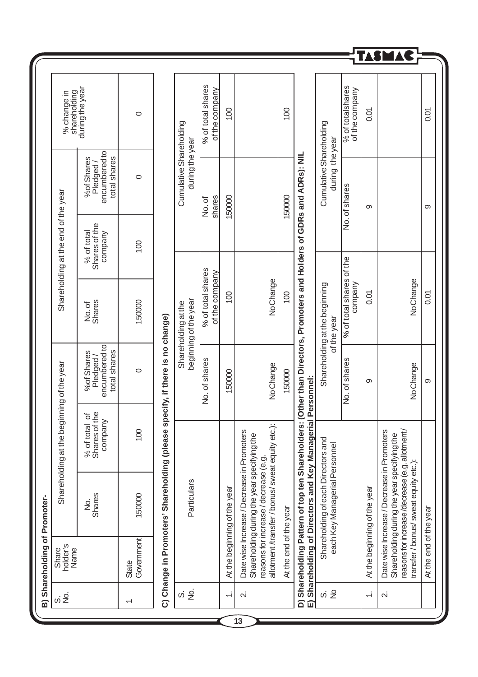|                                                         | % change in<br>shareholding | during the year<br>encumbered to<br>total shares<br>%of Shares<br>Pledged<br>Shares of the<br>% of total<br>company | $\circ$<br>$\circ$<br>100 |                                                                              | Cumulative Shareholding<br>during the year   | % of total shares<br>of the company<br>shares<br>No.of | 100<br>150000                |                                                                                                                                                                                        | 100<br>150000          |                                                                                                                   | Cumulative Shareholding<br>during the year                          | % of totalshares<br>of the company<br>No. of shares | <b>PO0</b><br>တ              |                                                                                                                                                                                      |                        |
|---------------------------------------------------------|-----------------------------|---------------------------------------------------------------------------------------------------------------------|---------------------------|------------------------------------------------------------------------------|----------------------------------------------|--------------------------------------------------------|------------------------------|----------------------------------------------------------------------------------------------------------------------------------------------------------------------------------------|------------------------|-------------------------------------------------------------------------------------------------------------------|---------------------------------------------------------------------|-----------------------------------------------------|------------------------------|--------------------------------------------------------------------------------------------------------------------------------------------------------------------------------------|------------------------|
| Shareholding at the end of the year<br>No. of<br>Shares |                             |                                                                                                                     | 150000                    |                                                                              |                                              | % of total shares<br>of the company                    | 100                          | No Change                                                                                                                                                                              | 100                    | Shareholding Pattern of top ten Shareholders: (Other than Directors, Promoters and Holders of GDRs and ADRs): NIL |                                                                     | % of total shares of the<br>company                 | <b>PO.0</b>                  | No Change                                                                                                                                                                            | ග<br><b>δ</b>          |
|                                                         |                             | encumbered to<br>total shares<br>%of Shares<br>Pledged/                                                             | $\circ$                   |                                                                              | beginning of the year<br>Shareholding at the | No. of shares                                          | 150000                       | No Change                                                                                                                                                                              | 150000                 | ersonnel:                                                                                                         | Shareholding at the beginning<br>of the year                        | No. of shares                                       | တ                            | No Change                                                                                                                                                                            | ග                      |
| Shareholding at the beginning of the year               |                             | % of total of<br>Shares of the<br>company<br>Shares<br>ġ                                                            | 100<br>150000             | C) Change in Promoters' Shareholding (please specify, if there is no change) | Particulars                                  |                                                        | At the beginning of the year | allotment /transfer / bonus/ sweat equity etc.):<br>Date wise Increase / Decrease in Promoters<br>Shareholding during the year specifying the<br>reasons for increase / decrease (e.g. |                        | E) Shareholding of Directors and Key Managerial P                                                                 | Shareholding of each Directors and<br>each Key Managerial Personnel |                                                     | At the beginning of the year | reasons for increase/decrease (e.g. allotment/<br>Date wise Increase / Decrease in Promoters<br>Shareholding during the year specifying the<br>transfer / bonus/ sweat equity etc.): |                        |
| Share                                                   | holder's<br>Name            |                                                                                                                     | Government<br>State       |                                                                              |                                              |                                                        |                              |                                                                                                                                                                                        | At the end of the year |                                                                                                                   |                                                                     |                                                     |                              |                                                                                                                                                                                      | At the end of the year |
|                                                         | ώŹ                          |                                                                                                                     | $\overline{\phantom{0}}$  |                                                                              |                                              |                                                        | $\div$                       | $\sim$                                                                                                                                                                                 |                        | <u>ට</u>                                                                                                          | ທ່ <del>2</del>                                                     |                                                     | $\div$                       | $\sim$                                                                                                                                                                               |                        |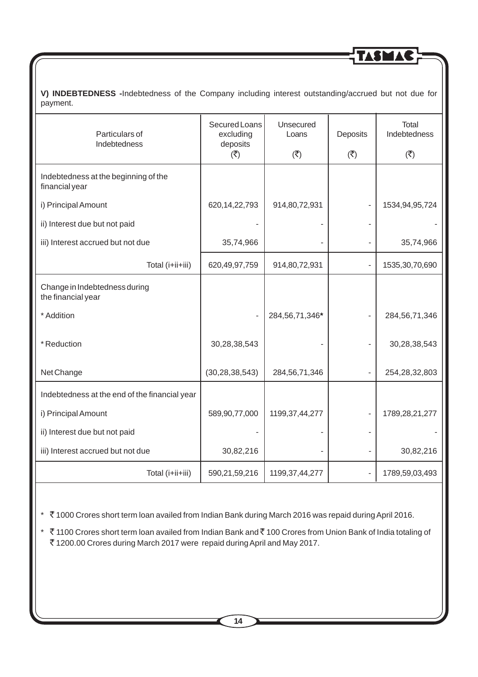**V) INDEBTEDNESS -**Indebtedness of the Company including interest outstanding/accrued but not due for payment.

TASMAC

| Particulars of<br>Indebtedness                         | Secured Loans<br>excluding<br>deposits<br>$(\overline{\zeta})$ | Unsecured<br>Loans<br>$(\overline{\zeta})$ | Deposits<br>$(\overline{\zeta})$ | <b>Total</b><br>Indebtedness<br>$(\overline{\zeta})$ |
|--------------------------------------------------------|----------------------------------------------------------------|--------------------------------------------|----------------------------------|------------------------------------------------------|
| Indebtedness at the beginning of the<br>financial year |                                                                |                                            |                                  |                                                      |
| i) Principal Amount                                    | 620, 14, 22, 793                                               | 914,80,72,931                              |                                  | 1534,94,95,724                                       |
| ii) Interest due but not paid                          |                                                                |                                            |                                  |                                                      |
| iii) Interest accrued but not due                      | 35,74,966                                                      |                                            |                                  | 35,74,966                                            |
| Total (i+ii+iii)                                       | 620,49,97,759                                                  | 914,80,72,931                              |                                  | 1535,30,70,690                                       |
| Change in Indebtedness during<br>the financial year    |                                                                |                                            |                                  |                                                      |
| * Addition                                             |                                                                | 284,56,71,346*                             |                                  | 284,56,71,346                                        |
| * Reduction                                            | 30,28,38,543                                                   |                                            |                                  | 30,28,38,543                                         |
| Net Change                                             | (30, 28, 38, 543)                                              | 284,56,71,346                              |                                  | 254, 28, 32, 803                                     |
| Indebtedness at the end of the financial year          |                                                                |                                            |                                  |                                                      |
| i) Principal Amount                                    | 589,90,77,000                                                  | 1199, 37, 44, 277                          |                                  | 1789,28,21,277                                       |
| ii) Interest due but not paid                          |                                                                |                                            |                                  |                                                      |
| iii) Interest accrued but not due                      | 30,82,216                                                      |                                            |                                  | 30,82,216                                            |
| Total (i+ii+iii)                                       | 590,21,59,216                                                  | 1199, 37, 44, 277                          |                                  | 1789,59,03,493                                       |

\* ` 1000 Crores short term loan availed from Indian Bank during March 2016 was repaid during April 2016.

\* ₹ 1100 Crores short term loan availed from Indian Bank and ₹ 100 Crores from Union Bank of India totaling of ` 1200.00 Crores during March 2017 were repaid during April and May 2017.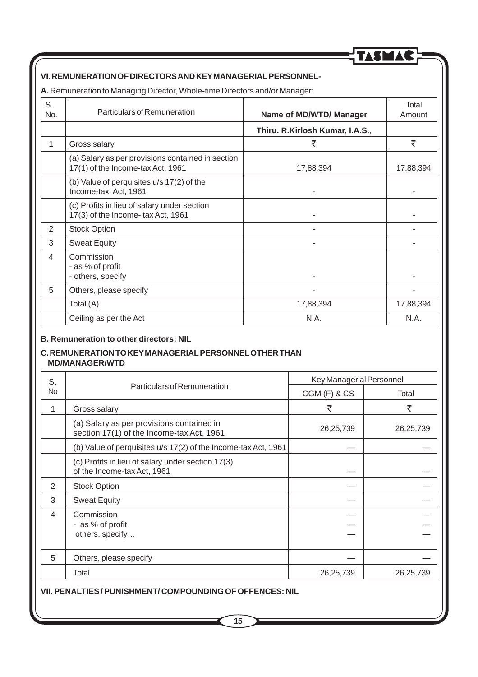### **VI. REMUNERATION OF DIRECTORS AND KEY MANAGERIAL PERSONNEL-**

**A.** Remuneration to Managing Director, Whole-time Directors and/or Manager:

| S.<br>No. | Particulars of Remuneration                                                            | Name of MD/WTD/ Manager         | Total<br>Amount |
|-----------|----------------------------------------------------------------------------------------|---------------------------------|-----------------|
|           |                                                                                        | Thiru. R.Kirlosh Kumar, I.A.S., |                 |
| 1         | Gross salary                                                                           | ₹                               | ₹               |
|           | (a) Salary as per provisions contained in section<br>17(1) of the Income-tax Act, 1961 | 17,88,394                       | 17,88,394       |
|           | (b) Value of perquisites u/s 17(2) of the<br>Income-tax Act, 1961                      |                                 |                 |
|           | (c) Profits in lieu of salary under section<br>17(3) of the Income- tax Act, 1961      |                                 |                 |
| 2         | <b>Stock Option</b>                                                                    |                                 |                 |
| 3         | <b>Sweat Equity</b>                                                                    |                                 |                 |
| 4         | Commission<br>- as % of profit<br>- others, specify                                    |                                 |                 |
| 5         | Others, please specify                                                                 |                                 |                 |
|           | Total (A)                                                                              | 17,88,394                       | 17,88,394       |
|           | Ceiling as per the Act                                                                 | N.A.                            | N.A.            |

TASMAC

### **B. Remuneration to other directors: NIL**

#### **C. REMUNERATION TO KEY MANAGERIAL PERSONNEL OTHER THAN MD/MANAGER/WTD**

| S.             |                                                                                        | Key Managerial Personnel |             |
|----------------|----------------------------------------------------------------------------------------|--------------------------|-------------|
| <b>No</b>      | <b>Particulars of Remuneration</b>                                                     | CGM (F) & CS             | Total       |
| 1              | Gross salary                                                                           | ₹                        | ₹           |
|                | (a) Salary as per provisions contained in<br>section 17(1) of the Income-tax Act, 1961 | 26, 25, 739              | 26, 25, 739 |
|                | (b) Value of perquisites u/s 17(2) of the Income-tax Act, 1961                         |                          |             |
|                | (c) Profits in lieu of salary under section 17(3)<br>of the Income-tax Act, 1961       |                          |             |
| 2              | <b>Stock Option</b>                                                                    |                          |             |
| 3              | <b>Sweat Equity</b>                                                                    |                          |             |
| $\overline{4}$ | Commission<br>- as % of profit<br>others, specify                                      |                          |             |
| 5              | Others, please specify                                                                 |                          |             |
|                | Total                                                                                  | 26, 25, 739              | 26, 25, 739 |

**VII. PENALTIES / PUNISHMENT/ COMPOUNDING OF OFFENCES: NIL**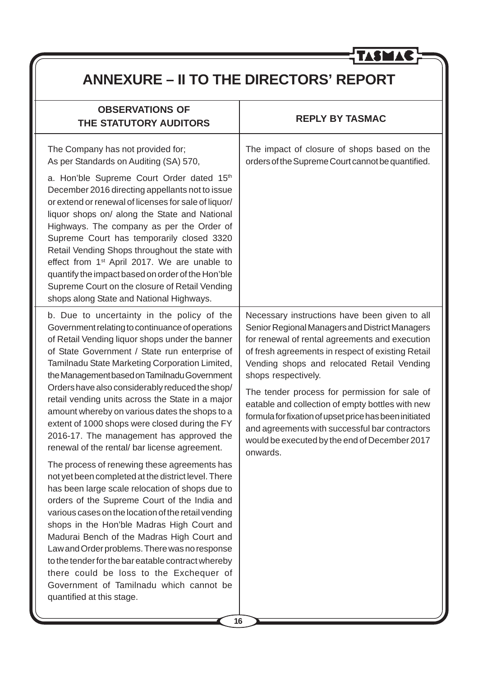# **ANNEXURE – II TO THE DIRECTORS' REPORT**

TASMAC

| <b>OBSERVATIONS OF</b><br>THE STATUTORY AUDITORS                                                                                                                                                                                                                                                                                                                                                                                                                                                                                                                                                                                                | <b>REPLY BY TASMAC</b>                                                                                                                                                                                                                                                                                                                                                                                                                                                                                                                                    |
|-------------------------------------------------------------------------------------------------------------------------------------------------------------------------------------------------------------------------------------------------------------------------------------------------------------------------------------------------------------------------------------------------------------------------------------------------------------------------------------------------------------------------------------------------------------------------------------------------------------------------------------------------|-----------------------------------------------------------------------------------------------------------------------------------------------------------------------------------------------------------------------------------------------------------------------------------------------------------------------------------------------------------------------------------------------------------------------------------------------------------------------------------------------------------------------------------------------------------|
| The Company has not provided for;<br>As per Standards on Auditing (SA) 570,<br>a. Hon'ble Supreme Court Order dated 15th<br>December 2016 directing appellants not to issue<br>or extend or renewal of licenses for sale of liquor/<br>liquor shops on/ along the State and National<br>Highways. The company as per the Order of<br>Supreme Court has temporarily closed 3320<br>Retail Vending Shops throughout the state with<br>effect from 1 <sup>st</sup> April 2017. We are unable to<br>quantify the impact based on order of the Hon'ble<br>Supreme Court on the closure of Retail Vending<br>shops along State and National Highways. | The impact of closure of shops based on the<br>orders of the Supreme Court cannot be quantified.                                                                                                                                                                                                                                                                                                                                                                                                                                                          |
| b. Due to uncertainty in the policy of the<br>Government relating to continuance of operations<br>of Retail Vending liquor shops under the banner<br>of State Government / State run enterprise of<br>Tamilnadu State Marketing Corporation Limited,<br>the Management based on Tamilnadu Government<br>Orders have also considerably reduced the shop/<br>retail vending units across the State in a major<br>amount whereby on various dates the shops to a<br>extent of 1000 shops were closed during the FY<br>2016-17. The management has approved the<br>renewal of the rental/ bar license agreement.                                    | Necessary instructions have been given to all<br>Senior Regional Managers and District Managers<br>for renewal of rental agreements and execution<br>of fresh agreements in respect of existing Retail<br>Vending shops and relocated Retail Vending<br>shops respectively.<br>The tender process for permission for sale of<br>eatable and collection of empty bottles with new<br>formula for fixation of upset price has been initiated<br>and agreements with successful bar contractors<br>would be executed by the end of December 2017<br>onwards. |
| The process of renewing these agreements has<br>not yet been completed at the district level. There<br>has been large scale relocation of shops due to<br>orders of the Supreme Court of the India and<br>various cases on the location of the retail vending<br>shops in the Hon'ble Madras High Court and<br>Madurai Bench of the Madras High Court and<br>Law and Order problems. There was no response<br>to the tender for the bar eatable contract whereby<br>there could be loss to the Exchequer of<br>Government of Tamilnadu which cannot be<br>quantified at this stage.                                                             |                                                                                                                                                                                                                                                                                                                                                                                                                                                                                                                                                           |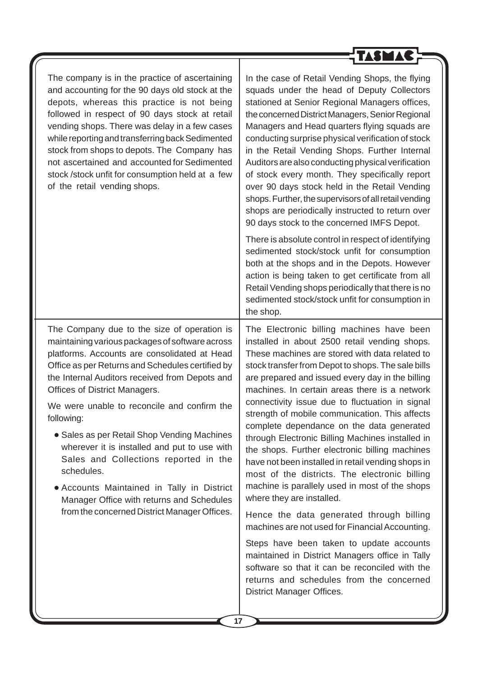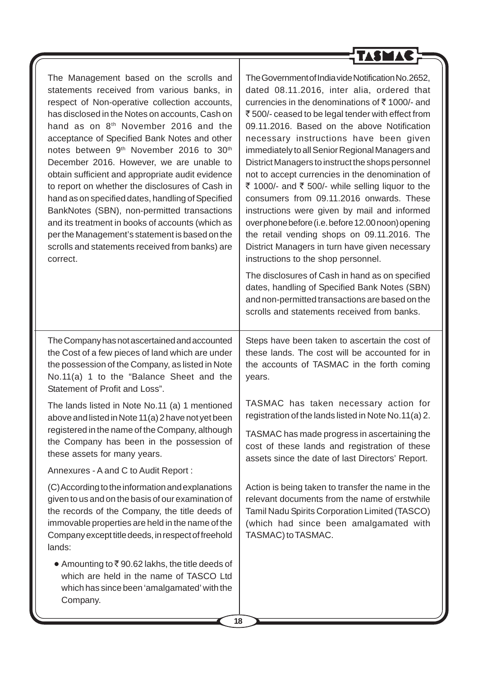| ASMAR<br>The Government of India vide Notification No.2652,<br>The Management based on the scrolls and<br>statements received from various banks, in<br>dated 08.11.2016, inter alia, ordered that<br>currencies in the denominations of ₹1000/- and<br>respect of Non-operative collection accounts,<br>₹500/- ceased to be legal tender with effect from<br>has disclosed in the Notes on accounts, Cash on<br>hand as on 8 <sup>th</sup> November 2016 and the<br>09.11.2016. Based on the above Notification<br>acceptance of Specified Bank Notes and other<br>necessary instructions have been given<br>notes between 9th November 2016 to 30th<br>immediately to all Senior Regional Managers and<br>December 2016. However, we are unable to<br>District Managers to instruct the shops personnel<br>obtain sufficient and appropriate audit evidence<br>not to accept currencies in the denomination of<br>to report on whether the disclosures of Cash in<br>₹ 1000/- and ₹ 500/- while selling liquor to the<br>consumers from 09.11.2016 onwards. These<br>hand as on specified dates, handling of Specified<br>instructions were given by mail and informed<br>BankNotes (SBN), non-permitted transactions<br>and its treatment in books of accounts (which as<br>over phone before (i.e. before 12.00 noon) opening<br>per the Management's statement is based on the<br>the retail vending shops on 09.11.2016. The<br>scrolls and statements received from banks) are<br>District Managers in turn have given necessary<br>instructions to the shop personnel.<br>correct.<br>The disclosures of Cash in hand as on specified<br>dates, handling of Specified Bank Notes (SBN)<br>and non-permitted transactions are based on the<br>scrolls and statements received from banks.<br>The Company has not ascertained and accounted<br>Steps have been taken to ascertain the cost of<br>the Cost of a few pieces of land which are under<br>these lands. The cost will be accounted for in<br>the possession of the Company, as listed in Note<br>the accounts of TASMAC in the forth coming<br>No.11(a) 1 to the "Balance Sheet and the<br>years.<br>Statement of Profit and Loss".<br>TASMAC has taken necessary action for<br>The lands listed in Note No.11 (a) 1 mentioned<br>registration of the lands listed in Note No.11(a) 2.<br>above and listed in Note 11(a) 2 have not yet been<br>registered in the name of the Company, although<br>TASMAC has made progress in ascertaining the<br>the Company has been in the possession of<br>cost of these lands and registration of these<br>these assets for many years.<br>assets since the date of last Directors' Report.<br>Annexures - A and C to Audit Report:<br>(C) According to the information and explanations<br>Action is being taken to transfer the name in the<br>given to us and on the basis of our examination of<br>relevant documents from the name of erstwhile<br>the records of the Company, the title deeds of<br>Tamil Nadu Spirits Corporation Limited (TASCO)<br>immovable properties are held in the name of the<br>(which had since been amalgamated with |
|--------------------------------------------------------------------------------------------------------------------------------------------------------------------------------------------------------------------------------------------------------------------------------------------------------------------------------------------------------------------------------------------------------------------------------------------------------------------------------------------------------------------------------------------------------------------------------------------------------------------------------------------------------------------------------------------------------------------------------------------------------------------------------------------------------------------------------------------------------------------------------------------------------------------------------------------------------------------------------------------------------------------------------------------------------------------------------------------------------------------------------------------------------------------------------------------------------------------------------------------------------------------------------------------------------------------------------------------------------------------------------------------------------------------------------------------------------------------------------------------------------------------------------------------------------------------------------------------------------------------------------------------------------------------------------------------------------------------------------------------------------------------------------------------------------------------------------------------------------------------------------------------------------------------------------------------------------------------------------------------------------------------------------------------------------------------------------------------------------------------------------------------------------------------------------------------------------------------------------------------------------------------------------------------------------------------------------------------------------------------------------------------------------------------------------------------------------------------------------------------------------------------------------------------------------------------------------------------------------------------------------------------------------------------------------------------------------------------------------------------------------------------------------------------------------------------------------------------------------------------------------------------------------------------------------------------------------------------------------------------------------------------------------------------------------------------------------------------------------------------------------------------------------------|
|                                                                                                                                                                                                                                                                                                                                                                                                                                                                                                                                                                                                                                                                                                                                                                                                                                                                                                                                                                                                                                                                                                                                                                                                                                                                                                                                                                                                                                                                                                                                                                                                                                                                                                                                                                                                                                                                                                                                                                                                                                                                                                                                                                                                                                                                                                                                                                                                                                                                                                                                                                                                                                                                                                                                                                                                                                                                                                                                                                                                                                                                                                                                                              |
|                                                                                                                                                                                                                                                                                                                                                                                                                                                                                                                                                                                                                                                                                                                                                                                                                                                                                                                                                                                                                                                                                                                                                                                                                                                                                                                                                                                                                                                                                                                                                                                                                                                                                                                                                                                                                                                                                                                                                                                                                                                                                                                                                                                                                                                                                                                                                                                                                                                                                                                                                                                                                                                                                                                                                                                                                                                                                                                                                                                                                                                                                                                                                              |
|                                                                                                                                                                                                                                                                                                                                                                                                                                                                                                                                                                                                                                                                                                                                                                                                                                                                                                                                                                                                                                                                                                                                                                                                                                                                                                                                                                                                                                                                                                                                                                                                                                                                                                                                                                                                                                                                                                                                                                                                                                                                                                                                                                                                                                                                                                                                                                                                                                                                                                                                                                                                                                                                                                                                                                                                                                                                                                                                                                                                                                                                                                                                                              |
| TASMAC) to TASMAC.<br>Company except title deeds, in respect of freehold<br>lands:<br>• Amounting to $\overline{\xi}$ 90.62 lakhs, the title deeds of<br>which are held in the name of TASCO Ltd<br>which has since been 'amalgamated' with the                                                                                                                                                                                                                                                                                                                                                                                                                                                                                                                                                                                                                                                                                                                                                                                                                                                                                                                                                                                                                                                                                                                                                                                                                                                                                                                                                                                                                                                                                                                                                                                                                                                                                                                                                                                                                                                                                                                                                                                                                                                                                                                                                                                                                                                                                                                                                                                                                                                                                                                                                                                                                                                                                                                                                                                                                                                                                                              |
| Company.                                                                                                                                                                                                                                                                                                                                                                                                                                                                                                                                                                                                                                                                                                                                                                                                                                                                                                                                                                                                                                                                                                                                                                                                                                                                                                                                                                                                                                                                                                                                                                                                                                                                                                                                                                                                                                                                                                                                                                                                                                                                                                                                                                                                                                                                                                                                                                                                                                                                                                                                                                                                                                                                                                                                                                                                                                                                                                                                                                                                                                                                                                                                                     |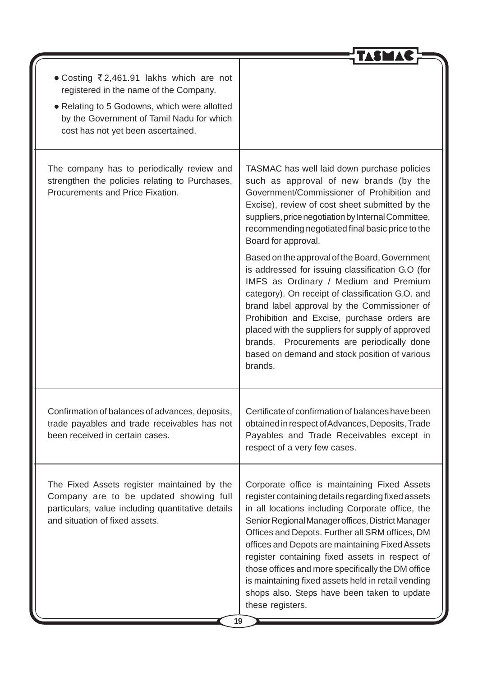| ● Costing ₹2,461.91 lakhs which are not<br>registered in the name of the Company.<br>• Relating to 5 Godowns, which were allotted<br>by the Government of Tamil Nadu for which<br>cost has not yet been ascertained. |                                                                                                                                                                                                                                                                                                                                                                                                                                                                                                                                                                      |
|----------------------------------------------------------------------------------------------------------------------------------------------------------------------------------------------------------------------|----------------------------------------------------------------------------------------------------------------------------------------------------------------------------------------------------------------------------------------------------------------------------------------------------------------------------------------------------------------------------------------------------------------------------------------------------------------------------------------------------------------------------------------------------------------------|
| The company has to periodically review and<br>strengthen the policies relating to Purchases,<br>Procurements and Price Fixation.                                                                                     | TASMAC has well laid down purchase policies<br>such as approval of new brands (by the<br>Government/Commissioner of Prohibition and<br>Excise), review of cost sheet submitted by the<br>suppliers, price negotiation by Internal Committee,<br>recommending negotiated final basic price to the<br>Board for approval.                                                                                                                                                                                                                                              |
|                                                                                                                                                                                                                      | Based on the approval of the Board, Government<br>is addressed for issuing classification G.O (for<br>IMFS as Ordinary / Medium and Premium<br>category). On receipt of classification G.O. and<br>brand label approval by the Commissioner of<br>Prohibition and Excise, purchase orders are<br>placed with the suppliers for supply of approved<br>brands. Procurements are periodically done<br>based on demand and stock position of various<br>brands.                                                                                                          |
| Confirmation of balances of advances, deposits,<br>trade payables and trade receivables has not<br>been received in certain cases.                                                                                   | Certificate of confirmation of balances have been<br>obtained in respect of Advances, Deposits, Trade<br>Payables and Trade Receivables except in<br>respect of a very few cases.                                                                                                                                                                                                                                                                                                                                                                                    |
| The Fixed Assets register maintained by the<br>Company are to be updated showing full<br>particulars, value including quantitative details<br>and situation of fixed assets.                                         | Corporate office is maintaining Fixed Assets<br>register containing details regarding fixed assets<br>in all locations including Corporate office, the<br>Senior Regional Manager offices, District Manager<br>Offices and Depots. Further all SRM offices, DM<br>offices and Depots are maintaining Fixed Assets<br>register containing fixed assets in respect of<br>those offices and more specifically the DM office<br>is maintaining fixed assets held in retail vending<br>shops also. Steps have been taken to update<br>these registers.<br>19 <sup>°</sup> |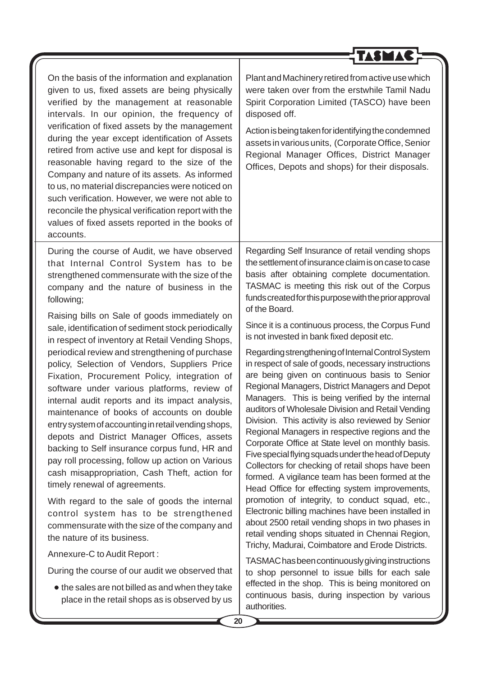| On the basis of the information and explanation<br>Plant and Machinery retired from active use which<br>were taken over from the erstwhile Tamil Nadu<br>given to us, fixed assets are being physically<br>Spirit Corporation Limited (TASCO) have been<br>verified by the management at reasonable<br>intervals. In our opinion, the frequency of<br>disposed off.<br>verification of fixed assets by the management<br>Action is being taken for identifying the condemned<br>during the year except identification of Assets<br>assets in various units, (Corporate Office, Senior<br>retired from active use and kept for disposal is<br>Regional Manager Offices, District Manager<br>reasonable having regard to the size of the<br>Offices, Depots and shops) for their disposals.<br>Company and nature of its assets. As informed<br>to us, no material discrepancies were noticed on<br>such verification. However, we were not able to<br>reconcile the physical verification report with the<br>values of fixed assets reported in the books of<br>accounts.<br>During the course of Audit, we have observed<br>Regarding Self Insurance of retail vending shops<br>the settlement of insurance claim is on case to case<br>that Internal Control System has to be<br>basis after obtaining complete documentation.<br>strengthened commensurate with the size of the<br>TASMAC is meeting this risk out of the Corpus<br>company and the nature of business in the<br>funds created for this purpose with the prior approval<br>following;<br>of the Board.<br>Raising bills on Sale of goods immediately on<br>Since it is a continuous process, the Corpus Fund<br>sale, identification of sediment stock periodically<br>is not invested in bank fixed deposit etc.<br>in respect of inventory at Retail Vending Shops,<br>periodical review and strengthening of purchase<br>Regarding strengthening of Internal Control System<br>in respect of sale of goods, necessary instructions<br>policy, Selection of Vendors, Suppliers Price<br>are being given on continuous basis to Senior<br>Fixation, Procurement Policy, integration of<br>Regional Managers, District Managers and Depot<br>software under various platforms, review of<br>Managers. This is being verified by the internal<br>internal audit reports and its impact analysis,<br>auditors of Wholesale Division and Retail Vending<br>maintenance of books of accounts on double<br>Division. This activity is also reviewed by Senior<br>entry system of accounting in retail vending shops,<br>Regional Managers in respective regions and the<br>depots and District Manager Offices, assets<br>Corporate Office at State level on monthly basis.<br>backing to Self insurance corpus fund, HR and<br>Five special flying squads under the head of Deputy<br>pay roll processing, follow up action on Various<br>Collectors for checking of retail shops have been<br>cash misappropriation, Cash Theft, action for<br>formed. A vigilance team has been formed at the<br>timely renewal of agreements.<br>Head Office for effecting system improvements,<br>promotion of integrity, to conduct squad, etc.,<br>With regard to the sale of goods the internal<br>Electronic billing machines have been installed in<br>control system has to be strengthened<br>about 2500 retail vending shops in two phases in<br>commensurate with the size of the company and<br>retail vending shops situated in Chennai Region,<br>the nature of its business.<br>Trichy, Madurai, Coimbatore and Erode Districts.<br>Annexure-C to Audit Report:<br>TASMAC has been continuously giving instructions<br>During the course of our audit we observed that<br>to shop personnel to issue bills for each sale<br>effected in the shop. This is being monitored on<br>• the sales are not billed as and when they take<br>continuous basis, during inspection by various<br>place in the retail shops as is observed by us<br>authorities. |  |
|---------------------------------------------------------------------------------------------------------------------------------------------------------------------------------------------------------------------------------------------------------------------------------------------------------------------------------------------------------------------------------------------------------------------------------------------------------------------------------------------------------------------------------------------------------------------------------------------------------------------------------------------------------------------------------------------------------------------------------------------------------------------------------------------------------------------------------------------------------------------------------------------------------------------------------------------------------------------------------------------------------------------------------------------------------------------------------------------------------------------------------------------------------------------------------------------------------------------------------------------------------------------------------------------------------------------------------------------------------------------------------------------------------------------------------------------------------------------------------------------------------------------------------------------------------------------------------------------------------------------------------------------------------------------------------------------------------------------------------------------------------------------------------------------------------------------------------------------------------------------------------------------------------------------------------------------------------------------------------------------------------------------------------------------------------------------------------------------------------------------------------------------------------------------------------------------------------------------------------------------------------------------------------------------------------------------------------------------------------------------------------------------------------------------------------------------------------------------------------------------------------------------------------------------------------------------------------------------------------------------------------------------------------------------------------------------------------------------------------------------------------------------------------------------------------------------------------------------------------------------------------------------------------------------------------------------------------------------------------------------------------------------------------------------------------------------------------------------------------------------------------------------------------------------------------------------------------------------------------------------------------------------------------------------------------------------------------------------------------------------------------------------------------------------------------------------------------------------------------------------------------------------------------------------------------------------------------------------------------------------------------------------------------------------------------------------------------------------------------------------------------------------------------------------------------------------------------------------------------------------------------------------------------------------------------------------------------------------------------------------------------------------|--|
|                                                                                                                                                                                                                                                                                                                                                                                                                                                                                                                                                                                                                                                                                                                                                                                                                                                                                                                                                                                                                                                                                                                                                                                                                                                                                                                                                                                                                                                                                                                                                                                                                                                                                                                                                                                                                                                                                                                                                                                                                                                                                                                                                                                                                                                                                                                                                                                                                                                                                                                                                                                                                                                                                                                                                                                                                                                                                                                                                                                                                                                                                                                                                                                                                                                                                                                                                                                                                                                                                                                                                                                                                                                                                                                                                                                                                                                                                                                                                                                                                     |  |
|                                                                                                                                                                                                                                                                                                                                                                                                                                                                                                                                                                                                                                                                                                                                                                                                                                                                                                                                                                                                                                                                                                                                                                                                                                                                                                                                                                                                                                                                                                                                                                                                                                                                                                                                                                                                                                                                                                                                                                                                                                                                                                                                                                                                                                                                                                                                                                                                                                                                                                                                                                                                                                                                                                                                                                                                                                                                                                                                                                                                                                                                                                                                                                                                                                                                                                                                                                                                                                                                                                                                                                                                                                                                                                                                                                                                                                                                                                                                                                                                                     |  |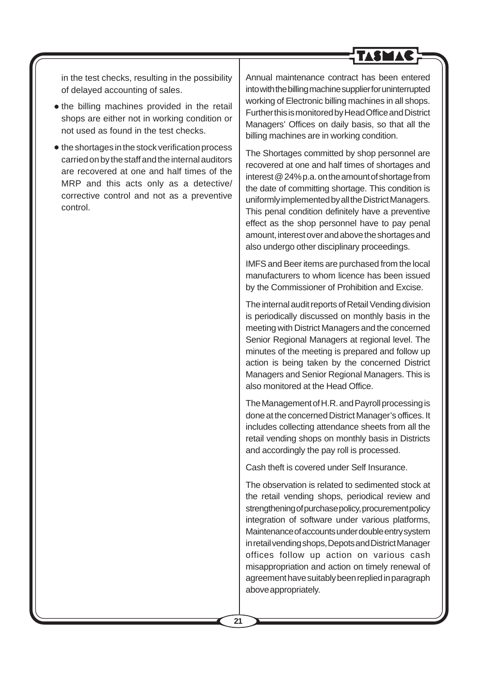

in the test checks, resulting in the possibility of delayed accounting of sales.

- the billing machines provided in the retail shops are either not in working condition or not used as found in the test checks.
- $\bullet$  the shortages in the stock verification process carried on by the staff and the internal auditors are recovered at one and half times of the MRP and this acts only as a detective/ corrective control and not as a preventive control.

Annual maintenance contract has been entered into with the billing machine supplier for uninterrupted working of Electronic billing machines in all shops. Further this is monitored by Head Office and District Managers' Offices on daily basis, so that all the billing machines are in working condition.

The Shortages committed by shop personnel are recovered at one and half times of shortages and interest @ 24% p.a. on the amount of shortage from the date of committing shortage. This condition is uniformly implemented by all the District Managers. This penal condition definitely have a preventive effect as the shop personnel have to pay penal amount, interest over and above the shortages and also undergo other disciplinary proceedings.

IMFS and Beer items are purchased from the local manufacturers to whom licence has been issued by the Commissioner of Prohibition and Excise.

The internal audit reports of Retail Vending division is periodically discussed on monthly basis in the meeting with District Managers and the concerned Senior Regional Managers at regional level. The minutes of the meeting is prepared and follow up action is being taken by the concerned District Managers and Senior Regional Managers. This is also monitored at the Head Office.

The Management of H.R. and Payroll processing is done at the concerned District Manager's offices. It includes collecting attendance sheets from all the retail vending shops on monthly basis in Districts and accordingly the pay roll is processed.

Cash theft is covered under Self Insurance.

The observation is related to sedimented stock at the retail vending shops, periodical review and strengthening of purchase policy, procurement policy integration of software under various platforms, Maintenance of accounts under double entry system in retail vending shops, Depots and District Manager offices follow up action on various cash misappropriation and action on timely renewal of agreement have suitably been replied in paragraph above appropriately.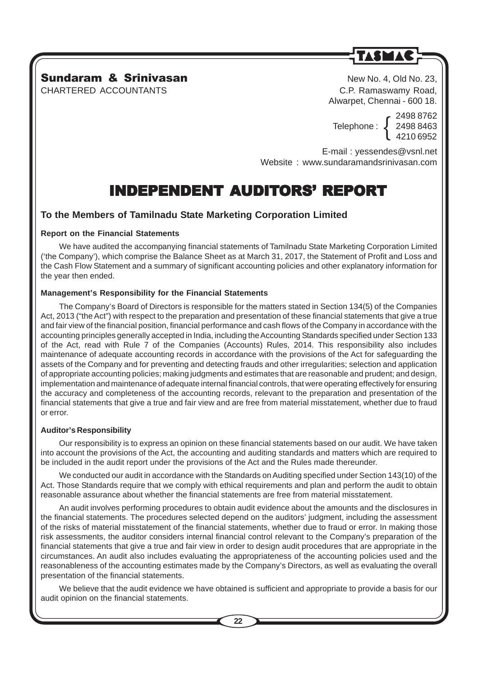

## **Sundaram & Srinivasan New No. 4, Old No. 23,**

CHARTERED ACCOUNTANTS CHARTERED ACCOUNTANTS Alwarpet, Chennai - 600 18.

> 2498 8762 Telephone:  $\sqrt{24988463}$ 4210 6952  $\{$

E-mail : yessendes@vsnl.net Website : www.sundaramandsrinivasan.com

# INDEPENDENT AUDITORS' REPORT

### **To the Members of Tamilnadu State Marketing Corporation Limited**

#### **Report on the Financial Statements**

We have audited the accompanying financial statements of Tamilnadu State Marketing Corporation Limited ('the Company'), which comprise the Balance Sheet as at March 31, 2017, the Statement of Profit and Loss and the Cash Flow Statement and a summary of significant accounting policies and other explanatory information for the year then ended.

### **Management's Responsibility for the Financial Statements**

The Company's Board of Directors is responsible for the matters stated in Section 134(5) of the Companies Act, 2013 ("the Act") with respect to the preparation and presentation of these financial statements that give a true and fair view of the financial position, financial performance and cash flows of the Company in accordance with the accounting principles generally accepted in India, including the Accounting Standards specified under Section 133 of the Act, read with Rule 7 of the Companies (Accounts) Rules, 2014. This responsibility also includes maintenance of adequate accounting records in accordance with the provisions of the Act for safeguarding the assets of the Company and for preventing and detecting frauds and other irregularities; selection and application of appropriate accounting policies; making judgments and estimates that are reasonable and prudent; and design, implementation and maintenance of adequate internal financial controls, that were operating effectively for ensuring the accuracy and completeness of the accounting records, relevant to the preparation and presentation of the financial statements that give a true and fair view and are free from material misstatement, whether due to fraud or error.

#### **Auditor's Responsibility**

Our responsibility is to express an opinion on these financial statements based on our audit. We have taken into account the provisions of the Act, the accounting and auditing standards and matters which are required to be included in the audit report under the provisions of the Act and the Rules made thereunder.

We conducted our audit in accordance with the Standards on Auditing specified under Section 143(10) of the Act. Those Standards require that we comply with ethical requirements and plan and perform the audit to obtain reasonable assurance about whether the financial statements are free from material misstatement.

An audit involves performing procedures to obtain audit evidence about the amounts and the disclosures in the financial statements. The procedures selected depend on the auditors' judgment, including the assessment of the risks of material misstatement of the financial statements, whether due to fraud or error. In making those risk assessments, the auditor considers internal financial control relevant to the Company's preparation of the financial statements that give a true and fair view in order to design audit procedures that are appropriate in the circumstances. An audit also includes evaluating the appropriateness of the accounting policies used and the reasonableness of the accounting estimates made by the Company's Directors, as well as evaluating the overall presentation of the financial statements.

We believe that the audit evidence we have obtained is sufficient and appropriate to provide a basis for our audit opinion on the financial statements.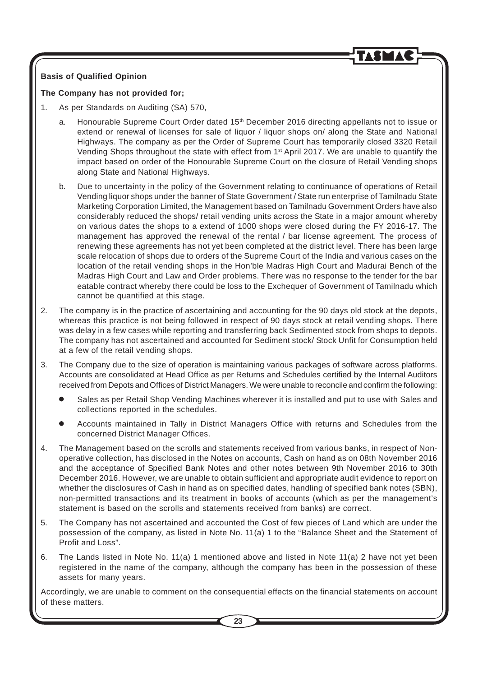### **Basis of Qualified Opinion**

#### **The Company has not provided for;**

- 1. As per Standards on Auditing (SA) 570,
	- a. Honourable Supreme Court Order dated 15<sup>th</sup> December 2016 directing appellants not to issue or extend or renewal of licenses for sale of liquor / liquor shops on/ along the State and National Highways. The company as per the Order of Supreme Court has temporarily closed 3320 Retail Vending Shops throughout the state with effect from  $1<sup>st</sup>$  April 2017. We are unable to quantify the impact based on order of the Honourable Supreme Court on the closure of Retail Vending shops along State and National Highways.
	- b. Due to uncertainty in the policy of the Government relating to continuance of operations of Retail Vending liquor shops under the banner of State Government / State run enterprise of Tamilnadu State Marketing Corporation Limited, the Management based on Tamilnadu Government Orders have also considerably reduced the shops/ retail vending units across the State in a major amount whereby on various dates the shops to a extend of 1000 shops were closed during the FY 2016-17. The management has approved the renewal of the rental / bar license agreement. The process of renewing these agreements has not yet been completed at the district level. There has been large scale relocation of shops due to orders of the Supreme Court of the India and various cases on the location of the retail vending shops in the Hon'ble Madras High Court and Madurai Bench of the Madras High Court and Law and Order problems. There was no response to the tender for the bar eatable contract whereby there could be loss to the Exchequer of Government of Tamilnadu which cannot be quantified at this stage.
- 2. The company is in the practice of ascertaining and accounting for the 90 days old stock at the depots, whereas this practice is not being followed in respect of 90 days stock at retail vending shops. There was delay in a few cases while reporting and transferring back Sedimented stock from shops to depots. The company has not ascertained and accounted for Sediment stock/ Stock Unfit for Consumption held at a few of the retail vending shops.
- 3. The Company due to the size of operation is maintaining various packages of software across platforms. Accounts are consolidated at Head Office as per Returns and Schedules certified by the Internal Auditors received from Depots and Offices of District Managers. We were unable to reconcile and confirm the following:
	- Sales as per Retail Shop Vending Machines wherever it is installed and put to use with Sales and collections reported in the schedules.
	- Accounts maintained in Tally in District Managers Office with returns and Schedules from the concerned District Manager Offices.
- 4. The Management based on the scrolls and statements received from various banks, in respect of Nonoperative collection, has disclosed in the Notes on accounts, Cash on hand as on 08th November 2016 and the acceptance of Specified Bank Notes and other notes between 9th November 2016 to 30th December 2016. However, we are unable to obtain sufficient and appropriate audit evidence to report on whether the disclosures of Cash in hand as on specified dates, handling of specified bank notes (SBN), non-permitted transactions and its treatment in books of accounts (which as per the management's statement is based on the scrolls and statements received from banks) are correct.
- 5. The Company has not ascertained and accounted the Cost of few pieces of Land which are under the possession of the company, as listed in Note No. 11(a) 1 to the "Balance Sheet and the Statement of Profit and Loss".
- 6. The Lands listed in Note No. 11(a) 1 mentioned above and listed in Note 11(a) 2 have not yet been registered in the name of the company, although the company has been in the possession of these assets for many years.

Accordingly, we are unable to comment on the consequential effects on the financial statements on account of these matters.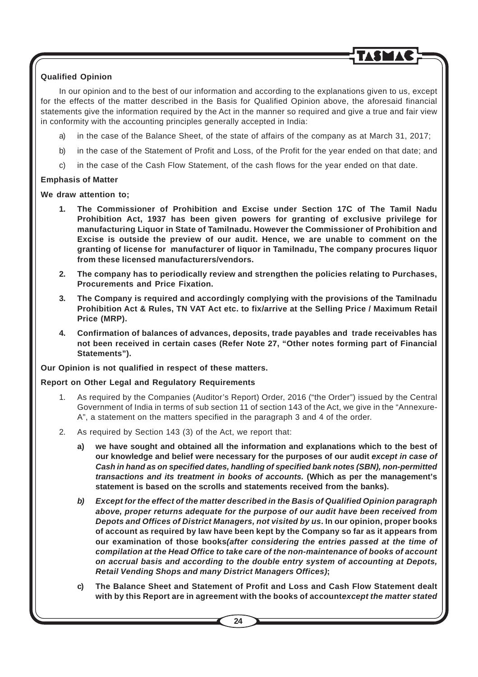#### **Qualified Opinion**

In our opinion and to the best of our information and according to the explanations given to us, except for the effects of the matter described in the Basis for Qualified Opinion above, the aforesaid financial statements give the information required by the Act in the manner so required and give a true and fair view in conformity with the accounting principles generally accepted in India:

TASMA

- a) in the case of the Balance Sheet, of the state of affairs of the company as at March 31, 2017;
- b) in the case of the Statement of Profit and Loss, of the Profit for the year ended on that date; and
- c) in the case of the Cash Flow Statement, of the cash flows for the year ended on that date.

#### **Emphasis of Matter**

**We draw attention to;**

- **1. The Commissioner of Prohibition and Excise under Section 17C of The Tamil Nadu Prohibition Act, 1937 has been given powers for granting of exclusive privilege for manufacturing Liquor in State of Tamilnadu. However the Commissioner of Prohibition and Excise is outside the preview of our audit. Hence, we are unable to comment on the granting of license for manufacturer of liquor in Tamilnadu, The company procures liquor from these licensed manufacturers/vendors.**
- **2. The company has to periodically review and strengthen the policies relating to Purchases, Procurements and Price Fixation.**
- **3. The Company is required and accordingly complying with the provisions of the Tamilnadu Prohibition Act & Rules, TN VAT Act etc. to fix/arrive at the Selling Price / Maximum Retail Price (MRP).**
- **4. Confirmation of balances of advances, deposits, trade payables and trade receivables has not been received in certain cases (Refer Note 27, "Other notes forming part of Financial Statements").**

#### **Our Opinion is not qualified in respect of these matters.**

#### **Report on Other Legal and Regulatory Requirements**

- 1. As required by the Companies (Auditor's Report) Order, 2016 ("the Order") issued by the Central Government of India in terms of sub section 11 of section 143 of the Act, we give in the "Annexure-A", a statement on the matters specified in the paragraph 3 and 4 of the order.
- 2. As required by Section 143 (3) of the Act, we report that:
	- **a) we have sought and obtained all the information and explanations which to the best of our knowledge and belief were necessary for the purposes of our audit** *except in case of Cash in hand as on specified dates, handling of specified bank notes (SBN), non-permitted transactions and its treatment in books of accounts.* **(Which as per the management's statement is based on the scrolls and statements received from the banks).**
	- *b) Except for the effect of the matter described in the Basis of Qualified Opinion paragraph above, proper returns adequate for the purpose of our audit have been received from Depots and Offices of District Managers, not visited by us***. In our opinion, proper books of account as required by law have been kept by the Company so far as it appears from our examination of those books***(after considering the entries passed at the time of compilation at the Head Office to take care of the non-maintenance of books of account on accrual basis and according to the double entry system of accounting at Depots, Retail Vending Shops and many District Managers Offices)***;**
	- **c) The Balance Sheet and Statement of Profit and Loss and Cash Flow Statement dealt with by this Report are in agreement with the books of account***except the matter stated*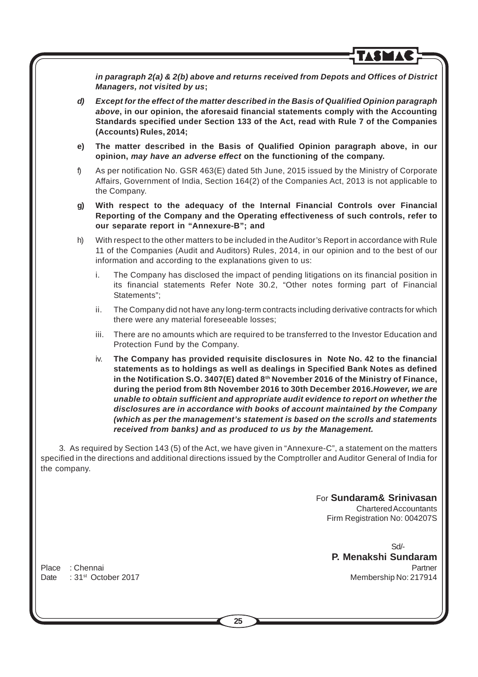*in paragraph 2(a) & 2(b) above and returns received from Depots and Offices of District Managers, not visited by us***;**

- *d) Except for the effect of the matter described in the Basis of Qualified Opinion paragraph above***, in our opinion, the aforesaid financial statements comply with the Accounting Standards specified under Section 133 of the Act, read with Rule 7 of the Companies (Accounts) Rules, 2014;**
- **e) The matter described in the Basis of Qualified Opinion paragraph above, in our opinion,** *may have an adverse effect* **on the functioning of the company.**
- f) As per notification No. GSR 463(E) dated 5th June, 2015 issued by the Ministry of Corporate Affairs, Government of India, Section 164(2) of the Companies Act, 2013 is not applicable to the Company.
- **g) With respect to the adequacy of the Internal Financial Controls over Financial Reporting of the Company and the Operating effectiveness of such controls, refer to our separate report in "Annexure-B"; and**
- h) With respect to the other matters to be included in the Auditor's Report in accordance with Rule 11 of the Companies (Audit and Auditors) Rules, 2014, in our opinion and to the best of our information and according to the explanations given to us:
	- i. The Company has disclosed the impact of pending litigations on its financial position in its financial statements Refer Note 30.2, "Other notes forming part of Financial Statements";
	- ii. The Company did not have any long-term contracts including derivative contracts for which there were any material foreseeable losses;
	- iii. There are no amounts which are required to be transferred to the Investor Education and Protection Fund by the Company.
	- iv. **The Company has provided requisite disclosures in Note No. 42 to the financial statements as to holdings as well as dealings in Specified Bank Notes as defined in the Notification S.O. 3407(E) dated 8th November 2016 of the Ministry of Finance, during the period from 8th November 2016 to 30th December 2016.***However, we are unable to obtain sufficient and appropriate audit evidence to report on whether the disclosures are in accordance with books of account maintained by the Company (which as per the management's statement is based on the scrolls and statements received from banks) and as produced to us by the Management.*

3. As required by Section 143 (5) of the Act, we have given in "Annexure-C", a statement on the matters specified in the directions and additional directions issued by the Comptroller and Auditor General of India for the company.

> For **Sundaram& Srinivasan** Chartered Accountants Firm Registration No: 004207S

Sd/- **P. Menakshi Sundaram** Place : Chennai Partner et al. 2009 et al. 2009 et al. 2009 et al. 2009 et al. 2009 et al. 2009 et al. 2009 et al. 2009 et al. 2009 et al. 2009 et al. 2009 et al. 2009 et al. 2009 et al. 2009 et al. 2009 et al. 2009 et al. Date : 31<sup>st</sup> October 2017 **Membership No: 217914** Membership No: 217914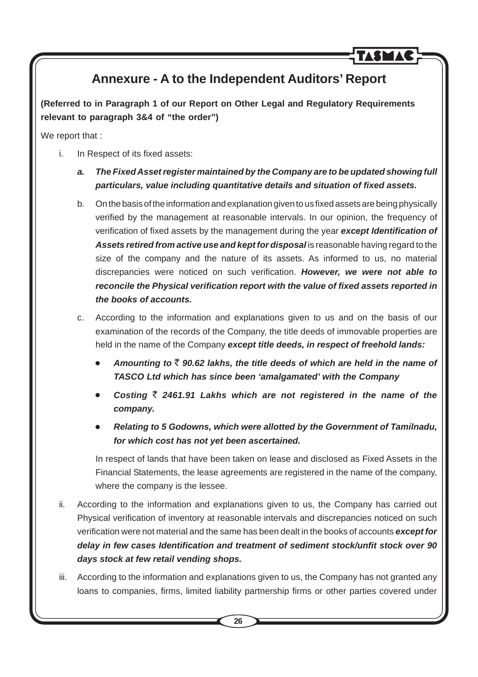## **Annexure - A to the Independent Auditors' Report**

**(Referred to in Paragraph 1 of our Report on Other Legal and Regulatory Requirements relevant to paragraph 3&4 of "the order")**

We report that :

- i. In Respect of its fixed assets:
	- *a. The Fixed Asset register maintained by the Company are to be updated showing full particulars, value including quantitative details and situation of fixed assets.*
	- b. On the basis of the information and explanation given to us fixed assets are being physically verified by the management at reasonable intervals. In our opinion, the frequency of verification of fixed assets by the management during the year *except Identification of* Assets retired from active use and kept for disposal is reasonable having regard to the size of the company and the nature of its assets. As informed to us, no material discrepancies were noticed on such verification. *However, we were not able to reconcile the Physical verification report with the value of fixed assets reported in the books of accounts.*
	- c. According to the information and explanations given to us and on the basis of our examination of the records of the Company, the title deeds of immovable properties are held in the name of the Company *except title deeds, in respect of freehold lands:*
		- *Amounting to* ` *90.62 lakhs, the title deeds of which are held in the name of TASCO Ltd which has since been 'amalgamated' with the Company*
		- *Costing* ` *2461.91 Lakhs which are not registered in the name of the company.*
		- *Relating to 5 Godowns, which were allotted by the Government of Tamilnadu, for which cost has not yet been ascertained.*

In respect of lands that have been taken on lease and disclosed as Fixed Assets in the Financial Statements, the lease agreements are registered in the name of the company, where the company is the lessee.

- ii. According to the information and explanations given to us, the Company has carried out Physical verification of inventory at reasonable intervals and discrepancies noticed on such verification were not material and the same has been dealt in the books of accounts *except for delay in few cases Identification and treatment of sediment stock/unfit stock over 90 days stock at few retail vending shops.*
- iii. According to the information and explanations given to us, the Company has not granted any loans to companies, firms, limited liability partnership firms or other parties covered under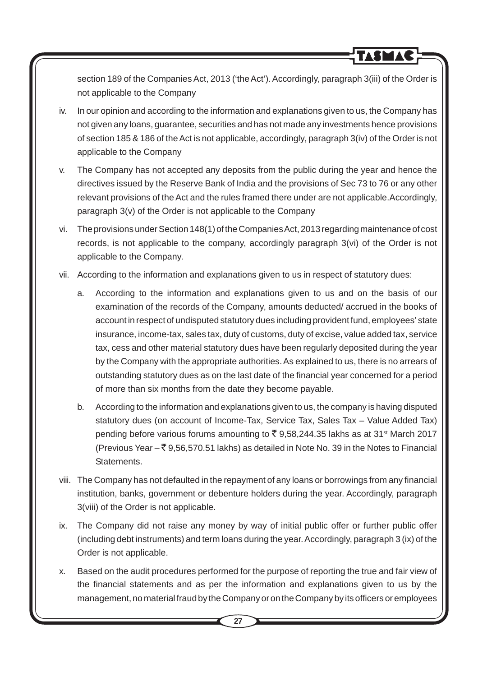section 189 of the Companies Act, 2013 ('the Act'). Accordingly, paragraph 3(iii) of the Order is not applicable to the Company

- iv. In our opinion and according to the information and explanations given to us, the Company has not given any loans, guarantee, securities and has not made any investments hence provisions of section 185 & 186 of the Act is not applicable, accordingly, paragraph 3(iv) of the Order is not applicable to the Company
- v. The Company has not accepted any deposits from the public during the year and hence the directives issued by the Reserve Bank of India and the provisions of Sec 73 to 76 or any other relevant provisions of the Act and the rules framed there under are not applicable.Accordingly, paragraph 3(v) of the Order is not applicable to the Company
- vi. The provisions under Section 148(1) of the Companies Act, 2013 regarding maintenance of cost records, is not applicable to the company, accordingly paragraph 3(vi) of the Order is not applicable to the Company.
- vii. According to the information and explanations given to us in respect of statutory dues:
	- a. According to the information and explanations given to us and on the basis of our examination of the records of the Company, amounts deducted/ accrued in the books of account in respect of undisputed statutory dues including provident fund, employees' state insurance, income-tax, sales tax, duty of customs, duty of excise, value added tax, service tax, cess and other material statutory dues have been regularly deposited during the year by the Company with the appropriate authorities. As explained to us, there is no arrears of outstanding statutory dues as on the last date of the financial year concerned for a period of more than six months from the date they become payable.
	- b. According to the information and explanations given to us, the company is having disputed statutory dues (on account of Income-Tax, Service Tax, Sales Tax – Value Added Tax) pending before various forums amounting to  $\bar{\xi}$  9,58,244.35 lakhs as at 31<sup>st</sup> March 2017 (Previous Year –  $\bar{\xi}$  9,56,570.51 lakhs) as detailed in Note No. 39 in the Notes to Financial Statements.
- viii. The Company has not defaulted in the repayment of any loans or borrowings from any financial institution, banks, government or debenture holders during the year. Accordingly, paragraph 3(viii) of the Order is not applicable.
- ix. The Company did not raise any money by way of initial public offer or further public offer (including debt instruments) and term loans during the year. Accordingly, paragraph 3 (ix) of the Order is not applicable.
- x. Based on the audit procedures performed for the purpose of reporting the true and fair view of the financial statements and as per the information and explanations given to us by the management, no material fraud by the Company or on the Company by its officers or employees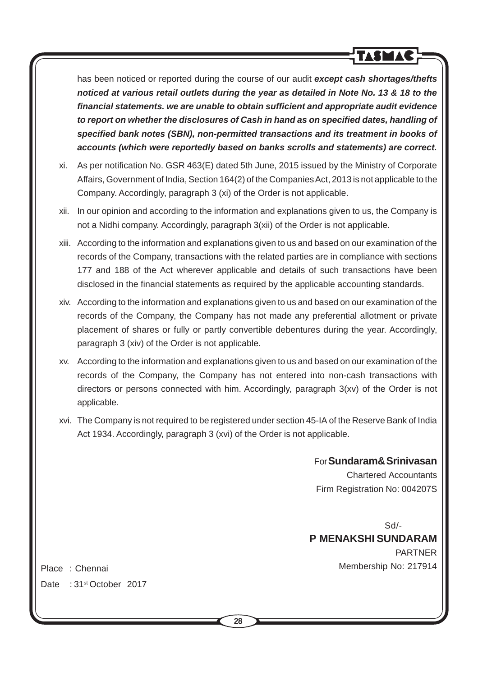has been noticed or reported during the course of our audit *except cash shortages/thefts noticed at various retail outlets during the year as detailed in Note No. 13 & 18 to the financial statements. we are unable to obtain sufficient and appropriate audit evidence to report on whether the disclosures of Cash in hand as on specified dates, handling of specified bank notes (SBN), non-permitted transactions and its treatment in books of accounts (which were reportedly based on banks scrolls and statements) are correct.*

- xi. As per notification No. GSR 463(E) dated 5th June, 2015 issued by the Ministry of Corporate Affairs, Government of India, Section 164(2) of the Companies Act, 2013 is not applicable to the Company. Accordingly, paragraph 3 (xi) of the Order is not applicable.
- xii. In our opinion and according to the information and explanations given to us, the Company is not a Nidhi company. Accordingly, paragraph 3(xii) of the Order is not applicable.
- xiii. According to the information and explanations given to us and based on our examination of the records of the Company, transactions with the related parties are in compliance with sections 177 and 188 of the Act wherever applicable and details of such transactions have been disclosed in the financial statements as required by the applicable accounting standards.
- xiv. According to the information and explanations given to us and based on our examination of the records of the Company, the Company has not made any preferential allotment or private placement of shares or fully or partly convertible debentures during the year. Accordingly, paragraph 3 (xiv) of the Order is not applicable.
- xv. According to the information and explanations given to us and based on our examination of the records of the Company, the Company has not entered into non-cash transactions with directors or persons connected with him. Accordingly, paragraph 3(xv) of the Order is not applicable.
- xvi. The Company is not required to be registered under section 45-IA of the Reserve Bank of India Act 1934. Accordingly, paragraph 3 (xvi) of the Order is not applicable.

### For **Sundaram& Srinivasan**

Chartered Accountants Firm Registration No: 004207S

Sd/- **P MENAKSHI SUNDARAM** PARTNER Place : Chennai Membership No: 217914

Date : 31<sup>st</sup> October 2017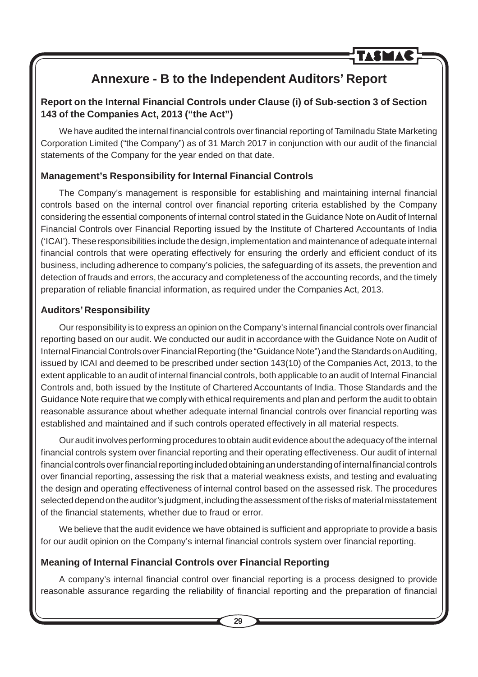# **Annexure - B to the Independent Auditors' Report**

TASMAC

### **Report on the Internal Financial Controls under Clause (i) of Sub-section 3 of Section 143 of the Companies Act, 2013 ("the Act")**

We have audited the internal financial controls over financial reporting of Tamilnadu State Marketing Corporation Limited ("the Company") as of 31 March 2017 in conjunction with our audit of the financial statements of the Company for the year ended on that date.

### **Management's Responsibility for Internal Financial Controls**

The Company's management is responsible for establishing and maintaining internal financial controls based on the internal control over financial reporting criteria established by the Company considering the essential components of internal control stated in the Guidance Note on Audit of Internal Financial Controls over Financial Reporting issued by the Institute of Chartered Accountants of India ('ICAI'). These responsibilities include the design, implementation and maintenance of adequate internal financial controls that were operating effectively for ensuring the orderly and efficient conduct of its business, including adherence to company's policies, the safeguarding of its assets, the prevention and detection of frauds and errors, the accuracy and completeness of the accounting records, and the timely preparation of reliable financial information, as required under the Companies Act, 2013.

### **Auditors' Responsibility**

Our responsibility is to express an opinion on the Company's internal financial controls over financial reporting based on our audit. We conducted our audit in accordance with the Guidance Note on Audit of Internal Financial Controls over Financial Reporting (the "Guidance Note") and the Standards on Auditing, issued by ICAI and deemed to be prescribed under section 143(10) of the Companies Act, 2013, to the extent applicable to an audit of internal financial controls, both applicable to an audit of Internal Financial Controls and, both issued by the Institute of Chartered Accountants of India. Those Standards and the Guidance Note require that we comply with ethical requirements and plan and perform the audit to obtain reasonable assurance about whether adequate internal financial controls over financial reporting was established and maintained and if such controls operated effectively in all material respects.

Our audit involves performing procedures to obtain audit evidence about the adequacy of the internal financial controls system over financial reporting and their operating effectiveness. Our audit of internal financial controls over financial reporting included obtaining an understanding of internal financial controls over financial reporting, assessing the risk that a material weakness exists, and testing and evaluating the design and operating effectiveness of internal control based on the assessed risk. The procedures selected depend on the auditor's judgment, including the assessment of the risks of material misstatement of the financial statements, whether due to fraud or error.

We believe that the audit evidence we have obtained is sufficient and appropriate to provide a basis for our audit opinion on the Company's internal financial controls system over financial reporting.

### **Meaning of Internal Financial Controls over Financial Reporting**

A company's internal financial control over financial reporting is a process designed to provide reasonable assurance regarding the reliability of financial reporting and the preparation of financial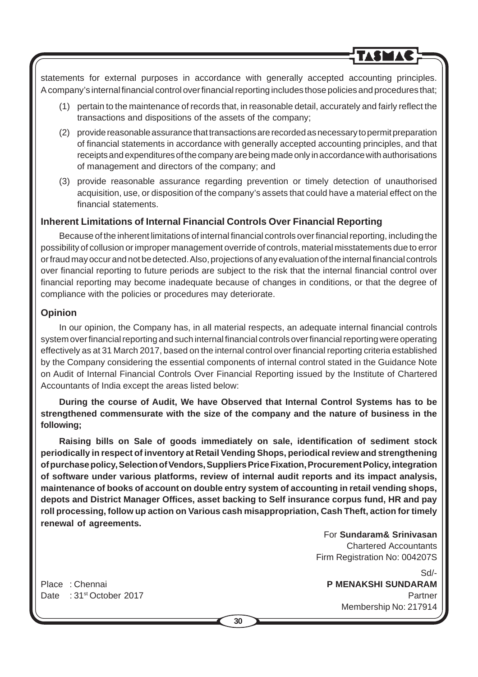statements for external purposes in accordance with generally accepted accounting principles. A company's internal financial control over financial reporting includes those policies and procedures that;

- (1) pertain to the maintenance of records that, in reasonable detail, accurately and fairly reflect the transactions and dispositions of the assets of the company;
- (2) provide reasonable assurance that transactions are recorded as necessary to permit preparation of financial statements in accordance with generally accepted accounting principles, and that receipts and expenditures of the company are being made only in accordance with authorisations of management and directors of the company; and
- (3) provide reasonable assurance regarding prevention or timely detection of unauthorised acquisition, use, or disposition of the company's assets that could have a material effect on the financial statements.

### **Inherent Limitations of Internal Financial Controls Over Financial Reporting**

Because of the inherent limitations of internal financial controls over financial reporting, including the possibility of collusion or improper management override of controls, material misstatements due to error or fraud may occur and not be detected. Also, projections of any evaluation of the internal financial controls over financial reporting to future periods are subject to the risk that the internal financial control over financial reporting may become inadequate because of changes in conditions, or that the degree of compliance with the policies or procedures may deteriorate.

### **Opinion**

In our opinion, the Company has, in all material respects, an adequate internal financial controls system over financial reporting and such internal financial controls over financial reporting were operating effectively as at 31 March 2017, based on the internal control over financial reporting criteria established by the Company considering the essential components of internal control stated in the Guidance Note on Audit of Internal Financial Controls Over Financial Reporting issued by the Institute of Chartered Accountants of India except the areas listed below:

**During the course of Audit, We have Observed that Internal Control Systems has to be strengthened commensurate with the size of the company and the nature of business in the following;**

**Raising bills on Sale of goods immediately on sale, identification of sediment stock periodically in respect of inventory at Retail Vending Shops, periodical review and strengthening of purchase policy, Selection of Vendors, Suppliers Price Fixation, Procurement Policy, integration of software under various platforms, review of internal audit reports and its impact analysis, maintenance of books of account on double entry system of accounting in retail vending shops, depots and District Manager Offices, asset backing to Self insurance corpus fund, HR and pay roll processing, follow up action on Various cash misappropriation, Cash Theft, action for timely renewal of agreements.**

> For **Sundaram& Srinivasan** Chartered Accountants Firm Registration No: 004207S

Sd/- Place : Chennai **P MENAKSHI SUNDARAM** Date : 31<sup>st</sup> October 2017 **Partner** Membership No: 217914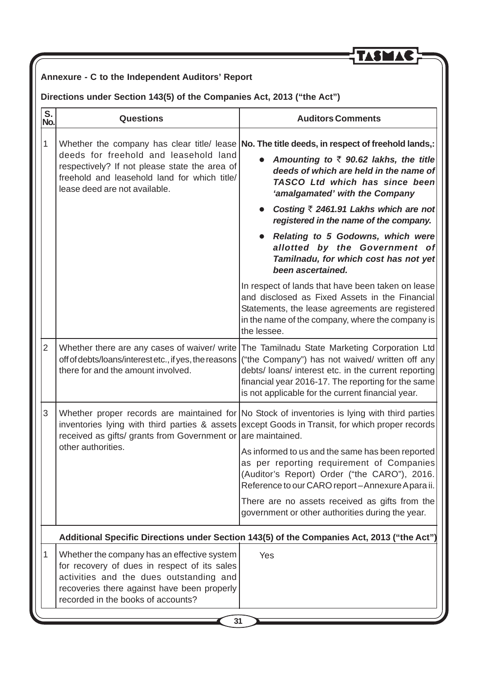### **Annexure - C to the Independent Auditors' Report Directions under Section 143(5) of the Companies Act, 2013 ("the Act") Questions Auditors Comments** 1 Whether the company has clear title/ lease **No. The title deeds, in respect of freehold lands,:** deeds for freehold and leasehold land respectively? If not please state the area of freehold and leasehold land for which title/ lease deed are not available. *Amounting to* ` *90.62 lakhs, the title deeds of which are held in the name of TASCO Ltd which has since been 'amalgamated' with the Company Costing* ` *2461.91 Lakhs which are not registered in the name of the company. Relating to 5 Godowns, which were allotted by the Government of Tamilnadu, for which cost has not yet been ascertained.* In respect of lands that have been taken on lease and disclosed as Fixed Assets in the Financial Statements, the lease agreements are registered in the name of the company, where the company is the lessee. 2 Whether there are any cases of waiver/ write off of debts/loans/interest etc., if yes, the reasons | ("the Company") has not waived/ written off any there for and the amount involved. The Tamilnadu State Marketing Corporation Ltd debts/ loans/ interest etc. in the current reporting financial year 2016-17. The reporting for the same is not applicable for the current financial year. 3 Whether proper records are maintained for No Stock of inventories is lying with third parties inventories lying with third parties & assets received as gifts/ grants from Government or arre maintained. other authorities. except Goods in Transit, for which proper records As informed to us and the same has been reported as per reporting requirement of Companies (Auditor's Report) Order ("the CARO"), 2016. Reference to our CARO report – Annexure A para ii. There are no assets received as gifts from the government or other authorities during the year. 1 Whether the company has an effective system for recovery of dues in respect of its sales activities and the dues outstanding and recoveries there against have been properly recorded in the books of accounts? Yes **Additional Specific Directions under Section 143(5) of the Companies Act, 2013 ("the Act") S. No.**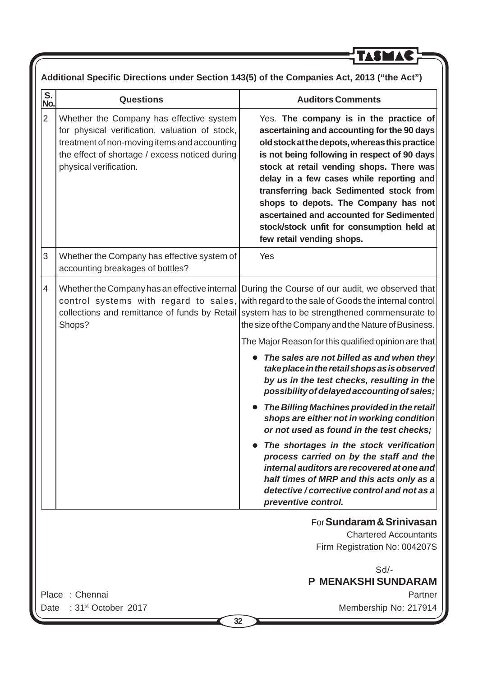|                | Additional Specific Directions under Section 143(5) of the Companies Act, 2013 ("the Act")                                                                                                                             |                                                                                                                                                                                                                                                                                                                                                                                                                                                                                          |
|----------------|------------------------------------------------------------------------------------------------------------------------------------------------------------------------------------------------------------------------|------------------------------------------------------------------------------------------------------------------------------------------------------------------------------------------------------------------------------------------------------------------------------------------------------------------------------------------------------------------------------------------------------------------------------------------------------------------------------------------|
| S.<br>No.      | <b>Questions</b>                                                                                                                                                                                                       | <b>Auditors Comments</b>                                                                                                                                                                                                                                                                                                                                                                                                                                                                 |
| $\overline{2}$ | Whether the Company has effective system<br>for physical verification, valuation of stock,<br>treatment of non-moving items and accounting<br>the effect of shortage / excess noticed during<br>physical verification. | Yes. The company is in the practice of<br>ascertaining and accounting for the 90 days<br>old stock at the depots, whereas this practice<br>is not being following in respect of 90 days<br>stock at retail vending shops. There was<br>delay in a few cases while reporting and<br>transferring back Sedimented stock from<br>shops to depots. The Company has not<br>ascertained and accounted for Sedimented<br>stock/stock unfit for consumption held at<br>few retail vending shops. |
| 3              | Whether the Company has effective system of<br>accounting breakages of bottles?                                                                                                                                        | Yes                                                                                                                                                                                                                                                                                                                                                                                                                                                                                      |
| 4              | control systems with regard to sales,<br>collections and remittance of funds by Retail<br>Shops?                                                                                                                       | Whether the Company has an effective internal During the Course of our audit, we observed that<br>with regard to the sale of Goods the internal control<br>system has to be strengthened commensurate to<br>the size of the Company and the Nature of Business.                                                                                                                                                                                                                          |
|                |                                                                                                                                                                                                                        | The Major Reason for this qualified opinion are that                                                                                                                                                                                                                                                                                                                                                                                                                                     |
|                |                                                                                                                                                                                                                        | The sales are not billed as and when they<br>take place in the retail shops as is observed<br>by us in the test checks, resulting in the<br>possibility of delayed accounting of sales;                                                                                                                                                                                                                                                                                                  |
|                |                                                                                                                                                                                                                        | The Billing Machines provided in the retail<br>shops are either not in working condition<br>or not used as found in the test checks;                                                                                                                                                                                                                                                                                                                                                     |
|                |                                                                                                                                                                                                                        | The shortages in the stock verification<br>process carried on by the staff and the<br>internal auditors are recovered at one and<br>half times of MRP and this acts only as a<br>detective/corrective control and not as a<br>preventive control.                                                                                                                                                                                                                                        |
|                |                                                                                                                                                                                                                        | For Sundaram & Srinivasan<br><b>Chartered Accountants</b><br>Firm Registration No: 004207S                                                                                                                                                                                                                                                                                                                                                                                               |
| Place          | : Chennai                                                                                                                                                                                                              | $Sd$ -<br><b>P MENAKSHI SUNDARAM</b><br>Partner                                                                                                                                                                                                                                                                                                                                                                                                                                          |
| Date           | : 31st October 2017<br>32                                                                                                                                                                                              | Membership No: 217914                                                                                                                                                                                                                                                                                                                                                                                                                                                                    |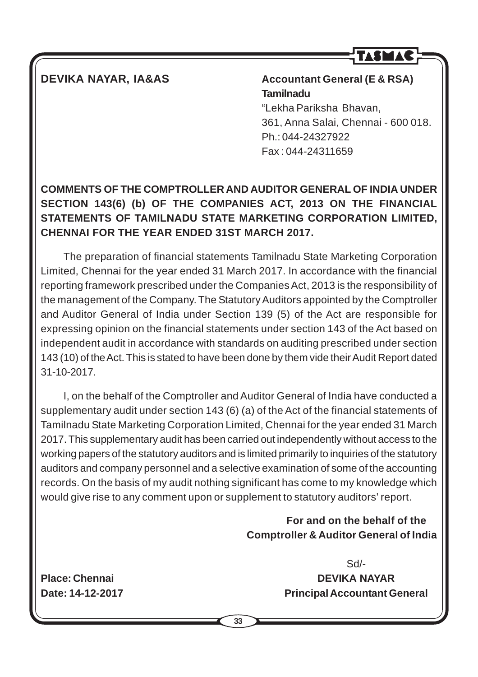

**DEVIKA NAYAR, IA&AS Accountant General (E & RSA) Tamilnadu** "Lekha Pariksha Bhavan,

361, Anna Salai, Chennai - 600 018. Ph.: 044-24327922 Fax : 044-24311659

### **COMMENTS OF THE COMPTROLLER AND AUDITOR GENERAL OF INDIA UNDER SECTION 143(6) (b) OF THE COMPANIES ACT, 2013 ON THE FINANCIAL STATEMENTS OF TAMILNADU STATE MARKETING CORPORATION LIMITED, CHENNAI FOR THE YEAR ENDED 31ST MARCH 2017.**

The preparation of financial statements Tamilnadu State Marketing Corporation Limited, Chennai for the year ended 31 March 2017. In accordance with the financial reporting framework prescribed under the Companies Act, 2013 is the responsibility of the management of the Company. The Statutory Auditors appointed by the Comptroller and Auditor General of India under Section 139 (5) of the Act are responsible for expressing opinion on the financial statements under section 143 of the Act based on independent audit in accordance with standards on auditing prescribed under section 143 (10) of the Act. This is stated to have been done by them vide their Audit Report dated 31-10-2017.

I, on the behalf of the Comptroller and Auditor General of India have conducted a supplementary audit under section 143 (6) (a) of the Act of the financial statements of Tamilnadu State Marketing Corporation Limited, Chennai for the year ended 31 March 2017. This supplementary audit has been carried out independently without access to the working papers of the statutory auditors and is limited primarily to inquiries of the statutory auditors and company personnel and a selective examination of some of the accounting records. On the basis of my audit nothing significant has come to my knowledge which would give rise to any comment upon or supplement to statutory auditors' report.

> **For and on the behalf of the Comptroller & Auditor General of India**

Sd/- Place: Chennai **DEVIKA NAYAR Date: 14-12-2017 Principal Accountant General**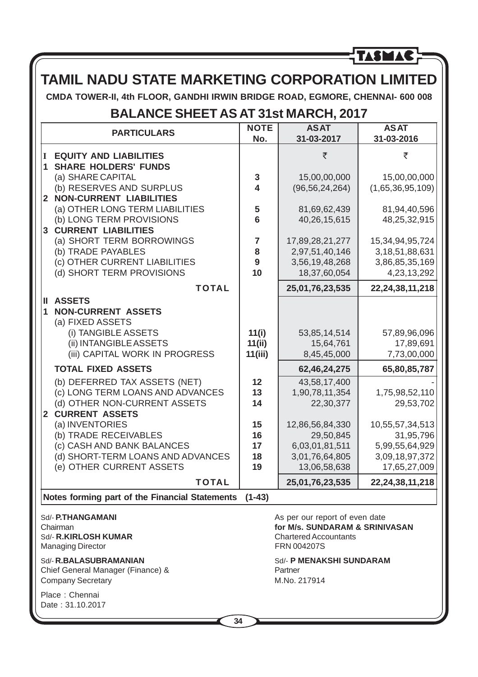HIASMAC

# **TAMIL NADU STATE MARKETING CORPORATION LIMITED**

**CMDA TOWER-II, 4th FLOOR, GANDHI IRWIN BRIDGE ROAD, EGMORE, CHENNAI- 600 008**

### **BALANCE SHEET AS AT 31st MARCH, 2017**

|                    | <b>PARTICULARS</b>                             | <b>NOTE</b>             | <b>ASAT</b>       | <b>ASAT</b>         |
|--------------------|------------------------------------------------|-------------------------|-------------------|---------------------|
|                    |                                                | No.                     | 31-03-2017        | 31-03-2016          |
| I                  | <b>EQUITY AND LIABILITIES</b>                  |                         | ₹                 | ₹                   |
| 1                  | <b>SHARE HOLDERS' FUNDS</b>                    |                         |                   |                     |
|                    | (a) SHARE CAPITAL                              | $\mathbf{3}$            | 15,00,00,000      | 15,00,00,000        |
|                    | (b) RESERVES AND SURPLUS                       | $\overline{\mathbf{4}}$ | (96, 56, 24, 264) | (1,65,36,95,109)    |
|                    | 2 NON-CURRENT LIABILITIES                      |                         |                   |                     |
|                    | (a) OTHER LONG TERM LIABILITIES                | 5                       | 81,69,62,439      | 81,94,40,596        |
|                    | (b) LONG TERM PROVISIONS                       | $6\phantom{1}6$         | 40,26,15,615      | 48,25,32,915        |
|                    | <b>3 CURRENT LIABILITIES</b>                   |                         |                   |                     |
|                    | (a) SHORT TERM BORROWINGS                      | $\overline{7}$          | 17,89,28,21,277   | 15,34,94,95,724     |
|                    | (b) TRADE PAYABLES                             | 8                       | 2,97,51,40,146    | 3, 18, 51, 88, 631  |
|                    | (c) OTHER CURRENT LIABILITIES                  | 9                       | 3,56,19,48,268    | 3,86,85,35,169      |
|                    | (d) SHORT TERM PROVISIONS                      | 10                      | 18,37,60,054      | 4,23,13,292         |
|                    | <b>TOTAL</b>                                   |                         | 25,01,76,23,535   | 22, 24, 38, 11, 218 |
| <b>ASSETS</b><br>Ш |                                                |                         |                   |                     |
| 1                  | <b>NON-CURRENT ASSETS</b>                      |                         |                   |                     |
|                    | (a) FIXED ASSETS                               |                         |                   |                     |
|                    | (i) TANGIBLE ASSETS                            | 11(i)                   | 53,85,14,514      | 57,89,96,096        |
|                    | (ii) INTANGIBLE ASSETS                         | 11(i)                   | 15,64,761         | 17,89,691           |
|                    | (iii) CAPITAL WORK IN PROGRESS                 | 11(iii)                 | 8,45,45,000       | 7,73,00,000         |
|                    | <b>TOTAL FIXED ASSETS</b>                      |                         | 62,46,24,275      | 65,80,85,787        |
|                    | (b) DEFERRED TAX ASSETS (NET)                  | 12                      | 43,58,17,400      |                     |
|                    | (c) LONG TERM LOANS AND ADVANCES               | 13                      | 1,90,78,11,354    | 1,75,98,52,110      |
|                    | (d) OTHER NON-CURRENT ASSETS                   | 14                      | 22,30,377         | 29,53,702           |
| $\mathbf{2}$       | <b>CURRENT ASSETS</b>                          |                         |                   |                     |
|                    | (a) INVENTORIES                                | 15                      | 12,86,56,84,330   | 10,55,57,34,513     |
|                    | (b) TRADE RECEIVABLES                          | 16                      | 29,50,845         | 31,95,796           |
|                    | (c) CASH AND BANK BALANCES                     | 17                      | 6,03,01,81,511    | 5,99,55,64,929      |
|                    | (d) SHORT-TERM LOANS AND ADVANCES              | 18<br>19                | 3,01,76,64,805    | 3,09,18,97,372      |
|                    | (e) OTHER CURRENT ASSETS                       |                         | 13,06,58,638      | 17,65,27,009        |
|                    | <b>TOTAL</b>                                   |                         | 25,01,76,23,535   | 22, 24, 38, 11, 218 |
|                    | Notes forming part of the Financial Statements | $(1-43)$                |                   |                     |
|                    |                                                |                         |                   |                     |

Sd/- **R.KIRLOSH KUMAR** Chartered Accountants Chartered Accountants Chartered Accountants Chartered Accountants Chartered Accountants Chartered Accountants Chartered Accountants Chartered Accountants Chartered Accountants C **Managing Director** 

Sd/- **R.BALASUBRAMANIAN**<br>Chief General Manager (Finance) & **Solution Supplement Performance** Partner Chief General Manager (Finance) & Company Secretary **M.No. 217914** 

Sd/- **P.THANGAMANI** As per our report of even date<br>Chairman<br>**Chairman As DINGARAM As SHIP CONS** for **M/s. SUNDARAM & SRINIVASAN**<br>Chartered Accountants

Place : Chennai Date : 31.10.2017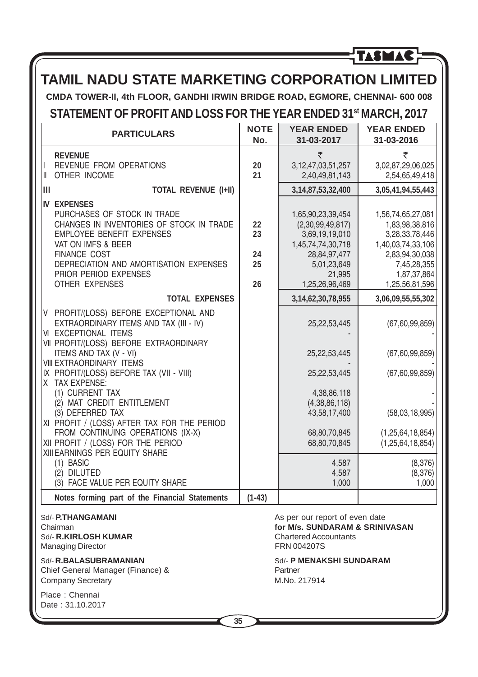| <b>TASMAC</b>                                                                                                                                                                                                                                                              |                            |                                                                                                                                         |                                                                                                                                              |  |
|----------------------------------------------------------------------------------------------------------------------------------------------------------------------------------------------------------------------------------------------------------------------------|----------------------------|-----------------------------------------------------------------------------------------------------------------------------------------|----------------------------------------------------------------------------------------------------------------------------------------------|--|
| <b>TAMIL NADU STATE MARKETING CORPORATION LIMITED</b>                                                                                                                                                                                                                      |                            |                                                                                                                                         |                                                                                                                                              |  |
| CMDA TOWER-II, 4th FLOOR, GANDHI IRWIN BRIDGE ROAD, EGMORE, CHENNAI- 600 008                                                                                                                                                                                               |                            |                                                                                                                                         |                                                                                                                                              |  |
| STATEMENT OF PROFIT AND LOSS FOR THE YEAR ENDED 31 <sup>st</sup> MARCH, 2017                                                                                                                                                                                               |                            |                                                                                                                                         |                                                                                                                                              |  |
| <b>PARTICULARS</b>                                                                                                                                                                                                                                                         | <b>NOTE</b><br>No.         | <b>YEAR ENDED</b><br>31-03-2017                                                                                                         | <b>YEAR ENDED</b><br>31-03-2016                                                                                                              |  |
| <b>REVENUE</b><br>REVENUE FROM OPERATIONS<br>$\parallel$<br>OTHER INCOME                                                                                                                                                                                                   | 20<br>21                   | ₹<br>3, 12, 47, 03, 51, 257<br>2,40,49,81,143                                                                                           | ₹<br>3,02,87,29,06,025<br>2,54,65,49,418                                                                                                     |  |
| Ш<br><b>TOTAL REVENUE (I+II)</b>                                                                                                                                                                                                                                           |                            | 3, 14, 87, 53, 32, 400                                                                                                                  | 3,05,41,94,55,443                                                                                                                            |  |
| <b>IV EXPENSES</b><br>PURCHASES OF STOCK IN TRADE<br>CHANGES IN INVENTORIES OF STOCK IN TRADE<br><b>EMPLOYEE BENEFIT EXPENSES</b><br>VAT ON IMFS & BEER<br><b>FINANCE COST</b><br>DEPRECIATION AND AMORTISATION EXPENSES<br>PRIOR PERIOD EXPENSES<br><b>OTHER EXPENSES</b> | 22<br>23<br>24<br>25<br>26 | 1,65,90,23,39,454<br>(2,30,99,49,817)<br>3,69,19,19,010<br>1,45,74,74,30,718<br>28,84,97,477<br>5,01,23,649<br>21,995<br>1,25,26,96,469 | 1,56,74,65,27,081<br>1,83,98,38,816<br>3,28,33,78,446<br>1,40,03,74,33,106<br>2,83,94,30,038<br>7,45,28,355<br>1,87,37,864<br>1,25,56,81,596 |  |
| <b>TOTAL EXPENSES</b>                                                                                                                                                                                                                                                      |                            | 3, 14, 62, 30, 78, 955                                                                                                                  | 3,06,09,55,55,302                                                                                                                            |  |
| V PROFIT/(LOSS) BEFORE EXCEPTIONAL AND<br>EXTRAORDINARY ITEMS AND TAX (III - IV)<br><b>VI EXCEPTIONAL ITEMS</b><br>VII PROFIT/(LOSS) BEFORE EXTRAORDINARY                                                                                                                  |                            | 25, 22, 53, 445                                                                                                                         | (67, 60, 99, 859)                                                                                                                            |  |
| <b>ITEMS AND TAX (V - VI)</b><br><b>VIII EXTRAORDINARY ITEMS</b>                                                                                                                                                                                                           |                            | 25,22,53,445                                                                                                                            | (67, 60, 99, 859)                                                                                                                            |  |
| IX PROFIT/(LOSS) BEFORE TAX (VII - VIII)<br>X TAX EXPENSE:                                                                                                                                                                                                                 |                            | 25,22,53,445                                                                                                                            | (67, 60, 99, 859)                                                                                                                            |  |
| (1) CURRENT TAX<br>(2) MAT CREDIT ENTITLEMENT<br>(3) DEFERRED TAX<br>XI PROFIT / (LOSS) AFTER TAX FOR THE PERIOD                                                                                                                                                           |                            | 4,38,86,118<br>(4,38,86,118)<br>43,58,17,400                                                                                            | (58,03,18,995)                                                                                                                               |  |
| FROM CONTINUING OPERATIONS (IX-X)<br>XII PROFIT / (LOSS) FOR THE PERIOD<br>XIII EARNINGS PER EQUITY SHARE                                                                                                                                                                  |                            | 68,80,70,845<br>68,80,70,845                                                                                                            | (1, 25, 64, 18, 854)<br>(1, 25, 64, 18, 854)                                                                                                 |  |
| $(1)$ BASIC<br>(2) DILUTED<br>(3) FACE VALUE PER EQUITY SHARE                                                                                                                                                                                                              |                            | 4,587<br>4,587<br>1,000                                                                                                                 | (8,376)<br>(8,376)<br>1,000                                                                                                                  |  |
| Notes forming part of the Financial Statements                                                                                                                                                                                                                             | $(1-43)$                   |                                                                                                                                         |                                                                                                                                              |  |
| Sd/- P.THANGAMANI<br>Chairman<br>Sd/- R.KIRLOSH KUMAR<br><b>Managing Director</b>                                                                                                                                                                                          |                            | As per our report of even date<br>for M/s. SUNDARAM & SRINIVASAN<br><b>Chartered Accountants</b><br>FRN 004207S                         |                                                                                                                                              |  |

Sd/- **R.BALASUBRAMANIAN**<br>
Chief General Manager (Finance) & Partner<br>
Partner Company Secretary **M.No. 217914** 

Place : Chennai Date : 31.10.2017

Chief General Manager (Finance) &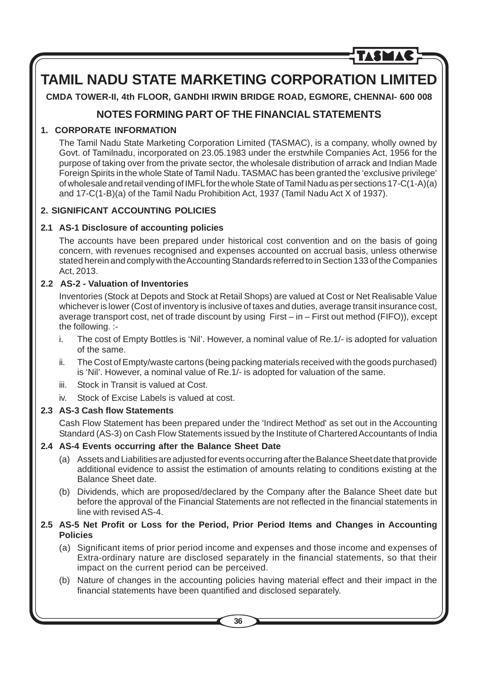# **TAMIL NADU STATE MARKETING CORPORATION LIMITED**

**CMDA TOWER-II, 4th FLOOR, GANDHI IRWIN BRIDGE ROAD, EGMORE, CHENNAI- 600 008**

### **NOTES FORMING PART OF THE FINANCIAL STATEMENTS**

### **1. CORPORATE INFORMATION**

The Tamil Nadu State Marketing Corporation Limited (TASMAC), is a company, wholly owned by Govt. of Tamilnadu, incorporated on 23.05.1983 under the erstwhile Companies Act, 1956 for the purpose of taking over from the private sector, the wholesale distribution of arrack and Indian Made Foreign Spirits in the whole State of Tamil Nadu. TASMAC has been granted the 'exclusive privilege' of wholesale and retail vending of IMFL for the whole State of Tamil Nadu as per sections 17-C(1-A)(a) and 17-C(1-B)(a) of the Tamil Nadu Prohibition Act, 1937 (Tamil Nadu Act X of 1937).

### **2. SIGNIFICANT ACCOUNTING POLICIES**

### **2.1 AS-1 Disclosure of accounting policies**

The accounts have been prepared under historical cost convention and on the basis of going concern, with revenues recognised and expenses accounted on accrual basis, unless otherwise stated herein and comply with the Accounting Standards referred to in Section 133 of the Companies Act, 2013.

### **2.2 AS-2 - Valuation of Inventories**

Inventories (Stock at Depots and Stock at Retail Shops) are valued at Cost or Net Realisable Value whichever is lower (Cost of inventory is inclusive of taxes and duties, average transit insurance cost, average transport cost, net of trade discount by using First – in – First out method (FIFO)), except the following. :-

- i. The cost of Empty Bottles is 'Nil'. However, a nominal value of Re.1/- is adopted for valuation of the same.
- ii. The Cost of Empty/waste cartons (being packing materials received with the goods purchased) is 'Nil'. However, a nominal value of Re.1/- is adopted for valuation of the same.
- iii. Stock in Transit is valued at Cost.
- iv. Stock of Excise Labels is valued at cost.

### **2.3 AS-3 Cash flow Statements**

Cash Flow Statement has been prepared under the 'Indirect Method' as set out in the Accounting Standard (AS-3) on Cash Flow Statements issued by the Institute of Chartered Accountants of India

### **2.4 AS-4 Events occurring after the Balance Sheet Date**

- (a) Assets and Liabilities are adjusted for events occurring after the Balance Sheet date that provide additional evidence to assist the estimation of amounts relating to conditions existing at the Balance Sheet date.
- (b) Dividends, which are proposed/declared by the Company after the Balance Sheet date but before the approval of the Financial Statements are not reflected in the financial statements in line with revised AS-4.

### **2.5 AS-5 Net Profit or Loss for the Period, Prior Period Items and Changes in Accounting Policies**

- (a) Significant items of prior period income and expenses and those income and expenses of Extra-ordinary nature are disclosed separately in the financial statements, so that their impact on the current period can be perceived.
- (b) Nature of changes in the accounting policies having material effect and their impact in the financial statements have been quantified and disclosed separately.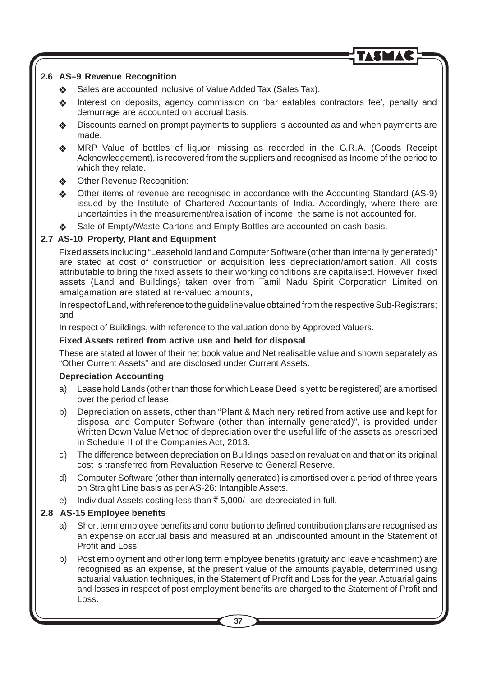### **2.6 AS–9 Revenue Recognition**

- Sales are accounted inclusive of Value Added Tax (Sales Tax).
- **A** Interest on deposits, agency commission on 'bar eatables contractors fee', penalty and demurrage are accounted on accrual basis.

**TASMA** 

- **EXECUTE:** Discounts earned on prompt payments to suppliers is accounted as and when payments are made.
- Â MRP Value of bottles of liquor, missing as recorded in the G.R.A. (Goods Receipt Acknowledgement), is recovered from the suppliers and recognised as Income of the period to which they relate.
- ◆ Other Revenue Recognition:
- **A** Other items of revenue are recognised in accordance with the Accounting Standard (AS-9) issued by the Institute of Chartered Accountants of India. Accordingly, where there are uncertainties in the measurement/realisation of income, the same is not accounted for.
- Sale of Empty/Waste Cartons and Empty Bottles are accounted on cash basis.

### **2.7 AS-10 Property, Plant and Equipment**

Fixed assets including "Leasehold land and Computer Software (other than internally generated)" are stated at cost of construction or acquisition less depreciation/amortisation. All costs attributable to bring the fixed assets to their working conditions are capitalised. However, fixed assets (Land and Buildings) taken over from Tamil Nadu Spirit Corporation Limited on amalgamation are stated at re-valued amounts,

In respect of Land, with reference to the guideline value obtained from the respective Sub-Registrars; and

In respect of Buildings, with reference to the valuation done by Approved Valuers.

### **Fixed Assets retired from active use and held for disposal**

These are stated at lower of their net book value and Net realisable value and shown separately as "Other Current Assets" and are disclosed under Current Assets.

### **Depreciation Accounting**

- a) Lease hold Lands (other than those for which Lease Deed is yet to be registered) are amortised over the period of lease.
- b) Depreciation on assets, other than "Plant & Machinery retired from active use and kept for disposal and Computer Software (other than internally generated)", is provided under Written Down Value Method of depreciation over the useful life of the assets as prescribed in Schedule II of the Companies Act, 2013.
- c) The difference between depreciation on Buildings based on revaluation and that on its original cost is transferred from Revaluation Reserve to General Reserve.
- d) Computer Software (other than internally generated) is amortised over a period of three years on Straight Line basis as per AS-26: Intangible Assets.
- e) Individual Assets costing less than  $\bar{\tau}$  5,000/- are depreciated in full.

### **2.8 AS-15 Employee benefits**

- a) Short term employee benefits and contribution to defined contribution plans are recognised as an expense on accrual basis and measured at an undiscounted amount in the Statement of Profit and Loss.
- b) Post employment and other long term employee benefits (gratuity and leave encashment) are recognised as an expense, at the present value of the amounts payable, determined using actuarial valuation techniques, in the Statement of Profit and Loss for the year. Actuarial gains and losses in respect of post employment benefits are charged to the Statement of Profit and Loss.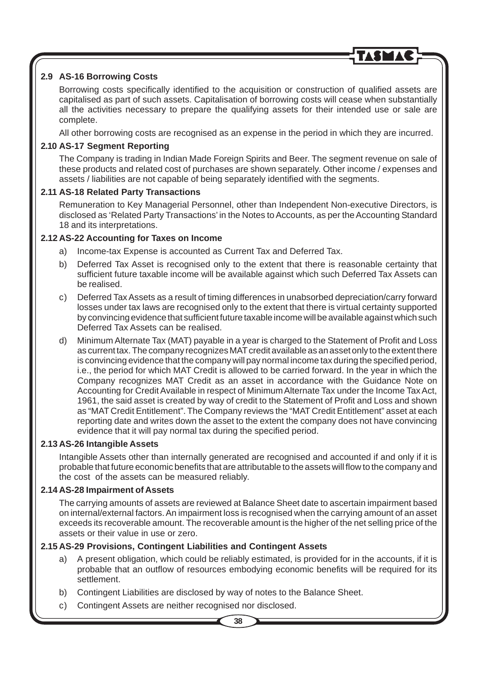### **2.9 AS-16 Borrowing Costs**

Borrowing costs specifically identified to the acquisition or construction of qualified assets are capitalised as part of such assets. Capitalisation of borrowing costs will cease when substantially all the activities necessary to prepare the qualifying assets for their intended use or sale are complete.

**TASMAC** 

All other borrowing costs are recognised as an expense in the period in which they are incurred.

### **2.10 AS-17 Segment Reporting**

The Company is trading in Indian Made Foreign Spirits and Beer. The segment revenue on sale of these products and related cost of purchases are shown separately. Other income / expenses and assets / liabilities are not capable of being separately identified with the segments.

### **2.11 AS-18 Related Party Transactions**

Remuneration to Key Managerial Personnel, other than Independent Non-executive Directors, is disclosed as 'Related Party Transactions' in the Notes to Accounts, as per the Accounting Standard 18 and its interpretations.

### **2.12 AS-22 Accounting for Taxes on Income**

- a) Income-tax Expense is accounted as Current Tax and Deferred Tax.
- b) Deferred Tax Asset is recognised only to the extent that there is reasonable certainty that sufficient future taxable income will be available against which such Deferred Tax Assets can be realised.
- c) Deferred Tax Assets as a result of timing differences in unabsorbed depreciation/carry forward losses under tax laws are recognised only to the extent that there is virtual certainty supported by convincing evidence that sufficient future taxable income will be available against which such Deferred Tax Assets can be realised.
- d) Minimum Alternate Tax (MAT) payable in a year is charged to the Statement of Profit and Loss as current tax. The company recognizes MAT credit available as an asset only to the extent there is convincing evidence that the company will pay normal income tax during the specified period, i.e., the period for which MAT Credit is allowed to be carried forward. In the year in which the Company recognizes MAT Credit as an asset in accordance with the Guidance Note on Accounting for Credit Available in respect of Minimum Alternate Tax under the Income Tax Act, 1961, the said asset is created by way of credit to the Statement of Profit and Loss and shown as "MAT Credit Entitlement". The Company reviews the "MAT Credit Entitlement" asset at each reporting date and writes down the asset to the extent the company does not have convincing evidence that it will pay normal tax during the specified period.

### **2.13 AS-26 Intangible Assets**

Intangible Assets other than internally generated are recognised and accounted if and only if it is probable that future economic benefits that are attributable to the assets will flow to the company and the cost of the assets can be measured reliably.

### **2.14 AS-28 Impairment of Assets**

The carrying amounts of assets are reviewed at Balance Sheet date to ascertain impairment based on internal/external factors. An impairment loss is recognised when the carrying amount of an asset exceeds its recoverable amount. The recoverable amount is the higher of the net selling price of the assets or their value in use or zero.

### **2.15 AS-29 Provisions, Contingent Liabilities and Contingent Assets**

- a) A present obligation, which could be reliably estimated, is provided for in the accounts, if it is probable that an outflow of resources embodying economic benefits will be required for its settlement.
- b) Contingent Liabilities are disclosed by way of notes to the Balance Sheet.
- c) Contingent Assets are neither recognised nor disclosed.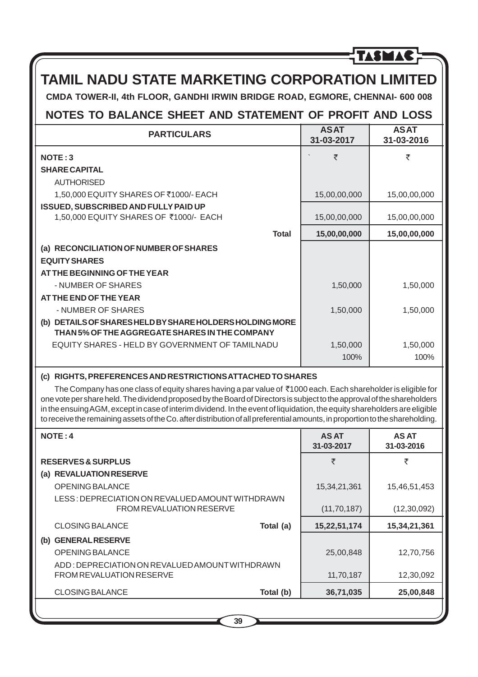# **TAMIL NADU STATE MARKETING CORPORATION LIMITED**

TASMAC,

**CMDA TOWER-II, 4th FLOOR, GANDHI IRWIN BRIDGE ROAD, EGMORE, CHENNAI- 600 008**

### **NOTES TO BALANCE SHEET AND STATEMENT OF PROFIT AND LOSS**

| <b>PARTICULARS</b>                                       | <b>ASAT</b><br>31-03-2017 | <b>ASAT</b><br>31-03-2016 |
|----------------------------------------------------------|---------------------------|---------------------------|
| NOTE:3                                                   | ₹                         | ₹                         |
| <b>SHARE CAPITAL</b>                                     |                           |                           |
| <b>AUTHORISED</b>                                        |                           |                           |
| 1,50,000 EQUITY SHARES OF ₹1000/- EACH                   | 15,00,00,000              | 15,00,00,000              |
| ISSUED, SUBSCRIBED AND FULLY PAID UP                     |                           |                           |
| 1,50,000 EQUITY SHARES OF ₹1000/- EACH                   | 15,00,00,000              | 15,00,00,000              |
| <b>Total</b>                                             | 15,00,00,000              | 15,00,00,000              |
| (a) RECONCILIATION OF NUMBER OF SHARES                   |                           |                           |
| <b>EQUITY SHARES</b>                                     |                           |                           |
| AT THE BEGINNING OF THE YEAR                             |                           |                           |
| - NUMBER OF SHARES                                       | 1,50,000                  | 1,50,000                  |
| AT THE END OF THE YEAR                                   |                           |                           |
| - NUMBER OF SHARES                                       | 1,50,000                  | 1,50,000                  |
| (b) DETAILS OF SHARES HELD BY SHARE HOLDERS HOLDING MORE |                           |                           |
| THAN 5% OF THE AGGREGATE SHARES IN THE COMPANY           |                           |                           |
| EQUITY SHARES - HELD BY GOVERNMENT OF TAMILNADU          | 1,50,000                  | 1,50,000                  |
|                                                          | 100%                      | 100%                      |

### **(c) RIGHTS, PREFERENCES AND RESTRICTIONS ATTACHED TO SHARES**

The Company has one class of equity shares having a par value of ₹1000 each. Each shareholder is eligible for one vote per share held. The dividend proposed by the Board of Directors is subject to the approval of the shareholders in the ensuing AGM, except in case of interim dividend. In the event of liquidation, the equity shareholders are eligible to receive the remaining assets of the Co. after distribution of all preferential amounts, in proportion to the shareholding.

| NOTE: 4                                                                     | <b>AS AT</b><br>31-03-2017 | <b>AS AT</b><br>31-03-2016 |
|-----------------------------------------------------------------------------|----------------------------|----------------------------|
| <b>RESERVES &amp; SURPLUS</b>                                               | ₹                          | ₹                          |
| <b>REVALUATION RESERVE</b><br>(a)                                           |                            |                            |
| OPENING BALANCE                                                             | 15, 34, 21, 361            | 15,46,51,453               |
| LESS: DEPRECIATION ON REVALUED AMOUNT WITHDRAWN<br>FROM REVALUATION RESERVE | (11, 70, 187)              | (12, 30, 092)              |
| CLOSING BALANCE<br>Total (a)                                                | 15,22,51,174               | 15,34,21,361               |
| <b>GENERAL RESERVE</b><br>(b)                                               |                            |                            |
| OPENING BALANCE                                                             | 25,00,848                  | 12,70,756                  |
| ADD: DEPRECIATION ON REVALUED AMOUNT WITHDRAWN<br>FROM REVALUATION RESERVE  | 11,70,187                  | 12,30,092                  |
| CLOSING BALANCE<br>Total (b)                                                | 36,71,035                  | 25,00,848                  |
|                                                                             |                            |                            |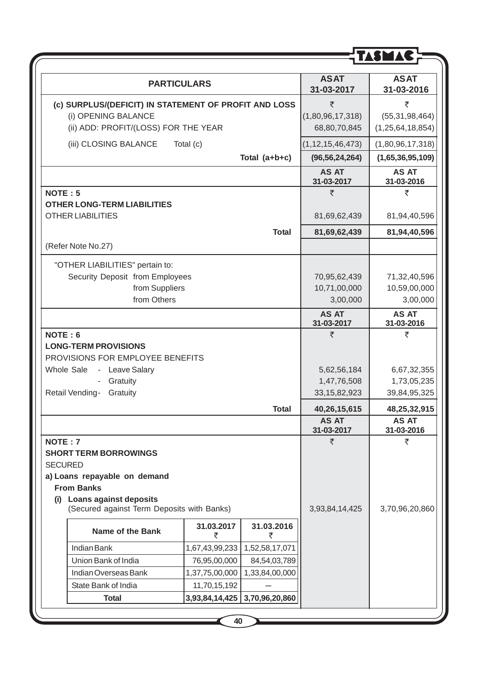|                                                                                                                                                                                            | <b>PARTICULARS</b> |                                 |                                                    | <b>ASAT</b><br>31-03-2016                       |
|--------------------------------------------------------------------------------------------------------------------------------------------------------------------------------------------|--------------------|---------------------------------|----------------------------------------------------|-------------------------------------------------|
| (c) SURPLUS/(DEFICIT) IN STATEMENT OF PROFIT AND LOSS<br>(i) OPENING BALANCE<br>(ii) ADD: PROFIT/(LOSS) FOR THE YEAR                                                                       |                    |                                 | ₹<br>(1,80,96,17,318)<br>68,80,70,845              | ₹<br>(55, 31, 98, 464)<br>(1, 25, 64, 18, 854)  |
| (iii) CLOSING BALANCE                                                                                                                                                                      | Total (c)          |                                 | (1, 12, 15, 46, 473)                               | (1,80,96,17,318)                                |
|                                                                                                                                                                                            |                    | Total (a+b+c)                   | (96, 56, 24, 264)                                  | (1,65,36,95,109)                                |
|                                                                                                                                                                                            |                    |                                 | <b>AS AT</b><br>31-03-2017                         | <b>AS AT</b><br>31-03-2016                      |
| NOTE: 5<br><b>OTHER LONG-TERM LIABILITIES</b><br><b>OTHER LIABILITIES</b>                                                                                                                  |                    |                                 | ₹<br>81,69,62,439                                  | ₹<br>81,94,40,596                               |
|                                                                                                                                                                                            |                    | <b>Total</b>                    | 81,69,62,439                                       | 81,94,40,596                                    |
| (Refer Note No.27)                                                                                                                                                                         |                    |                                 |                                                    |                                                 |
| "OTHER LIABILITIES" pertain to:<br>Security Deposit from Employees<br>from Suppliers<br>from Others                                                                                        |                    |                                 | 70,95,62,439<br>10,71,00,000<br>3,00,000           | 71,32,40,596<br>10,59,00,000<br>3,00,000        |
|                                                                                                                                                                                            |                    |                                 | <b>AS AT</b><br>31-03-2017                         | <b>AS AT</b><br>31-03-2016                      |
| NOTE: 6<br><b>LONG-TERM PROVISIONS</b><br>PROVISIONS FOR EMPLOYEE BENEFITS<br>Whole Sale<br>- Leave Salary<br>Gratuity<br><b>Retail Vending-</b><br>Gratuity                               |                    |                                 | ₹<br>5,62,56,184<br>1,47,76,508<br>33, 15, 82, 923 | ₹<br>6,67,32,355<br>1,73,05,235<br>39,84,95,325 |
|                                                                                                                                                                                            |                    | <b>Total</b>                    | 40,26,15,615                                       | 48,25,32,915                                    |
|                                                                                                                                                                                            |                    |                                 | <b>AS AT</b><br>31-03-2017                         | <b>AS AT</b><br>31-03-2016                      |
| NOTE: 7<br><b>SHORT TERM BORROWINGS</b><br><b>SECURED</b><br>a) Loans repayable on demand<br><b>From Banks</b><br>(i) Loans against deposits<br>(Secured against Term Deposits with Banks) |                    | ₹<br>3,93,84,14,425             | ₹<br>3,70,96,20,860                                |                                                 |
| <b>Name of the Bank</b>                                                                                                                                                                    | 31.03.2017<br>₹    | 31.03.2016                      |                                                    |                                                 |
| <b>Indian Bank</b>                                                                                                                                                                         |                    | 1,67,43,99,233   1,52,58,17,071 |                                                    |                                                 |
| Union Bank of India                                                                                                                                                                        | 76,95,00,000       | 84,54,03,789                    |                                                    |                                                 |
| Indian Overseas Bank                                                                                                                                                                       | 1,37,75,00,000     | 1,33,84,00,000                  |                                                    |                                                 |
| State Bank of India                                                                                                                                                                        | 11,70,15,192       |                                 |                                                    |                                                 |
| <b>Total</b>                                                                                                                                                                               |                    | 3,93,84,14,425 3,70,96,20,860   |                                                    |                                                 |
|                                                                                                                                                                                            | 40                 |                                 |                                                    |                                                 |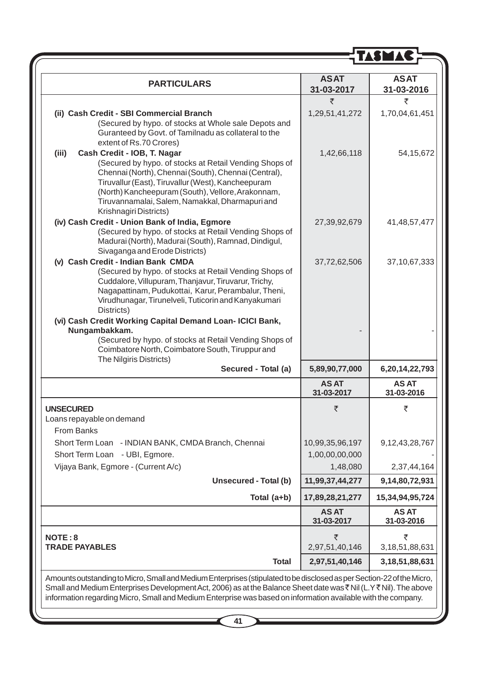# TASMAC

| <b>PARTICULARS</b>                                                                                                                                                                                                                                                                                                                                                                                                                                                                                       | <b>ASAT</b><br>31-03-2017         | <b>ASAT</b><br>31-03-2016  |
|----------------------------------------------------------------------------------------------------------------------------------------------------------------------------------------------------------------------------------------------------------------------------------------------------------------------------------------------------------------------------------------------------------------------------------------------------------------------------------------------------------|-----------------------------------|----------------------------|
|                                                                                                                                                                                                                                                                                                                                                                                                                                                                                                          | ₹                                 | ₹                          |
| (ii) Cash Credit - SBI Commercial Branch<br>(Secured by hypo. of stocks at Whole sale Depots and<br>Guranteed by Govt. of Tamilnadu as collateral to the<br>extent of Rs.70 Crores)                                                                                                                                                                                                                                                                                                                      | 1,29,51,41,272                    | 1,70,04,61,451             |
| (iii)<br>Cash Credit - IOB, T. Nagar<br>(Secured by hypo. of stocks at Retail Vending Shops of<br>Chennai (North), Chennai (South), Chennai (Central),<br>Tiruvallur (East), Tiruvallur (West), Kancheepuram<br>(North) Kancheepuram (South), Vellore, Arakonnam,<br>Tiruvannamalai, Salem, Namakkal, Dharmapuri and<br>Krishnagiri Districts)                                                                                                                                                           | 1,42,66,118                       | 54, 15, 672                |
| (iv) Cash Credit - Union Bank of India, Egmore<br>(Secured by hypo. of stocks at Retail Vending Shops of<br>Madurai (North), Madurai (South), Ramnad, Dindigul,<br>Sivaganga and Erode Districts)                                                                                                                                                                                                                                                                                                        | 27,39,92,679                      | 41,48,57,477               |
| (v) Cash Credit - Indian Bank CMDA<br>(Secured by hypo. of stocks at Retail Vending Shops of<br>Cuddalore, Villupuram, Thanjavur, Tiruvarur, Trichy,<br>Nagapattinam, Pudukottai, Karur, Perambalur, Theni,<br>Virudhunagar, Tirunelveli, Tuticorin and Kanyakumari<br>Districts)<br>(vi) Cash Credit Working Capital Demand Loan- ICICI Bank,<br>Nungambakkam.<br>(Secured by hypo. of stocks at Retail Vending Shops of<br>Coimbatore North, Coimbatore South, Tiruppur and<br>The Nilgiris Districts) | 37,72,62,506                      | 37,10,67,333               |
| Secured - Total (a)                                                                                                                                                                                                                                                                                                                                                                                                                                                                                      | 5,89,90,77,000                    | 6,20,14,22,793             |
|                                                                                                                                                                                                                                                                                                                                                                                                                                                                                                          | <b>AS AT</b><br>31-03-2017        | <b>AS AT</b><br>31-03-2016 |
| <b>UNSECURED</b><br>Loans repayable on demand<br>From Banks                                                                                                                                                                                                                                                                                                                                                                                                                                              | ₹                                 | ₹                          |
| Short Term Loan - INDIAN BANK, CMDA Branch, Chennai<br>Short Term Loan - UBI, Egmore.                                                                                                                                                                                                                                                                                                                                                                                                                    | 10,99,35,96,197<br>1,00,00,00,000 | 9, 12, 43, 28, 767         |
| Vijaya Bank, Egmore - (Current A/c)                                                                                                                                                                                                                                                                                                                                                                                                                                                                      | 1,48,080                          | 2,37,44,164                |
| Unsecured - Total (b)                                                                                                                                                                                                                                                                                                                                                                                                                                                                                    | 11,99,37,44,277                   | 9,14,80,72,931             |
| Total (a+b)                                                                                                                                                                                                                                                                                                                                                                                                                                                                                              | 17,89,28,21,277                   | 15,34,94,95,724            |
|                                                                                                                                                                                                                                                                                                                                                                                                                                                                                                          | <b>AS AT</b><br>31-03-2017        | <b>AS AT</b><br>31-03-2016 |
|                                                                                                                                                                                                                                                                                                                                                                                                                                                                                                          |                                   |                            |
| NOTE: 8<br><b>TRADE PAYABLES</b>                                                                                                                                                                                                                                                                                                                                                                                                                                                                         | ₹<br>2,97,51,40,146               | ₹<br>3, 18, 51, 88, 631    |

information regarding Micro, Small and Medium Enterprise was based on information available with the company.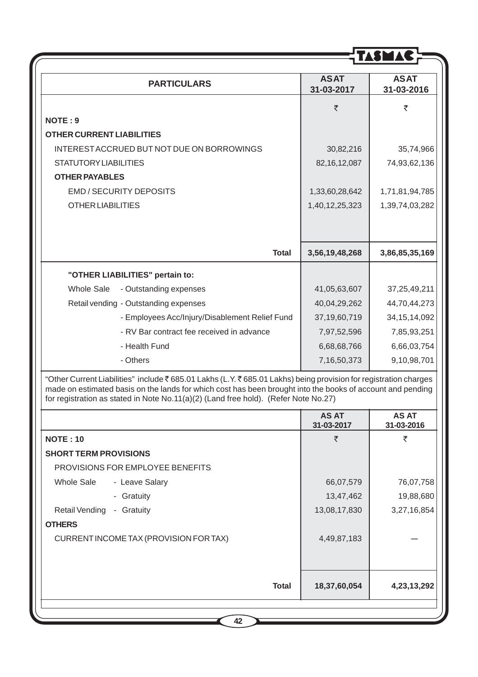| <b>PARTICULARS</b>                                                                                                                                                                                                            |              | <b>ASAT</b><br>31-03-2017  | <b>ASAT</b><br>31-03-2016             |  |
|-------------------------------------------------------------------------------------------------------------------------------------------------------------------------------------------------------------------------------|--------------|----------------------------|---------------------------------------|--|
|                                                                                                                                                                                                                               |              | ₹                          | ₹                                     |  |
| NOTE: 9                                                                                                                                                                                                                       |              |                            |                                       |  |
| <b>OTHER CURRENT LIABILITIES</b>                                                                                                                                                                                              |              |                            |                                       |  |
| INTEREST ACCRUED BUT NOT DUE ON BORROWINGS                                                                                                                                                                                    |              | 30,82,216                  | 35,74,966                             |  |
| <b>STATUTORY LIABILITIES</b>                                                                                                                                                                                                  |              | 82, 16, 12, 087            | 74,93,62,136                          |  |
| <b>OTHER PAYABLES</b>                                                                                                                                                                                                         |              |                            |                                       |  |
| <b>EMD / SECURITY DEPOSITS</b>                                                                                                                                                                                                |              | 1,33,60,28,642             | 1,71,81,94,785                        |  |
| <b>OTHER LIABILITIES</b>                                                                                                                                                                                                      |              | 1,40,12,25,323             | 1,39,74,03,282                        |  |
|                                                                                                                                                                                                                               |              |                            |                                       |  |
|                                                                                                                                                                                                                               | <b>Total</b> | 3,56,19,48,268             | 3,86,85,35,169                        |  |
| "OTHER LIABILITIES" pertain to:                                                                                                                                                                                               |              |                            |                                       |  |
| <b>Whole Sale</b><br>- Outstanding expenses                                                                                                                                                                                   |              | 41,05,63,607               | 37,25,49,211                          |  |
| Retail vending - Outstanding expenses                                                                                                                                                                                         |              | 40,04,29,262               | 44,70,44,273                          |  |
| - Employees Acc/Injury/Disablement Relief Fund                                                                                                                                                                                |              | 37, 19, 60, 719            | 34, 15, 14, 092                       |  |
| - RV Bar contract fee received in advance                                                                                                                                                                                     |              | 7,97,52,596                | 7,85,93,251                           |  |
| - Health Fund                                                                                                                                                                                                                 |              | 6,68,68,766                | 6,66,03,754                           |  |
| - Others                                                                                                                                                                                                                      |              | 7, 16, 50, 373             | 9,10,98,701                           |  |
| "Other Current Liabilities" include ₹685.01 Lakhs (L.Y. ₹685.01 Lakhs) being provision for registration charges<br>made on estimated basis on the lands for which cost has been brought into the books of account and pending |              |                            |                                       |  |
| for registration as stated in Note No.11(a)(2) (Land free hold). (Refer Note No.27)                                                                                                                                           |              |                            |                                       |  |
|                                                                                                                                                                                                                               |              | <b>AS AT</b><br>31-03-2017 | <b>AS AT</b><br>31-03-2016            |  |
| <b>NOTE: 10</b>                                                                                                                                                                                                               |              | ₹                          | ₹                                     |  |
| <b>SHORT TERM PROVISIONS</b>                                                                                                                                                                                                  |              |                            |                                       |  |
| PROVISIONS FOR EMPLOYEE BENEFITS                                                                                                                                                                                              |              |                            |                                       |  |
| <b>Whole Sale</b><br>- Leave Salary                                                                                                                                                                                           |              | 66,07,579                  |                                       |  |
| - Gratuity                                                                                                                                                                                                                    |              | 13,47,462                  |                                       |  |
| <b>Retail Vending</b><br>- Gratuity                                                                                                                                                                                           |              | 13,08,17,830               |                                       |  |
|                                                                                                                                                                                                                               |              |                            |                                       |  |
| <b>OTHERS</b><br>CURRENT INCOME TAX (PROVISION FOR TAX)                                                                                                                                                                       |              | 4,49,87,183                | 76,07,758<br>19,88,680<br>3,27,16,854 |  |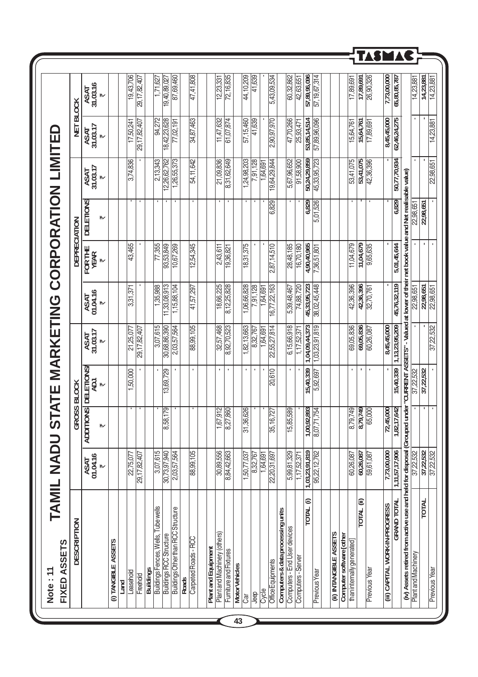**TASMAC** 47,41,808  $\frac{17,89,691}{17,89,691}$  $14,23,881$ 19.43.706  $1,71,627$ 87,69,460 12,23,331 72,16,835 44,10,209 41,639 5,43,09,534 60,32,862 57,89,96,096 26,90,326 7,73,00,000 Leasehold 22,75,077 - 1,50,275,077 - 1,50,000 3,31,371 43,465 - 3,31,371,865 - 3,74,836 17,50,241 17,50,241 19,43,706 Freehold 29,17,82,407 - - 29,17,82,407 - - - - 29,17,82,407 29,17,82,407 Buildings Fences, Wells, Tube wells Tube wells 3,07,615 - - - - - 3,07,615 1,355 - 2,13,555 - 2,13,343 - 2,13,343 1,71,627<br>Buildings Fences, Wells, Tube wells Buildings RCC Structure 30,73,97,940 8,58,179 13,69,729 30,68,86,390 11,33,08,913 93,53,849 - 12,26,62,762 18,42,23,628 19,40,89,027 Buildings Other than RCC Structure 2,03,57,564 - - 2,03,57,564 1,15,88,104 10,67,269 - 1,26,55,373 77,02,191 87,69,460 Carpeted Roads - RCC 88,99,105 - - 88,99,105 41,57,297 12,54,345 - 54,11,642 34,87,463 47,41,808 Furniture and Fixtures 8,84,42,663 8,84,42,663 8,84,25,860 - 8,12,25,828 8,12,25,828 8,12,25,828 8,12,25,888 8, Car 1,50,77,037 - 1,50,77,037 - 1,82,13,663 58,06,66,66,66,66,66,66,66,66,51,375 18,31,375 57,15,460 57,15,460 57,15,460 57,15,460 57,15,460 57,15,460 57,15,460 57,15,460 57,15,460 57,15,460 57,15,460 57,15,460 57,15,460 5 Jeep 8,32,767 - - 8,32,767 7,91,128 - - 7,91,128 41,639 41,639 Cycle 1,64,691 - - 1,64,691 1,64,691 - - 1,64,691 - - OfficeEquipments 22,20,31,697 22,20,31,697 35,16,37,22,163 20,610 20,610 2,55,27,634 2,87,14,510 2,67,14,510 6,829 19,64,29,844 2,970 5,43,09,534 Computers - End User devices 5,99,81,329 15,85,589 15,85,585,589 - 5,15,66,585 - 5,39,48,185 - 5,67,96,652 5,67,0,266 5,67,0,2682 5,67,0,2682 5,57,0,2682 5,57,0,2682 5,57,0,2682 5,57,0,2682 5,57,0,2682 5,57,0,2682 5,57,0,2 42,63,651 **TOTAL (i) 1,03,23,91,819 1,00,92,893 15,40,339 1,04,09,44,373 45,33,95,723 4,90,40,965 6,829 50,24,29,859 53,85,14,514 57,89,96,096** 57,19,67,314 Previous Year 95,22,12,762 85,22,12,762 8,07,71,754 5,92,697 1,03,23,91,819 38,02,45,448 7,36,51,801 5,01,526 45,33,95,723 57,89,96,096 57,19,67,314 Previous Year 59,61,087 - 1,087 59,61,087 - 1,087,00,26,087 - 1,087 - 1,087 - 42,396,691 - 42,90,326,90,326,90,326 **(iii) CAPITAL WORK-IN-PROGRESS 7,73,00,000 72,45,000 - 8,45,45,000 - - - - 8,45,45,000 7,73,00,000** 65,80,85,787 GRAND TOTAL [1,11,57,17,906 | 1,82,17,642| 15,40,339 | 1,13,23,95,209| 45,76,32,119 | 50,145,644 | 6,292 | 50,77,70,934 6,246,24,275 65,80,85,787 14,23,881 14,23,881 29, 17, 82, 407 Plant and Machinery (others) 30,89,556 1,67,912 - 32,57,468 18,66,225 2,43,611 2,43,611 2,43,611 12,23,331 12,23,331 Computers - Server 1,17,52,371 - - 1,17,52,371 74,88,720 16,70,180 - 91,58,900 25,93,471 42,63,651 than internally generated internally sensionally sensionally sensionally controlled the controlled internal sension of the controlled internal controlled internal than the controlled internal controlled internal controlled **TOTAL (ii) 60,26,087 8,79,749 - 69,05,836 42,36,396 11,04,679 - 53,41,075 15,64,761 17,89,691** Plant and Machinery 37,22,532 - 37,22,532 - 22,98,651 - 22,98,651 - - 14,23,881 **TOTAL 37,22,532 - 37,22,532 - 22,98,651 - 22,98,651 - - 14,23,881** Previous Year 37,22,532 - - 37,22,532 22,98,651 - - 22,98,651 14,23,881 14,23,881 9,40,89,02 ASAT<br>31.03.16 **01.04.16 ADJ. 31.03.17 01.04.16 YEAR 31.03.17 31.03.17 31.03.16 AS AT ADDITIONS DELETIONS/ AS AT AS AT FOR THE DELETIONS AS AT AS AT AS AT** \<br>\<br>\<br>\<br><br>\<br><br><br><br><br><br><br><br><br><br> **NET BLOCK DESCRIPTION GROSS BLOCK DEPRECIATION NET BLOCK** 94,272 15,64,761<br>15,64,761 8,45,45,000 34,87,463  $11,47,632$ 57,15,460 41,639 47,70,266  $\overline{25,93,471}$ 53,85,14,514 57,89,96,096 62,46,24,275  $17,50.241$ 29, 17, 82, 407 8,42,23,628 77,02,191 61,07,874 2,90,97,970 14,23,881 17,89,691  $\overline{ASAT}$ <br>31.03.17 **Note : 11 TAMIL NADU STATE MARKETING CORPORATION LIMITED FIXED ASSETS** TAMIL NADU STATE MARKETING CORPORATION LIMITED  $2, 13, 343$  $\frac{53,41,075}{53,41,075}$ 3.74,836 21,09,836 50,24,29,859 45,33,95,723 50,77,70,934 22,98,651 12,26,62.762 ,26,55,373 54,11,642 8,31,62,649 24,98,203 7,91,128 19,64,29,844 5,67,96,652 91,58,900 12,36,396  $\overline{ASAT}$ <br>31.03.17 1,64,691 (iv) Assets retired from active use and held for disposal (Grouped under "CURRENT ASSETS" - Valued at lower of their net book value and Net realisable value)  **(iv) Assets retired from active use and held for disposal (Grouped under "CURRENT ASSETS" - Valued at lower of their net book value and Net realisable value) DELETIONS** 6,829  $6,829$ 6.829 5,01,526 22,98,651 22,98,651  $\mathsf{h}\mathsf{v}$ **DEPRECIATION** 77,355  $\frac{11,04,679}{11,04,679}$ <br>9,65,635 43,465 10,67,269 16,70,180 FOR THE<br>YEAR<br>₹  $12,54,345$  $2,43,611$ 19,36,821 8.31.375  $2,87,14,510$ 28,48,185 4,90,40,965 5,01,45,644 93,53,849 7,36,51,801  $1,35,988$ 45,76,32,119  $1,15,88,104$ 8,66,225 1,06,66,828 16,77,22,163 74,88,720 45,33,95,723 38,02,45,448 42,36,396 42,36,396  $3.31.371$ 11,33,08,913 41,57,297 8,12,25,828 7,91,128 5,39,48,467 22,98,651 22,98,651 22,98,651 32,70,761  $1,64,691$  $\overline{ASAT}$ <br>01.04.16  $\begin{array}{c|c}\n & & \\
 & 31.03.17 \\
 & \uparrow & \\
 & \uparrow & \\
 & \uparrow & \\
 & \uparrow & \\
 & \uparrow & \\
 & \uparrow & \\
 & \uparrow & \\
 & \uparrow & \\
 & \uparrow & \\
 & \uparrow & \\
 & \uparrow & \\
 & \uparrow & \\
 & \uparrow & \\
 & \uparrow & \\
 & \uparrow & \\
 & \uparrow & \\
 & \uparrow & \\
 & \uparrow & \\
 & \uparrow & \\
 & \uparrow & \\
 & \uparrow & \\
 & \uparrow & \\
 & \uparrow & \\
 & \uparrow & \\
 & \uparrow & \\
 & \uparrow & \\
 & \uparrow & \\
 & \uparrow & \\
 & \uparrow & \\
 & \uparrow & \\
 & \uparrow & \\
 & \uparrow & \\
 & \uparrow$ 69,05,836<br>69,05,836<br>60,26,087  $3,07,615$ 22,55,27,814 6,15,66,918 1,04,09,44,373 15.40.339 | 1.13.23.95.209 21.25.077 29, 17, 82, 407 30,68,86,390 2,03,57,564 88,99,105 32,57,468 8,92,70,523 ,82,13,663 8,32,767 1,64,691  $1,17,52,371$ 1,03,23,91,819 8,45,45,000 37,22,532 ADDITIONS DELETIONS  $\frac{50,000}{\sqrt{25}}$  $5,92,697$ 20,610 13,69,729 15,40,339 37,22,532 37,22,532 **GROSS BLOCK**  $\overline{b}$ 8,27,860  $\frac{8,79,749}{8,79,749}$  $\frac{1}{67,912}$ 65,000 72,45,000 8,58,179 31,36,626 35, 16, 727 15,85,589 1,00,92,893 8,07,71,754 1,82,17,642  $\overline{b}$ 307,615 60,26,087<br>60,26,087 7,73,00,000 37,22,532 2,03,57,564 38,99,105 30,89,556 8,84,42,663 50,77,037 5,99,81,329 1,03,23,91,819 95,22,12,762 1,11,57,17,906 37,22,532 37,22,532 29,17,82,407 1,64,691 22,20,31,697  $\overline{ASAT}$ <br>01.04.16 22.75.077 8,32,767 59,61,087 1.17.52.371 TOTAL<sub>0</sub> **TOTAL** RAND TOTAL ε (iii) CAPITAL WORK-IN-PROGRESS **TOTAL Buildings**<br>Buildings Fences, Wells, Tube wells **Buildings Other than RCC Structure** Computers & data processing units **Computers & data processing units** DESCRIPTION Computers - End User devices Plant and Machinery (others) **Buildings RCC Structure** (ii) INTANGIBLE ASSETS Computer software [other **(ii) INTANGIBLE ASSETS Computer software [other** Carpeted Roads - RCC than internally generated] FIXED ASSETS **ID TANGIBLE ASSETS (i) TANGIBLE ASSETS Plant and Equipment Plant and Equipment** Furniture and Fixtures Plant and Machinery Computers - Server **Office Equipments Motor Vehicles Motor Vehicles** Note: 11 Previous Year Previous Year **Previous Year** Leasehold Freehold **Roads Land** Cycle **leel** ခြ **43**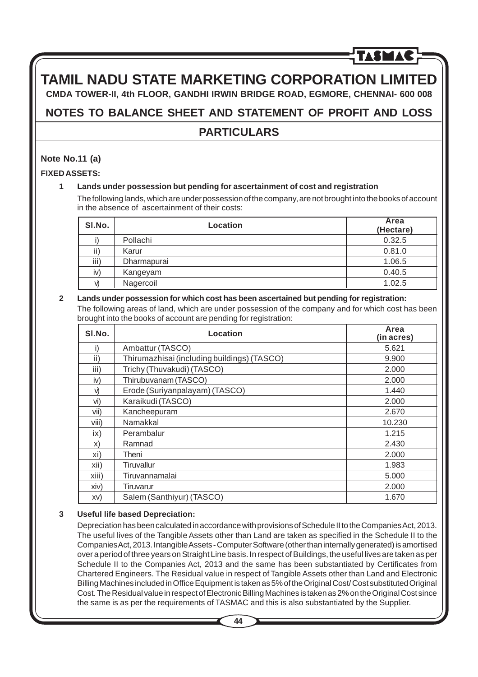# **TAMIL NADU STATE MARKETING CORPORATION LIMITED**

**CMDA TOWER-II, 4th FLOOR, GANDHI IRWIN BRIDGE ROAD, EGMORE, CHENNAI- 600 008**

### **NOTES TO BALANCE SHEET AND STATEMENT OF PROFIT AND LOSS**

### **PARTICULARS**

### **Note No.11 (a)**

#### **FIXED ASSETS:**

#### **1 Lands under possession but pending for ascertainment of cost and registration**

The following lands, which are under possession of the company, are not brought into the books of account in the absence of ascertainment of their costs:

| SI.No. | Location    | Area<br>(Hectare) |
|--------|-------------|-------------------|
|        | Pollachi    | 0.32.5            |
| ii)    | Karur       | 0.81.0            |
| iii)   | Dharmapurai | 1.06.5            |
| iv)    | Kangeyam    | 0.40.5            |
| V)     | Nagercoil   | 1.02.5            |

### **2 Lands under possession for which cost has been ascertained but pending for registration:**

The following areas of land, which are under possession of the company and for which cost has been brought into the books of account are pending for registration:

| SI.No. | Location                                    | Area<br>(in acres) |
|--------|---------------------------------------------|--------------------|
| i)     | Ambattur (TASCO)                            | 5.621              |
| ii)    | Thirumazhisai (including buildings) (TASCO) | 9.900              |
| iii)   | Trichy (Thuvakudi) (TASCO)                  | 2.000              |
| iv)    | Thirubuvanam (TASCO)                        | 2.000              |
| V)     | Erode (Suriyanpalayam) (TASCO)              | 1.440              |
| vi)    | Karaikudi (TASCO)                           | 2.000              |
| Vii)   | Kancheepuram                                | 2.670              |
| viii)  | Namakkal                                    | 10.230             |
| ix)    | Perambalur                                  | 1.215              |
| X)     | Ramnad                                      | 2.430              |
| xi)    | Theni                                       | 2.000              |
| xii)   | Tiruvallur                                  | 1.983              |
| xiii)  | Tiruvannamalai                              | 5.000              |
| xiiv)  | Tiruvarur                                   | 2.000              |
| XV)    | Salem (Santhiyur) (TASCO)                   | 1.670              |

#### **3 Useful life based Depreciation:**

Depreciation has been calculated in accordance with provisions of Schedule II to the Companies Act, 2013. The useful lives of the Tangible Assets other than Land are taken as specified in the Schedule II to the Companies Act, 2013. Intangible Assets - Computer Software (other than internally generated) is amortised over a period of three years on Straight Line basis. In respect of Buildings, the useful lives are taken as per Schedule II to the Companies Act, 2013 and the same has been substantiated by Certificates from Chartered Engineers. The Residual value in respect of Tangible Assets other than Land and Electronic Billing Machines included in Office Equipment is taken as 5% of the Original Cost/ Cost substituted Original Cost. The Residual value in respect of Electronic Billing Machines is taken as 2% on the Original Cost since the same is as per the requirements of TASMAC and this is also substantiated by the Supplier.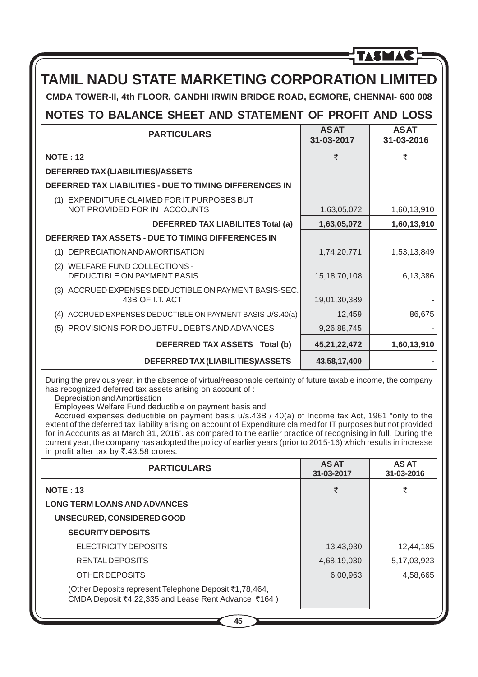# **TAMIL NADU STATE MARKETING CORPORATION LIMITED**

HASMAC

**CMDA TOWER-II, 4th FLOOR, GANDHI IRWIN BRIDGE ROAD, EGMORE, CHENNAI- 600 008**

### **NOTES TO BALANCE SHEET AND STATEMENT OF PROFIT AND LOSS**

| <b>PARTICULARS</b>                                                          | <b>ASAT</b><br>31-03-2017 | <b>ASAT</b><br>31-03-2016 |
|-----------------------------------------------------------------------------|---------------------------|---------------------------|
| <b>NOTE: 12</b>                                                             | ₹                         | ₹                         |
| DEFERRED TAX (LIABILITIES)/ASSETS                                           |                           |                           |
| DEFERRED TAX LIABILITIES - DUE TO TIMING DIFFERENCES IN                     |                           |                           |
| (1) EXPENDITURE CLAIMED FOR IT PURPOSES BUT<br>NOT PROVIDED FOR IN ACCOUNTS | 1,63,05,072               | 1,60,13,910               |
| <b>DEFERRED TAX LIABILITES Total (a)</b>                                    | 1,63,05,072               | 1,60,13,910               |
| DEFERRED TAX ASSETS - DUE TO TIMING DIFFERENCES IN                          |                           |                           |
| DEPRECIATION AND AMORTISATION<br>(1)                                        | 1,74,20,771               | 1,53,13,849               |
| (2) WELFARE FUND COLLECTIONS -<br><b>DEDUCTIBLE ON PAYMENT BASIS</b>        | 15, 18, 70, 108           | 6,13,386                  |
| ACCRUED EXPENSES DEDUCTIBLE ON PAYMENT BASIS-SEC.<br>(3)<br>43B OF I.T. ACT | 19,01,30,389              |                           |
| ACCRUED EXPENSES DEDUCTIBLE ON PAYMENT BASIS U/S.40(a)<br>(4)               | 12,459                    | 86,675                    |
| PROVISIONS FOR DOUBTFUL DEBTS AND ADVANCES<br>(5)                           | 9,26,88,745               |                           |
| DEFERRED TAX ASSETS Total (b)                                               | 45,21,22,472              | 1,60,13,910               |
| DEFERRED TAX (LIABILITIES)/ASSETS                                           | 43,58,17,400              |                           |

During the previous year, in the absence of virtual/reasonable certainty of future taxable income, the company has recognized deferred tax assets arising on account of :

Depreciation and Amortisation

Employees Welfare Fund deductible on payment basis and

Accrued expenses deductible on payment basis u/s.43B / 40(a) of Income tax Act, 1961 "only to the extent of the deferred tax liability arising on account of Expenditure claimed for IT purposes but not provided for in Accounts as at March 31, 2016'. as compared to the earlier practice of recognising in full. During the current year, the company has adopted the policy of earlier years (prior to 2015-16) which results in increase in profit after tax by  $\bar{\mathfrak{c}}$ .43.58 crores.

| <b>PARTICULARS</b>                                                                                            | <b>AS AT</b><br>31-03-2017 | <b>AS AT</b><br>31-03-2016 |
|---------------------------------------------------------------------------------------------------------------|----------------------------|----------------------------|
| NOTE: 13                                                                                                      | ₹                          | ₹                          |
| <b>LONG TERM LOANS AND ADVANCES</b>                                                                           |                            |                            |
| UNSECURED, CONSIDERED GOOD                                                                                    |                            |                            |
| <b>SECURITY DEPOSITS</b>                                                                                      |                            |                            |
| ELECTRICITY DEPOSITS                                                                                          | 13,43,930                  | 12,44,185                  |
| RENTAL DEPOSITS                                                                                               | 4,68,19,030                | 5,17,03,923                |
| OTHER DEPOSITS                                                                                                | 6,00,963                   | 4,58,665                   |
| (Other Deposits represent Telephone Deposit ₹1,78,464,<br>CMDA Deposit ₹4,22,335 and Lease Rent Advance ₹164) |                            |                            |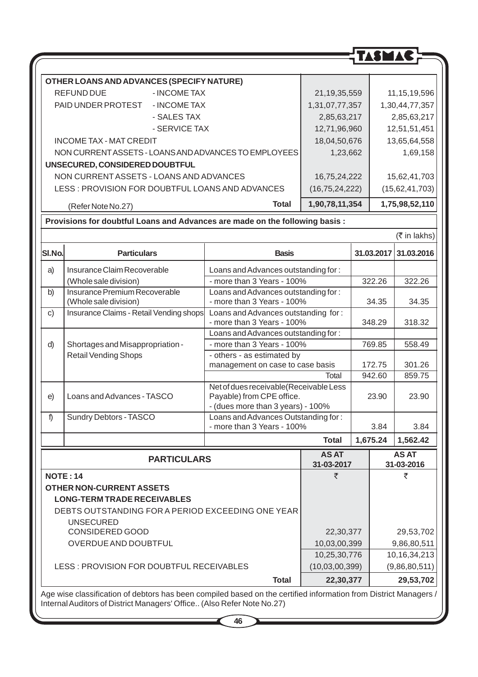| OTHER LOANS AND ADVANCES (SPECIFY NATURE)                                    |                   |                                |
|------------------------------------------------------------------------------|-------------------|--------------------------------|
| <b>REFUND DUE</b><br>- INCOME TAX                                            | 21, 19, 35, 559   | 11, 15, 19, 596                |
| PAID UNDER PROTEST<br>- INCOME TAX                                           | 1,31,07,77,357    | 1,30,44,77,357                 |
| - SALES TAX                                                                  | 2,85,63,217       | 2,85,63,217                    |
| - SERVICE TAX                                                                | 12,71,96,960      | 12,51,51,451                   |
| <b>INCOME TAX - MAT CREDIT</b>                                               | 18,04,50,676      | 13,65,64,558                   |
| NON CURRENT ASSETS - LOANS AND ADVANCES TO EMPLOYEES                         | 1,23,662          | 1,69,158                       |
| UNSECURED, CONSIDERED DOUBTFUL                                               |                   |                                |
| NON CURRENT ASSETS - LOANS AND ADVANCES                                      | 16,75,24,222      | 15,62,41,703                   |
| LESS: PROVISION FOR DOUBTFUL LOANS AND ADVANCES                              | (16, 75, 24, 222) | (15, 62, 41, 703)              |
| <b>Total</b><br>(Refer Note No.27)                                           | 1,90,78,11,354    | 1,75,98,52,110                 |
| Provisions for doubtful Loans and Advances are made on the following basis : |                   |                                |
|                                                                              |                   | $(\bar{\bar{\tau}})$ in lakhs) |

| SI.No.                               | <b>Particulars</b>                                                                                                                                                                         | <b>Basis</b>                                                                                              |                            |          | 31.03.2017 31.03.2016      |
|--------------------------------------|--------------------------------------------------------------------------------------------------------------------------------------------------------------------------------------------|-----------------------------------------------------------------------------------------------------------|----------------------------|----------|----------------------------|
| a)                                   | Insurance Claim Recoverable                                                                                                                                                                | Loans and Advances outstanding for:                                                                       |                            |          |                            |
|                                      | (Whole sale division)                                                                                                                                                                      | - more than 3 Years - 100%                                                                                |                            | 322.26   | 322.26                     |
| b)                                   | Insurance Premium Recoverable<br>(Whole sale division)                                                                                                                                     | Loans and Advances outstanding for:<br>- more than 3 Years - 100%                                         |                            | 34.35    | 34.35                      |
| $\mathbf{C}$                         | Insurance Claims - Retail Vending shops                                                                                                                                                    | Loans and Advances outstanding for:<br>- more than 3 Years - 100%                                         |                            | 348.29   | 318.32                     |
|                                      |                                                                                                                                                                                            | Loans and Advances outstanding for:                                                                       |                            |          |                            |
| d)                                   | Shortages and Misappropriation -                                                                                                                                                           | - more than 3 Years - 100%                                                                                |                            | 769.85   | 558.49                     |
|                                      | <b>Retail Vending Shops</b>                                                                                                                                                                | - others - as estimated by<br>management on case to case basis                                            |                            | 172.75   | 301.26                     |
|                                      |                                                                                                                                                                                            |                                                                                                           | Total                      | 942.60   | 859.75                     |
| e)                                   | Loans and Advances - TASCO                                                                                                                                                                 | Net of dues receivable (Receivable Less<br>Payable) from CPE office.<br>- (dues more than 3 years) - 100% |                            | 23.90    | 23.90                      |
| f)                                   | Sundry Debtors - TASCO                                                                                                                                                                     | Loans and Advances Outstanding for:<br>- more than 3 Years - 100%                                         |                            | 3.84     | 3.84                       |
|                                      |                                                                                                                                                                                            |                                                                                                           | <b>Total</b>               | 1,675.24 | 1,562.42                   |
|                                      | <b>PARTICULARS</b>                                                                                                                                                                         |                                                                                                           | <b>AS AT</b><br>31-03-2017 |          | <b>AS AT</b><br>31-03-2016 |
| <b>NOTE: 14</b>                      |                                                                                                                                                                                            |                                                                                                           | ₹                          |          | ₹                          |
|                                      | <b>OTHER NON-CURRENT ASSETS</b>                                                                                                                                                            |                                                                                                           |                            |          |                            |
|                                      | <b>LONG-TERM TRADE RECEIVABLES</b>                                                                                                                                                         |                                                                                                           |                            |          |                            |
|                                      | DEBTS OUTSTANDING FOR A PERIOD EXCEEDING ONE YEAR                                                                                                                                          |                                                                                                           |                            |          |                            |
|                                      | <b>UNSECURED</b><br><b>CONSIDERED GOOD</b>                                                                                                                                                 |                                                                                                           | 22,30,377                  |          | 29,53,702                  |
| 10,03,00,399<br>OVERDUE AND DOUBTFUL |                                                                                                                                                                                            |                                                                                                           | 9,86,80,511                |          |                            |
|                                      |                                                                                                                                                                                            |                                                                                                           | 10,25,30,776               |          | 10,16,34,213               |
|                                      | LESS : PROVISION FOR DOUBTFUL RECEIVABLES                                                                                                                                                  |                                                                                                           | (10,03,00,399)             |          | (9,86,80,511)              |
|                                      |                                                                                                                                                                                            | <b>Total</b>                                                                                              | 22,30,377                  |          | 29,53,702                  |
|                                      | Age wise classification of debtors has been compiled based on the certified information from District Managers /<br>Internal Auditors of District Managers' Office (Also Refer Note No.27) |                                                                                                           |                            |          |                            |

7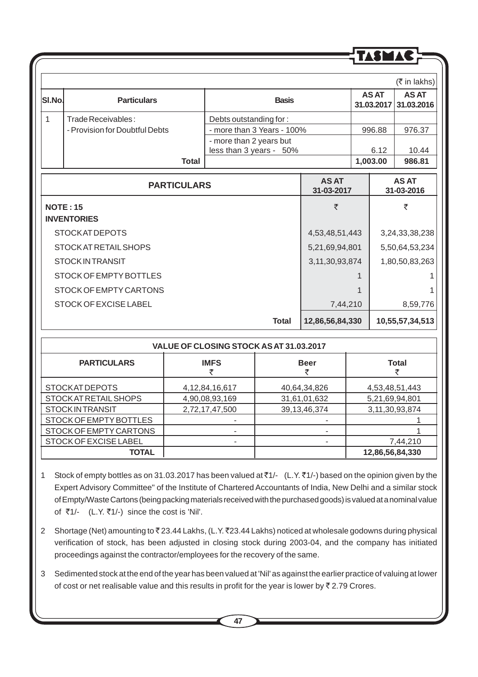|        |                                |                            |                            |   |             | $($ ₹ in lakhs)                       |
|--------|--------------------------------|----------------------------|----------------------------|---|-------------|---------------------------------------|
| SI.No. | <b>Particulars</b>             | <b>Basis</b>               |                            |   | <b>ASAT</b> | <b>AS AT</b><br>31.03.2017 31.03.2016 |
| 1      | Trade Receivables:             | Debts outstanding for:     |                            |   |             |                                       |
|        | - Provision for Doubtful Debts | - more than 3 Years - 100% |                            |   | 996.88      | 976.37                                |
|        |                                | - more than 2 years but    |                            |   |             |                                       |
|        |                                | less than 3 years - 50%    |                            |   | 6.12        | 10.44                                 |
|        | <b>Total</b>                   |                            |                            |   | 1,003.00    | 986.81                                |
|        | <b>PARTICULARS</b>             |                            | <b>AS AT</b><br>31-03-2017 |   |             | <b>AS AT</b><br>31-03-2016            |
|        | <b>NOTE: 15</b>                |                            | ₹                          |   |             | ₹                                     |
|        | <b>INVENTORIES</b>             |                            |                            |   |             |                                       |
|        | <b>STOCKATDEPOTS</b>           |                            | 4,53,48,51,443             |   |             | 3,24,33,38,238                        |
|        | <b>STOCK AT RETAIL SHOPS</b>   |                            | 5,21,69,94,801             |   |             | 5,50,64,53,234                        |
|        | <b>STOCK IN TRANSIT</b>        |                            | 3, 11, 30, 93, 874         |   |             | 1,80,50,83,263                        |
|        | STOCK OF EMPTY BOTTLES         |                            |                            | 1 |             |                                       |
|        | STOCK OF EMPTY CARTONS         |                            |                            | 1 |             |                                       |
|        | STOCK OF EXCISE LABEL          |                            | 7,44,210                   |   |             | 8,59,776                              |
|        |                                | <b>Total</b>               | 12,86,56,84,330            |   |             | 10,55,57,34,513                       |

|                         | VALUE OF CLOSING STOCK AS AT 31.03.2017 |                 |                    |  |  |
|-------------------------|-----------------------------------------|-----------------|--------------------|--|--|
| <b>PARTICULARS</b>      | <b>IMFS</b>                             | <b>Beer</b>     | <b>Total</b>       |  |  |
| <b>STOCKATDEPOTS</b>    | 4, 12, 84, 16, 617                      | 40,64,34,826    | 4,53,48,51,443     |  |  |
| STOCK AT RETAIL SHOPS   | 4,90,08,93,169                          | 31,61,01,632    | 5,21,69,94,801     |  |  |
| <b>STOCK IN TRANSIT</b> | 2,72,17,47,500                          | 39, 13, 46, 374 | 3, 11, 30, 93, 874 |  |  |
| STOCK OF EMPTY BOTTLES  |                                         |                 |                    |  |  |
| STOCK OF EMPTY CARTONS  |                                         |                 |                    |  |  |
| STOCK OF EXCISE LABEL   |                                         |                 | 7,44,210           |  |  |
| <b>TOTAL</b>            |                                         |                 | 12,86,56,84,330    |  |  |

- 1 Stock of empty bottles as on 31.03.2017 has been valued at  $\bar{\tau}$ 1/- (L.Y.  $\bar{\tau}$ 1/-) based on the opinion given by the Expert Advisory Committee" of the Institute of Chartered Accountants of India, New Delhi and a similar stock of Empty/Waste Cartons (being packing materials received with the purchased goods) is valued at a nominal value of  $\overline{51}/-$  (L.Y.  $\overline{51}/-$ ) since the cost is 'Nil'.
- 2 Shortage (Net) amounting to ₹23.44 Lakhs, (L.Y. ₹23.44 Lakhs) noticed at wholesale godowns during physical verification of stock, has been adjusted in closing stock during 2003-04, and the company has initiated proceedings against the contractor/employees for the recovery of the same.
- 3 Sedimented stock at the end of the year has been valued at 'Nil' as against the earlier practice of valuing at lower of cost or net realisable value and this results in profit for the year is lower by  $\bar{z}$  2.79 Crores.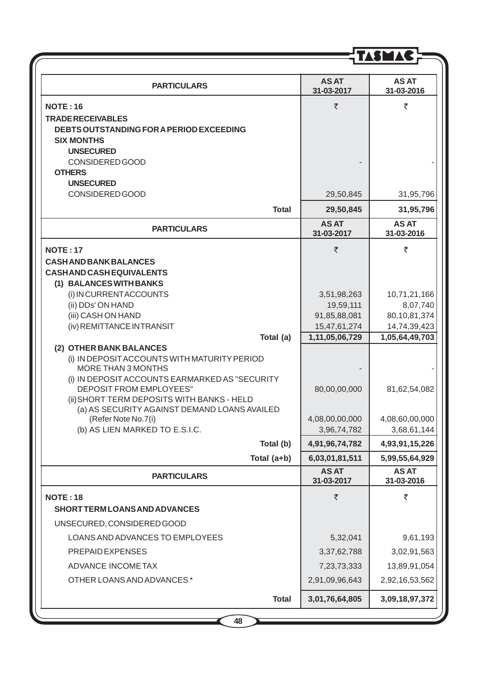| <b>AS AT</b><br><b>AS AT</b><br><b>PARTICULARS</b><br>31-03-2017<br>31-03-2016<br>₹<br>₹<br><b>NOTE: 16</b><br><b>TRADE RECEIVABLES</b><br>DEBTS OUTSTANDING FOR A PERIOD EXCEEDING<br><b>SIX MONTHS</b><br><b>UNSECURED</b><br><b>CONSIDERED GOOD</b><br><b>OTHERS</b><br><b>UNSECURED</b><br>31,95,796<br>CONSIDERED GOOD<br>29,50,845<br>29,50,845<br>31,95,796<br><b>Total</b><br><b>AS AT</b><br><b>AS AT</b><br><b>PARTICULARS</b><br>31-03-2017<br>31-03-2016<br>₹<br>₹<br><b>NOTE: 17</b><br><b>CASH AND BANK BALANCES</b><br><b>CASHAND CASH EQUIVALENTS</b><br>(1) BALANCES WITH BANKS<br>(i) IN CURRENTACCOUNTS<br>3,51,98,263<br>10,71,21,166<br>(ii) DDs' ON HAND<br>19,59,111<br>8,07,740<br>(iii) CASH ON HAND<br>91,85,88,081<br>80,10,81,374<br>(iv) REMITTANCE INTRANSIT<br>15,47,61,274<br>14,74,39,423<br>1,11,05,06,729<br>1,05,64,49,703<br>Total (a)<br>(2) OTHER BANK BALANCES<br>(i) IN DEPOSIT ACCOUNTS WITH MATURITY PERIOD<br><b>MORE THAN 3 MONTHS</b><br>(i) IN DEPOSIT ACCOUNTS EARMARKED AS "SECURITY<br><b>DEPOSIT FROM EMPLOYEES"</b><br>80,00,00,000<br>81,62,54,082<br>(ii) SHORT TERM DEPOSITS WITH BANKS - HELD<br>(a) AS SECURITY AGAINST DEMAND LOANS AVAILED<br>(Refer Note No.7(i)<br>4,08,00,00,000<br>4,08,60,00,000<br>(b) AS LIEN MARKED TO E.S.I.C.<br>3,68,61,144<br>3,96,74,782<br>Total (b)<br>4,93,91,15,226<br>4,91,96,74,782<br>Total (a+b)<br>6,03,01,81,511<br>5,99,55,64,929<br><b>AS AT</b><br><b>AS AT</b><br><b>PARTICULARS</b><br>31-03-2017<br>31-03-2016<br>₹<br>₹<br><b>NOTE: 18</b><br>SHORT TERM LOANS AND ADVANCES<br>UNSECURED, CONSIDERED GOOD<br>LOANS AND ADVANCES TO EMPLOYEES<br>9,61,193<br>5,32,041<br>3,02,91,563<br>PREPAID EXPENSES<br>3,37,62,788<br>13,89,91,054<br>ADVANCE INCOMETAX<br>7,23,73,333<br>OTHER LOANS AND ADVANCES*<br>2,91,09,96,643<br>2,92,16,53,562<br>3,01,76,64,805<br><b>Total</b><br>3,09,18,97,372 |  |  |
|----------------------------------------------------------------------------------------------------------------------------------------------------------------------------------------------------------------------------------------------------------------------------------------------------------------------------------------------------------------------------------------------------------------------------------------------------------------------------------------------------------------------------------------------------------------------------------------------------------------------------------------------------------------------------------------------------------------------------------------------------------------------------------------------------------------------------------------------------------------------------------------------------------------------------------------------------------------------------------------------------------------------------------------------------------------------------------------------------------------------------------------------------------------------------------------------------------------------------------------------------------------------------------------------------------------------------------------------------------------------------------------------------------------------------------------------------------------------------------------------------------------------------------------------------------------------------------------------------------------------------------------------------------------------------------------------------------------------------------------------------------------------------------------------------------------------------------------------------------------------------------------------------------|--|--|
|                                                                                                                                                                                                                                                                                                                                                                                                                                                                                                                                                                                                                                                                                                                                                                                                                                                                                                                                                                                                                                                                                                                                                                                                                                                                                                                                                                                                                                                                                                                                                                                                                                                                                                                                                                                                                                                                                                          |  |  |
|                                                                                                                                                                                                                                                                                                                                                                                                                                                                                                                                                                                                                                                                                                                                                                                                                                                                                                                                                                                                                                                                                                                                                                                                                                                                                                                                                                                                                                                                                                                                                                                                                                                                                                                                                                                                                                                                                                          |  |  |
|                                                                                                                                                                                                                                                                                                                                                                                                                                                                                                                                                                                                                                                                                                                                                                                                                                                                                                                                                                                                                                                                                                                                                                                                                                                                                                                                                                                                                                                                                                                                                                                                                                                                                                                                                                                                                                                                                                          |  |  |
|                                                                                                                                                                                                                                                                                                                                                                                                                                                                                                                                                                                                                                                                                                                                                                                                                                                                                                                                                                                                                                                                                                                                                                                                                                                                                                                                                                                                                                                                                                                                                                                                                                                                                                                                                                                                                                                                                                          |  |  |
|                                                                                                                                                                                                                                                                                                                                                                                                                                                                                                                                                                                                                                                                                                                                                                                                                                                                                                                                                                                                                                                                                                                                                                                                                                                                                                                                                                                                                                                                                                                                                                                                                                                                                                                                                                                                                                                                                                          |  |  |
|                                                                                                                                                                                                                                                                                                                                                                                                                                                                                                                                                                                                                                                                                                                                                                                                                                                                                                                                                                                                                                                                                                                                                                                                                                                                                                                                                                                                                                                                                                                                                                                                                                                                                                                                                                                                                                                                                                          |  |  |
|                                                                                                                                                                                                                                                                                                                                                                                                                                                                                                                                                                                                                                                                                                                                                                                                                                                                                                                                                                                                                                                                                                                                                                                                                                                                                                                                                                                                                                                                                                                                                                                                                                                                                                                                                                                                                                                                                                          |  |  |
|                                                                                                                                                                                                                                                                                                                                                                                                                                                                                                                                                                                                                                                                                                                                                                                                                                                                                                                                                                                                                                                                                                                                                                                                                                                                                                                                                                                                                                                                                                                                                                                                                                                                                                                                                                                                                                                                                                          |  |  |
|                                                                                                                                                                                                                                                                                                                                                                                                                                                                                                                                                                                                                                                                                                                                                                                                                                                                                                                                                                                                                                                                                                                                                                                                                                                                                                                                                                                                                                                                                                                                                                                                                                                                                                                                                                                                                                                                                                          |  |  |
|                                                                                                                                                                                                                                                                                                                                                                                                                                                                                                                                                                                                                                                                                                                                                                                                                                                                                                                                                                                                                                                                                                                                                                                                                                                                                                                                                                                                                                                                                                                                                                                                                                                                                                                                                                                                                                                                                                          |  |  |
|                                                                                                                                                                                                                                                                                                                                                                                                                                                                                                                                                                                                                                                                                                                                                                                                                                                                                                                                                                                                                                                                                                                                                                                                                                                                                                                                                                                                                                                                                                                                                                                                                                                                                                                                                                                                                                                                                                          |  |  |
|                                                                                                                                                                                                                                                                                                                                                                                                                                                                                                                                                                                                                                                                                                                                                                                                                                                                                                                                                                                                                                                                                                                                                                                                                                                                                                                                                                                                                                                                                                                                                                                                                                                                                                                                                                                                                                                                                                          |  |  |
|                                                                                                                                                                                                                                                                                                                                                                                                                                                                                                                                                                                                                                                                                                                                                                                                                                                                                                                                                                                                                                                                                                                                                                                                                                                                                                                                                                                                                                                                                                                                                                                                                                                                                                                                                                                                                                                                                                          |  |  |
|                                                                                                                                                                                                                                                                                                                                                                                                                                                                                                                                                                                                                                                                                                                                                                                                                                                                                                                                                                                                                                                                                                                                                                                                                                                                                                                                                                                                                                                                                                                                                                                                                                                                                                                                                                                                                                                                                                          |  |  |
|                                                                                                                                                                                                                                                                                                                                                                                                                                                                                                                                                                                                                                                                                                                                                                                                                                                                                                                                                                                                                                                                                                                                                                                                                                                                                                                                                                                                                                                                                                                                                                                                                                                                                                                                                                                                                                                                                                          |  |  |
|                                                                                                                                                                                                                                                                                                                                                                                                                                                                                                                                                                                                                                                                                                                                                                                                                                                                                                                                                                                                                                                                                                                                                                                                                                                                                                                                                                                                                                                                                                                                                                                                                                                                                                                                                                                                                                                                                                          |  |  |
|                                                                                                                                                                                                                                                                                                                                                                                                                                                                                                                                                                                                                                                                                                                                                                                                                                                                                                                                                                                                                                                                                                                                                                                                                                                                                                                                                                                                                                                                                                                                                                                                                                                                                                                                                                                                                                                                                                          |  |  |
|                                                                                                                                                                                                                                                                                                                                                                                                                                                                                                                                                                                                                                                                                                                                                                                                                                                                                                                                                                                                                                                                                                                                                                                                                                                                                                                                                                                                                                                                                                                                                                                                                                                                                                                                                                                                                                                                                                          |  |  |
|                                                                                                                                                                                                                                                                                                                                                                                                                                                                                                                                                                                                                                                                                                                                                                                                                                                                                                                                                                                                                                                                                                                                                                                                                                                                                                                                                                                                                                                                                                                                                                                                                                                                                                                                                                                                                                                                                                          |  |  |
|                                                                                                                                                                                                                                                                                                                                                                                                                                                                                                                                                                                                                                                                                                                                                                                                                                                                                                                                                                                                                                                                                                                                                                                                                                                                                                                                                                                                                                                                                                                                                                                                                                                                                                                                                                                                                                                                                                          |  |  |
|                                                                                                                                                                                                                                                                                                                                                                                                                                                                                                                                                                                                                                                                                                                                                                                                                                                                                                                                                                                                                                                                                                                                                                                                                                                                                                                                                                                                                                                                                                                                                                                                                                                                                                                                                                                                                                                                                                          |  |  |
|                                                                                                                                                                                                                                                                                                                                                                                                                                                                                                                                                                                                                                                                                                                                                                                                                                                                                                                                                                                                                                                                                                                                                                                                                                                                                                                                                                                                                                                                                                                                                                                                                                                                                                                                                                                                                                                                                                          |  |  |
|                                                                                                                                                                                                                                                                                                                                                                                                                                                                                                                                                                                                                                                                                                                                                                                                                                                                                                                                                                                                                                                                                                                                                                                                                                                                                                                                                                                                                                                                                                                                                                                                                                                                                                                                                                                                                                                                                                          |  |  |
|                                                                                                                                                                                                                                                                                                                                                                                                                                                                                                                                                                                                                                                                                                                                                                                                                                                                                                                                                                                                                                                                                                                                                                                                                                                                                                                                                                                                                                                                                                                                                                                                                                                                                                                                                                                                                                                                                                          |  |  |
|                                                                                                                                                                                                                                                                                                                                                                                                                                                                                                                                                                                                                                                                                                                                                                                                                                                                                                                                                                                                                                                                                                                                                                                                                                                                                                                                                                                                                                                                                                                                                                                                                                                                                                                                                                                                                                                                                                          |  |  |
|                                                                                                                                                                                                                                                                                                                                                                                                                                                                                                                                                                                                                                                                                                                                                                                                                                                                                                                                                                                                                                                                                                                                                                                                                                                                                                                                                                                                                                                                                                                                                                                                                                                                                                                                                                                                                                                                                                          |  |  |
|                                                                                                                                                                                                                                                                                                                                                                                                                                                                                                                                                                                                                                                                                                                                                                                                                                                                                                                                                                                                                                                                                                                                                                                                                                                                                                                                                                                                                                                                                                                                                                                                                                                                                                                                                                                                                                                                                                          |  |  |
|                                                                                                                                                                                                                                                                                                                                                                                                                                                                                                                                                                                                                                                                                                                                                                                                                                                                                                                                                                                                                                                                                                                                                                                                                                                                                                                                                                                                                                                                                                                                                                                                                                                                                                                                                                                                                                                                                                          |  |  |
|                                                                                                                                                                                                                                                                                                                                                                                                                                                                                                                                                                                                                                                                                                                                                                                                                                                                                                                                                                                                                                                                                                                                                                                                                                                                                                                                                                                                                                                                                                                                                                                                                                                                                                                                                                                                                                                                                                          |  |  |
|                                                                                                                                                                                                                                                                                                                                                                                                                                                                                                                                                                                                                                                                                                                                                                                                                                                                                                                                                                                                                                                                                                                                                                                                                                                                                                                                                                                                                                                                                                                                                                                                                                                                                                                                                                                                                                                                                                          |  |  |
|                                                                                                                                                                                                                                                                                                                                                                                                                                                                                                                                                                                                                                                                                                                                                                                                                                                                                                                                                                                                                                                                                                                                                                                                                                                                                                                                                                                                                                                                                                                                                                                                                                                                                                                                                                                                                                                                                                          |  |  |
|                                                                                                                                                                                                                                                                                                                                                                                                                                                                                                                                                                                                                                                                                                                                                                                                                                                                                                                                                                                                                                                                                                                                                                                                                                                                                                                                                                                                                                                                                                                                                                                                                                                                                                                                                                                                                                                                                                          |  |  |
|                                                                                                                                                                                                                                                                                                                                                                                                                                                                                                                                                                                                                                                                                                                                                                                                                                                                                                                                                                                                                                                                                                                                                                                                                                                                                                                                                                                                                                                                                                                                                                                                                                                                                                                                                                                                                                                                                                          |  |  |
|                                                                                                                                                                                                                                                                                                                                                                                                                                                                                                                                                                                                                                                                                                                                                                                                                                                                                                                                                                                                                                                                                                                                                                                                                                                                                                                                                                                                                                                                                                                                                                                                                                                                                                                                                                                                                                                                                                          |  |  |
|                                                                                                                                                                                                                                                                                                                                                                                                                                                                                                                                                                                                                                                                                                                                                                                                                                                                                                                                                                                                                                                                                                                                                                                                                                                                                                                                                                                                                                                                                                                                                                                                                                                                                                                                                                                                                                                                                                          |  |  |
|                                                                                                                                                                                                                                                                                                                                                                                                                                                                                                                                                                                                                                                                                                                                                                                                                                                                                                                                                                                                                                                                                                                                                                                                                                                                                                                                                                                                                                                                                                                                                                                                                                                                                                                                                                                                                                                                                                          |  |  |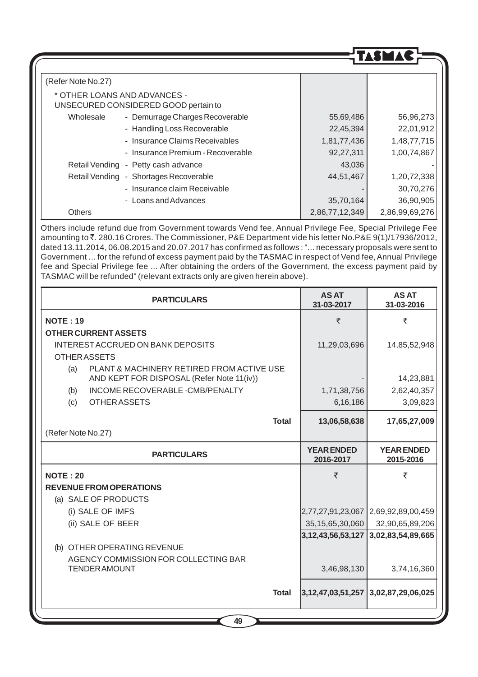| (Refer Note No.27)                                                   |                |                |
|----------------------------------------------------------------------|----------------|----------------|
| * OTHER LOANS AND ADVANCES -<br>UNSECURED CONSIDERED GOOD pertain to |                |                |
| Wholesale<br>- Demurrage Charges Recoverable                         | 55,69,486      | 56,96,273      |
| - Handling Loss Recoverable                                          | 22,45,394      | 22,01,912      |
| - Insurance Claims Receivables                                       | 1,81,77,436    | 1,48,77,715    |
| - Insurance Premium - Recoverable                                    | 92,27,311      | 1,00,74,867    |
| - Petty cash advance<br>Retail Vending                               | 43,036         |                |
| - Shortages Recoverable<br><b>Retail Vending</b>                     | 44,51,467      | 1,20,72,338    |
| - Insurance claim Receivable                                         |                | 30,70,276      |
| - Loans and Advances                                                 | 35,70,164      | 36,90,905      |
| <b>Others</b>                                                        | 2,86,77,12,349 | 2,86,99,69,276 |

Others include refund due from Government towards Vend fee, Annual Privilege Fee, Special Privilege Fee amounting to ₹. 280.16 Crores. The Commissioner, P&E Department vide his letter No.P&E 9(1)/17936/2012, dated 13.11.2014, 06.08.2015 and 20.07.2017 has confirmed as follows : "... necessary proposals were sent to Government ... for the refund of excess payment paid by the TASMAC in respect of Vend fee, Annual Privilege fee and Special Privilege fee ... After obtaining the orders of the Government, the excess payment paid by TASMAC will be refunded" (relevant extracts only are given herein above).

| <b>PARTICULARS</b>                               | <b>AS AT</b><br>31-03-2017     | <b>AS AT</b><br>31-03-2016            |
|--------------------------------------------------|--------------------------------|---------------------------------------|
| <b>NOTE: 19</b>                                  | ₹                              | ₹                                     |
| <b>OTHER CURRENT ASSETS</b>                      |                                |                                       |
| INTEREST ACCRUED ON BANK DEPOSITS                | 11,29,03,696                   | 14,85,52,948                          |
| <b>OTHER ASSETS</b>                              |                                |                                       |
| PLANT & MACHINERY RETIRED FROM ACTIVE USE<br>(a) |                                |                                       |
| AND KEPT FOR DISPOSAL (Refer Note 11(iv))        |                                | 14,23,881                             |
| INCOME RECOVERABLE - CMB/PENALTY<br>(b)          | 1,71,38,756                    | 2,62,40,357                           |
| (c)<br><b>OTHERASSETS</b>                        | 6,16,186                       | 3,09,823                              |
| <b>Total</b>                                     | 13,06,58,638                   | 17,65,27,009                          |
| (Refer Note No.27)                               |                                |                                       |
| <b>PARTICULARS</b>                               | <b>YEAR ENDED</b><br>2016-2017 | <b>YEAR ENDED</b><br>2015-2016        |
| <b>NOTE: 20</b>                                  | ₹                              | ₹                                     |
| <b>REVENUE FROM OPERATIONS</b>                   |                                |                                       |
| (a) SALE OF PRODUCTS                             |                                |                                       |
| (i) SALE OF IMFS                                 |                                | 2,77,27,91,23,067   2,69,92,89,00,459 |
| (ii) SALE OF BEER                                | 35,15,65,30,060                | 32,90,65,89,206                       |
|                                                  | 3, 12, 43, 56, 53, 127         | 3,02,83,54,89,665                     |
| (b) OTHER OPERATING REVENUE                      |                                |                                       |
| AGENCY COMMISSION FOR COLLECTING BAR             |                                |                                       |
| <b>TENDER AMOUNT</b>                             | 3,46,98,130                    | 3,74,16,360                           |
| <b>Total</b>                                     |                                | 3,12,47,03,51,257 3,02,87,29,06,025   |
| 49                                               |                                |                                       |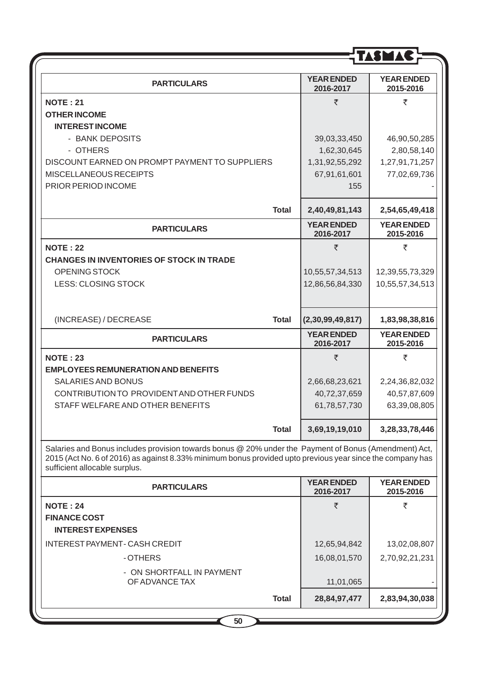| <b>TASMA</b>                                                                                                                                                                                                                                        |              |                                |                                |  |
|-----------------------------------------------------------------------------------------------------------------------------------------------------------------------------------------------------------------------------------------------------|--------------|--------------------------------|--------------------------------|--|
| <b>YEAR ENDED</b>                                                                                                                                                                                                                                   |              |                                |                                |  |
| <b>PARTICULARS</b>                                                                                                                                                                                                                                  |              | <b>YEAR ENDED</b><br>2016-2017 | 2015-2016                      |  |
| <b>NOTE: 21</b>                                                                                                                                                                                                                                     |              | ₹                              | ₹                              |  |
| <b>OTHER INCOME</b>                                                                                                                                                                                                                                 |              |                                |                                |  |
| <b>INTEREST INCOME</b>                                                                                                                                                                                                                              |              |                                |                                |  |
| - BANK DEPOSITS                                                                                                                                                                                                                                     |              | 39,03,33,450                   | 46,90,50,285                   |  |
| - OTHERS                                                                                                                                                                                                                                            |              | 1,62,30,645                    | 2,80,58,140                    |  |
| DISCOUNT EARNED ON PROMPT PAYMENT TO SUPPLIERS<br>MISCELLANEOUS RECEIPTS                                                                                                                                                                            |              | 1,31,92,55,292<br>67,91,61,601 | 1,27,91,71,257<br>77,02,69,736 |  |
| PRIOR PERIOD INCOME                                                                                                                                                                                                                                 |              | 155                            |                                |  |
|                                                                                                                                                                                                                                                     |              |                                |                                |  |
|                                                                                                                                                                                                                                                     | <b>Total</b> | 2,40,49,81,143                 | 2,54,65,49,418                 |  |
| <b>PARTICULARS</b>                                                                                                                                                                                                                                  |              | <b>YEAR ENDED</b><br>2016-2017 | <b>YEAR ENDED</b><br>2015-2016 |  |
| <b>NOTE: 22</b>                                                                                                                                                                                                                                     |              | ₹                              | ₹                              |  |
| <b>CHANGES IN INVENTORIES OF STOCK IN TRADE</b>                                                                                                                                                                                                     |              |                                |                                |  |
| OPENING STOCK                                                                                                                                                                                                                                       |              | 10,55,57,34,513                | 12,39,55,73,329                |  |
| <b>LESS: CLOSING STOCK</b>                                                                                                                                                                                                                          |              | 12,86,56,84,330                | 10,55,57,34,513                |  |
| (INCREASE) / DECREASE                                                                                                                                                                                                                               | <b>Total</b> | (2,30,99,49,817)               | 1,83,98,38,816                 |  |
| <b>PARTICULARS</b>                                                                                                                                                                                                                                  |              | <b>YEAR ENDED</b>              | <b>YEAR ENDED</b>              |  |
| <b>NOTE: 23</b>                                                                                                                                                                                                                                     |              | 2016-2017<br>₹                 | 2015-2016<br>₹                 |  |
| <b>EMPLOYEES REMUNERATION AND BENEFITS</b>                                                                                                                                                                                                          |              |                                |                                |  |
| <b>SALARIES AND BONUS</b>                                                                                                                                                                                                                           |              | 2,66,68,23,621                 | 2,24,36,82,032                 |  |
| CONTRIBUTION TO PROVIDENT AND OTHER FUNDS                                                                                                                                                                                                           |              | 40,72,37,659                   | 40,57,87,609                   |  |
| STAFF WELFARE AND OTHER BENEFITS                                                                                                                                                                                                                    |              | 61,78,57,730                   | 63,39,08,805                   |  |
|                                                                                                                                                                                                                                                     | <b>Total</b> | 3,69,19,19,010                 | 3,28,33,78,446                 |  |
| Salaries and Bonus includes provision towards bonus @ 20% under the Payment of Bonus (Amendment) Act,<br>2015 (Act No. 6 of 2016) as against 8.33% minimum bonus provided upto previous year since the company has<br>sufficient allocable surplus. |              |                                |                                |  |
| <b>PARTICULARS</b>                                                                                                                                                                                                                                  |              | <b>YEAR ENDED</b><br>2016-2017 | <b>YEAR ENDED</b><br>2015-2016 |  |
| <b>NOTE: 24</b>                                                                                                                                                                                                                                     |              | ₹                              | ₹                              |  |
| <b>FINANCE COST</b>                                                                                                                                                                                                                                 |              |                                |                                |  |
| <b>INTEREST EXPENSES</b>                                                                                                                                                                                                                            |              |                                |                                |  |
|                                                                                                                                                                                                                                                     |              | 12,65,94,842                   | 13,02,08,807                   |  |
| <b>INTEREST PAYMENT- CASH CREDIT</b>                                                                                                                                                                                                                |              | 16,08,01,570                   | 2,70,92,21,231                 |  |
| -OTHERS                                                                                                                                                                                                                                             |              |                                |                                |  |
| - ON SHORTFALL IN PAYMENT                                                                                                                                                                                                                           |              |                                |                                |  |
| OF ADVANCE TAX                                                                                                                                                                                                                                      |              | 11,01,065                      |                                |  |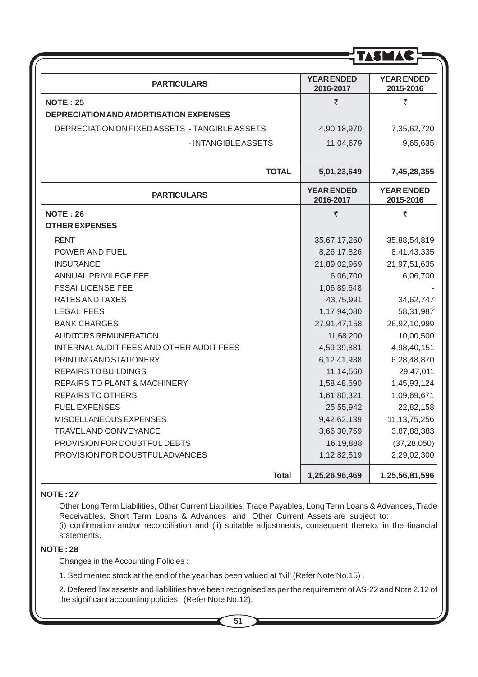| <b>PARTICULARS</b>                              | <b>YEAR ENDED</b><br>2016-2017 | <b>YEAR ENDED</b><br>2015-2016 |  |
|-------------------------------------------------|--------------------------------|--------------------------------|--|
| <b>NOTE: 25</b>                                 | ₹                              | ₹                              |  |
| DEPRECIATION AND AMORTISATION EXPENSES          |                                |                                |  |
| DEPRECIATION ON FIXED ASSETS - TANGIBLE ASSETS  | 4,90,18,970                    | 7,35,62,720                    |  |
| - INTANGIBLE ASSETS                             | 11,04,679                      | 9,65,635                       |  |
|                                                 |                                |                                |  |
| <b>TOTAL</b>                                    | 5,01,23,649                    | 7,45,28,355                    |  |
| <b>PARTICULARS</b>                              | <b>YEAR ENDED</b><br>2016-2017 | <b>YEAR ENDED</b><br>2015-2016 |  |
| <b>NOTE: 26</b>                                 | ₹                              | ₹                              |  |
| <b>OTHER EXPENSES</b>                           |                                |                                |  |
| <b>RENT</b>                                     | 35,67,17,260                   | 35,88,54,819                   |  |
| <b>POWER AND FUEL</b>                           | 8,26,17,826                    | 8,41,43,335                    |  |
| <b>INSURANCE</b>                                | 21,89,02,969                   | 21,97,51,635                   |  |
| ANNUAL PRIVILEGE FEE                            | 6,06,700                       | 6,06,700                       |  |
| <b>FSSAI LICENSE FEE</b>                        | 1,06,89,648                    |                                |  |
| RATES AND TAXES                                 | 43,75,991                      | 34,62,747                      |  |
| <b>LEGAL FEES</b>                               | 1,17,94,080                    | 58,31,987                      |  |
| <b>BANK CHARGES</b>                             | 27,91,47,158                   | 26,92,10,999                   |  |
| AUDITORS REMUNERATION                           | 11,68,200                      | 10,00,500                      |  |
| <b>INTERNAL AUDIT FEES AND OTHER AUDIT FEES</b> | 4,59,39,881                    | 4,98,40,151                    |  |
| PRINTING AND STATIONERY                         | 6, 12, 41, 938                 | 6,28,48,870                    |  |
| REPAIRS TO BUILDINGS                            | 11,14,560                      | 29,47,011                      |  |
| <b>REPAIRS TO PLANT &amp; MACHINERY</b>         | 1,58,48,690                    | 1,45,93,124                    |  |
| REPAIRS TO OTHERS                               | 1,61,80,321                    | 1,09,69,671                    |  |
| FUEL EXPENSES                                   | 25,55,942                      | 22,82,158                      |  |
| MISCELLANEOUS EXPENSES                          | 9,42,62,139                    | 11, 13, 75, 256                |  |
| TRAVELAND CONVEYANCE                            | 3,66,30,759                    | 3,87,88,383                    |  |
| PROVISION FOR DOUBTFUL DEBTS                    | 16,19,888                      | (37, 28, 050)                  |  |
| PROVISION FOR DOUBTFULADVANCES                  | 1,12,82,519                    | 2,29,02,300                    |  |
| <b>Total</b>                                    | 1,25,26,96,469                 | 1,25,56,81,596                 |  |

#### **NOTE : 27**

Other Long Term Liabilities, Other Current Liabilities, Trade Payables, Long Term Loans & Advances, Trade Receivables, Short Term Loans & Advances and Other Current Assets are subject to: (i) confirmation and/or reconciliation and (ii) suitable adjustments, consequent thereto, in the financial statements.

#### **NOTE : 28**

Changes in the Accounting Policies :

1. Sedimented stock at the end of the year has been valued at 'Nil' (Refer Note No.15) .

2. Defered Tax assests and liabilities have been recognised as per the requirement of AS-22 and Note 2.12 of the significant accounting policies. (Refer Note No.12).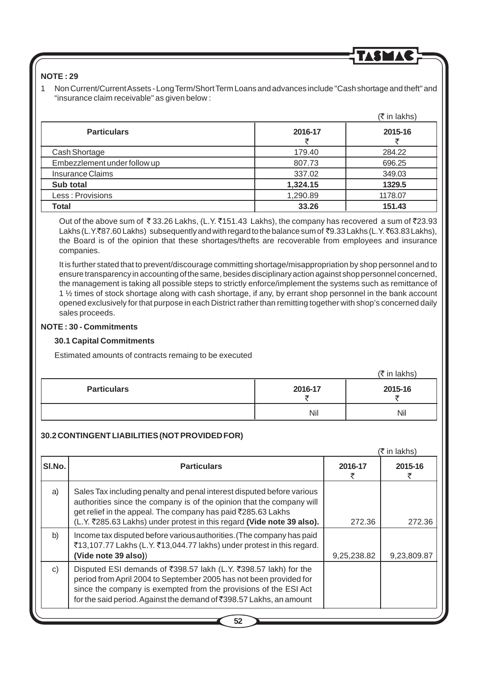### **NOTE : 29**

1 Non Current/Current Assets - Long Term/Short Term Loans and advances include "Cash shortage and theft" and "insurance claim receivable" as given below :

|                              |          | $(5 \in \mathsf{In} \, \mathsf{lakhs})$ |
|------------------------------|----------|-----------------------------------------|
| <b>Particulars</b>           | 2016-17  | 2015-16                                 |
| Cash Shortage                | 179.40   | 284.22                                  |
| Embezzlement under follow up | 807.73   | 696.25                                  |
| Insurance Claims             | 337.02   | 349.03                                  |
| Sub total                    | 1,324.15 | 1329.5                                  |
| Less: Provisions             | 1,290.89 | 1178.07                                 |
| Total                        | 33.26    | 151.43                                  |

Out of the above sum of  $\bar{\tau}$  33.26 Lakhs, (L.Y.  $\bar{\tau}$ 151.43 Lakhs), the company has recovered a sum of  $\bar{\tau}$ 23.93 Lakhs (L.Y.₹87.60 Lakhs) subsequently and with regard to the balance sum of ₹9.33 Lakhs (L.Y. ₹63.83 Lakhs), the Board is of the opinion that these shortages/thefts are recoverable from employees and insurance companies.

It is further stated that to prevent/discourage committing shortage/misappropriation by shop personnel and to ensure transparency in accounting of the same, besides disciplinary action against shop personnel concerned, the management is taking all possible steps to strictly enforce/implement the systems such as remittance of 1 ½ times of stock shortage along with cash shortage, if any, by errant shop personnel in the bank account opened exclusively for that purpose in each District rather than remitting together with shop's concerned daily sales proceeds.

#### **NOTE : 30 - Commitments**

#### **30.1 Capital Commitments**

Estimated amounts of contracts remaing to be executed

 $(\bar{z}$  in lakhs)

| <b>Particulars</b> | 2016-17 | 2015-16 |
|--------------------|---------|---------|
|                    | Nil     | Nil     |

### **30.2 CONTINGENT LIABILITIES (NOT PROVIDED FOR)**

| SI.No. | <b>Particulars</b>                                                                                                                                                                                                                                                                        | 2016-17     | 2015-16     |
|--------|-------------------------------------------------------------------------------------------------------------------------------------------------------------------------------------------------------------------------------------------------------------------------------------------|-------------|-------------|
| a)     | Sales Tax including penalty and penal interest disputed before various<br>authorities since the company is of the opinion that the company will<br>get relief in the appeal. The company has paid ₹285.63 Lakhs<br>(L.Y. ₹285.63 Lakhs) under protest in this regard (Vide note 39 also). | 272.36      | 272.36      |
| b)     | Income tax disputed before various authorities. (The company has paid<br>₹13,107.77 Lakhs (L.Y. ₹13,044.77 lakhs) under protest in this regard.<br>(Vide note 39 also))                                                                                                                   | 9,25,238.82 | 9,23,809.87 |
| C)     | Disputed ESI demands of ₹398.57 lakh (L.Y. ₹398.57 lakh) for the<br>period from April 2004 to September 2005 has not been provided for<br>since the company is exempted from the provisions of the ESI Act<br>for the said period. Against the demand of ₹398.57 Lakhs, an amount         |             |             |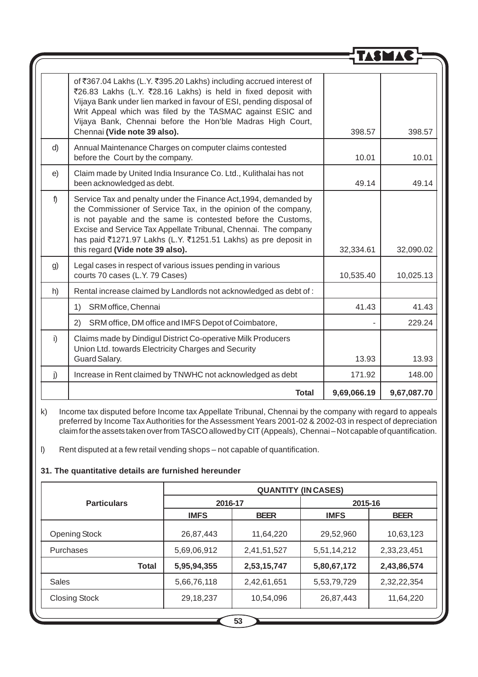|    | of ₹367.04 Lakhs (L.Y. ₹395.20 Lakhs) including accrued interest of<br>₹26.83 Lakhs (L.Y. ₹28.16 Lakhs) is held in fixed deposit with<br>Vijaya Bank under lien marked in favour of ESI, pending disposal of<br>Writ Appeal which was filed by the TASMAC against ESIC and<br>Vijaya Bank, Chennai before the Hon'ble Madras High Court,<br>Chennai (Vide note 39 also).      | 398.57      | 398.57      |
|----|-------------------------------------------------------------------------------------------------------------------------------------------------------------------------------------------------------------------------------------------------------------------------------------------------------------------------------------------------------------------------------|-------------|-------------|
| d) | Annual Maintenance Charges on computer claims contested<br>before the Court by the company.                                                                                                                                                                                                                                                                                   | 10.01       | 10.01       |
| e) | Claim made by United India Insurance Co. Ltd., Kulithalai has not<br>been acknowledged as debt.                                                                                                                                                                                                                                                                               | 49.14       | 49.14       |
| f) | Service Tax and penalty under the Finance Act, 1994, demanded by<br>the Commissioner of Service Tax, in the opinion of the company,<br>is not payable and the same is contested before the Customs,<br>Excise and Service Tax Appellate Tribunal, Chennai. The company<br>has paid ₹1271.97 Lakhs (L.Y. ₹1251.51 Lakhs) as pre deposit in<br>this regard (Vide note 39 also). | 32,334.61   | 32,090.02   |
| g) | Legal cases in respect of various issues pending in various<br>courts 70 cases (L.Y. 79 Cases)                                                                                                                                                                                                                                                                                | 10,535.40   | 10,025.13   |
| h) | Rental increase claimed by Landlords not acknowledged as debt of:                                                                                                                                                                                                                                                                                                             |             |             |
|    | 1)<br>SRM office, Chennai                                                                                                                                                                                                                                                                                                                                                     | 41.43       | 41.43       |
|    | 2)<br>SRM office, DM office and IMFS Depot of Coimbatore,                                                                                                                                                                                                                                                                                                                     |             | 229.24      |
| i) | Claims made by Dindigul District Co-operative Milk Producers<br>Union Ltd. towards Electricity Charges and Security<br>Guard Salary.                                                                                                                                                                                                                                          | 13.93       | 13.93       |
| j) | Increase in Rent claimed by TNWHC not acknowledged as debt                                                                                                                                                                                                                                                                                                                    | 171.92      | 148.00      |
|    | <b>Total</b>                                                                                                                                                                                                                                                                                                                                                                  | 9,69,066.19 | 9,67,087.70 |

k) Income tax disputed before Income tax Appellate Tribunal, Chennai by the company with regard to appeals preferred by Income Tax Authorities for the Assessment Years 2001-02 & 2002-03 in respect of depreciation claim for the assets taken over from TASCO allowed by CIT (Appeals), Chennai – Not capable of quantification.

l) Rent disputed at a few retail vending shops – not capable of quantification.

#### **31. The quantitative details are furnished hereunder**

|                      | <b>QUANTITY (IN CASES)</b>            |             |             |             |  |
|----------------------|---------------------------------------|-------------|-------------|-------------|--|
| <b>Particulars</b>   | 2016-17<br><b>IMFS</b><br><b>BEER</b> |             | 2015-16     |             |  |
|                      |                                       |             | <b>IMFS</b> | <b>BEER</b> |  |
| Opening Stock        | 26,87,443                             | 11,64,220   | 29,52,960   | 10,63,123   |  |
| Purchases            | 5,69,06,912                           | 2,41,51,527 | 5,51,14,212 | 2,33,23,451 |  |
| <b>Total</b>         | 5,95,94,355                           | 2,53,15,747 | 5,80,67,172 | 2,43,86,574 |  |
| <b>Sales</b>         | 5,66,76,118                           | 2,42,61,651 | 5,53,79,729 | 2,32,22,354 |  |
| <b>Closing Stock</b> | 29,18,237                             | 10,54,096   | 26,87,443   | 11,64,220   |  |
|                      |                                       |             |             |             |  |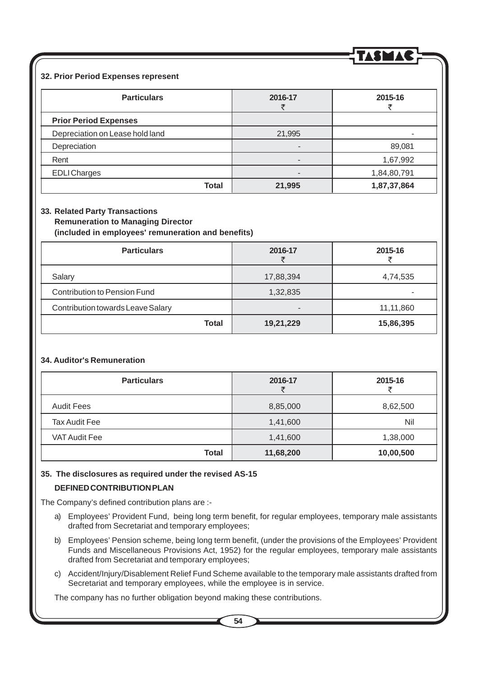#### **32. Prior Period Expenses represent**

| <b>Particulars</b>              | 2016-17 | 2015-16     |
|---------------------------------|---------|-------------|
| <b>Prior Period Expenses</b>    |         |             |
| Depreciation on Lease hold land | 21,995  |             |
| Depreciation                    | -       | 89,081      |
| Rent                            |         | 1,67,992    |
| <b>EDLICharges</b>              | -       | 1,84,80,791 |
| <b>Total</b>                    | 21,995  | 1,87,37,864 |

#### **33. Related Party Transactions Remuneration to Managing Director (included in employees' remuneration and benefits)**

| <b>Particulars</b>                  | 2016-17                  | 2015-16   |
|-------------------------------------|--------------------------|-----------|
| Salary                              | 17,88,394                | 4,74,535  |
| <b>Contribution to Pension Fund</b> | 1,32,835                 |           |
| Contribution towards Leave Salary   | $\overline{\phantom{a}}$ | 11,11,860 |
| <b>Total</b>                        | 19,21,229                | 15,86,395 |

### **34. Auditor's Remuneration**

| <b>Particulars</b>   | 2016-17   | 2015-16   |
|----------------------|-----------|-----------|
| <b>Audit Fees</b>    | 8,85,000  | 8,62,500  |
| <b>Tax Audit Fee</b> | 1,41,600  | Nil       |
| <b>VAT Audit Fee</b> | 1,41,600  | 1,38,000  |
| <b>Total</b>         | 11,68,200 | 10,00,500 |

### **35. The disclosures as required under the revised AS-15**

### **DEFINED CONTRIBUTION PLAN**

The Company's defined contribution plans are :-

- a) Employees' Provident Fund, being long term benefit, for regular employees, temporary male assistants drafted from Secretariat and temporary employees;
- b) Employees' Pension scheme, being long term benefit, (under the provisions of the Employees' Provident Funds and Miscellaneous Provisions Act, 1952) for the regular employees, temporary male assistants drafted from Secretariat and temporary employees;
- c) Accident/Injury/Disablement Relief Fund Scheme available to the temporary male assistants drafted from Secretariat and temporary employees, while the employee is in service.

The company has no further obligation beyond making these contributions.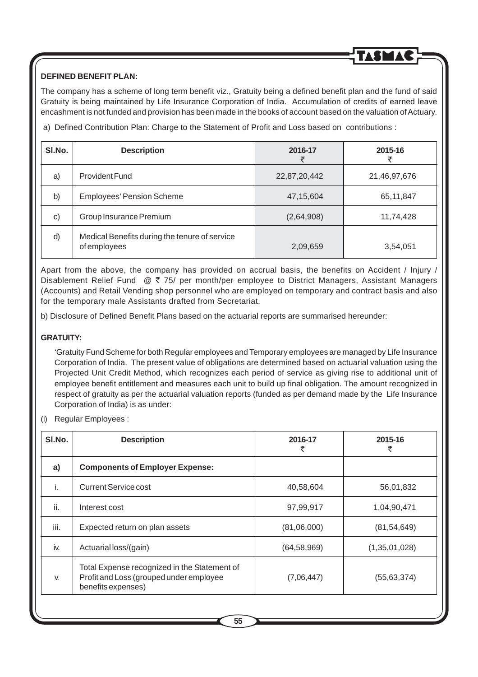### **DEFINED BENEFIT PLAN:**

The company has a scheme of long term benefit viz., Gratuity being a defined benefit plan and the fund of said Gratuity is being maintained by Life Insurance Corporation of India. Accumulation of credits of earned leave encashment is not funded and provision has been made in the books of account based on the valuation of Actuary.

**TASMA** 

a) Defined Contribution Plan: Charge to the Statement of Profit and Loss based on contributions :

| SI.No.       | <b>Description</b>                                            | 2016-17      | 2015-16<br>₹ |
|--------------|---------------------------------------------------------------|--------------|--------------|
| a)           | <b>Provident Fund</b>                                         | 22,87,20,442 | 21,46,97,676 |
| b)           | <b>Employees' Pension Scheme</b>                              | 47,15,604    | 65, 11, 847  |
| $\mathsf{C}$ | Group Insurance Premium                                       | (2,64,908)   | 11,74,428    |
| d)           | Medical Benefits during the tenure of service<br>of employees | 2,09,659     | 3,54,051     |

Apart from the above, the company has provided on accrual basis, the benefits on Accident / Injury / Disablement Relief Fund  $@ \t{7} 75/$  per month/per employee to District Managers, Assistant Managers (Accounts) and Retail Vending shop personnel who are employed on temporary and contract basis and also for the temporary male Assistants drafted from Secretariat.

b) Disclosure of Defined Benefit Plans based on the actuarial reports are summarised hereunder:

### **GRATUITY:**

'Gratuity Fund Scheme for both Regular employees and Temporary employees are managed by Life Insurance Corporation of India. The present value of obligations are determined based on actuarial valuation using the Projected Unit Credit Method, which recognizes each period of service as giving rise to additional unit of employee benefit entitlement and measures each unit to build up final obligation. The amount recognized in respect of gratuity as per the actuarial valuation reports (funded as per demand made by the Life Insurance Corporation of India) is as under:

(i) Regular Employees :

| <b>Description</b>                                                                                            | 2016-17       | 2015-16       |
|---------------------------------------------------------------------------------------------------------------|---------------|---------------|
| <b>Components of Employer Expense:</b>                                                                        |               |               |
| <b>Current Service cost</b>                                                                                   | 40,58,604     | 56,01,832     |
| Interest cost                                                                                                 | 97,99,917     | 1,04,90,471   |
| Expected return on plan assets                                                                                | (81,06,000)   | (81, 54, 649) |
| Actuarial loss/(gain)                                                                                         | (64, 58, 969) | (1,35,01,028) |
| Total Expense recognized in the Statement of<br>Profit and Loss (grouped under employee<br>benefits expenses) | (7,06,447)    | (55, 63, 374) |
|                                                                                                               |               |               |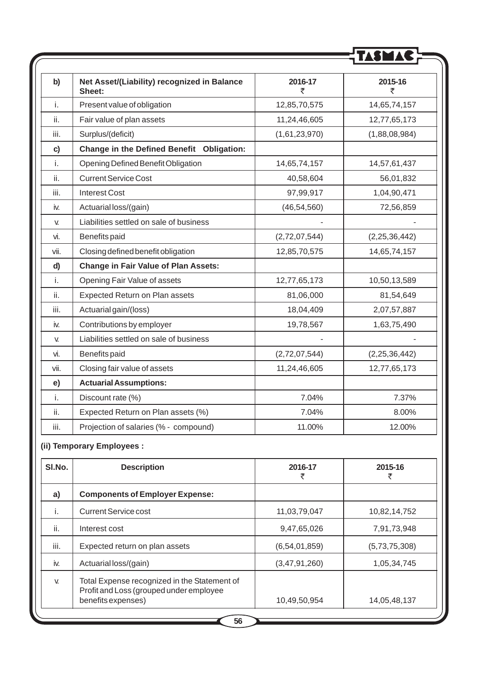|      |                                                       |               | ¦TASMAC}         |
|------|-------------------------------------------------------|---------------|------------------|
| b)   | Net Asset/(Liability) recognized in Balance<br>Sheet: | 2016-17<br>₹  | 2015-16<br>₹     |
| i.   | Present value of obligation                           | 12,85,70,575  | 14,65,74,157     |
| ii.  | Fair value of plan assets                             | 11,24,46,605  | 12,77,65,173     |
| iii. | Surplus/(deficit)                                     | (1,61,23,970) | (1,88,08,984)    |
| c)   | Change in the Defined Benefit Obligation:             |               |                  |
| i.   | Opening Defined Benefit Obligation                    | 14,65,74,157  | 14,57,61,437     |
| ii.  | <b>Current Service Cost</b>                           | 40,58,604     | 56,01,832        |
| iii. | <b>Interest Cost</b>                                  | 97,99,917     | 1,04,90,471      |
| iv.  | Actuarial loss/(gain)                                 | (46, 54, 560) | 72,56,859        |
| V.   | Liabilities settled on sale of business               |               |                  |
| vi.  | Benefits paid                                         | (2,72,07,544) | (2, 25, 36, 442) |
| vii. | Closing defined benefit obligation                    | 12,85,70,575  | 14,65,74,157     |
| d)   | <b>Change in Fair Value of Plan Assets:</b>           |               |                  |
| i.   | Opening Fair Value of assets                          | 12,77,65,173  | 10,50,13,589     |
| ii.  | Expected Return on Plan assets                        | 81,06,000     | 81,54,649        |
| iii. | Actuarial gain/(loss)                                 | 18,04,409     | 2,07,57,887      |
| iv.  | Contributions by employer                             | 19,78,567     | 1,63,75,490      |
| V.   | Liabilities settled on sale of business               |               |                  |
| vi.  | Benefits paid                                         | (2,72,07,544) | (2, 25, 36, 442) |
| vii. | Closing fair value of assets                          | 11,24,46,605  | 12,77,65,173     |
| e)   | <b>Actuarial Assumptions:</b>                         |               |                  |
| i.   | Discount rate (%)                                     | 7.04%         | 7.37%            |
| ii.  | Expected Return on Plan assets (%)                    | 7.04%         | 8.00%            |
| iii. | Projection of salaries (% - compound)                 | 11.00%        | 12.00%           |

### **(ii) Temporary Employees :**

| <b>Description</b>                                                                                            | 2015-16       |               |
|---------------------------------------------------------------------------------------------------------------|---------------|---------------|
| <b>Components of Employer Expense:</b>                                                                        |               |               |
| <b>Current Service cost</b>                                                                                   | 11,03,79,047  | 10,82,14,752  |
| Interest cost                                                                                                 | 9,47,65,026   | 7,91,73,948   |
| Expected return on plan assets                                                                                | (6,54,01,859) | (5,73,75,308) |
| Actuarial loss/(gain)                                                                                         | (3,47,91,260) | 1,05,34,745   |
| Total Expense recognized in the Statement of<br>Profit and Loss (grouped under employee<br>benefits expenses) | 10,49,50,954  | 14,05,48,137  |
|                                                                                                               |               | 2016-17       |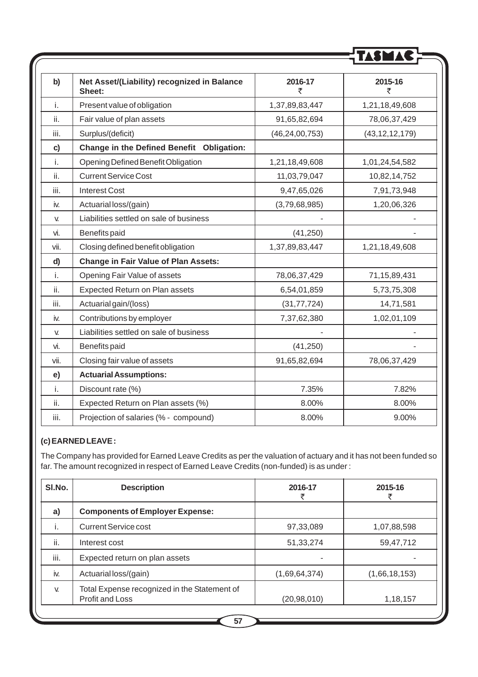|      |                                                       |                   | F <b>ittente</b>  |
|------|-------------------------------------------------------|-------------------|-------------------|
| b)   | Net Asset/(Liability) recognized in Balance<br>Sheet: | 2016-17<br>₹      | 2015-16<br>₹      |
| i.   | Present value of obligation                           | 1,37,89,83,447    | 1,21,18,49,608    |
| ii.  | Fair value of plan assets                             | 91,65,82,694      | 78,06,37,429      |
| iii. | Surplus/(deficit)                                     | (46, 24, 00, 753) | (43, 12, 12, 179) |
| c)   | Change in the Defined Benefit Obligation:             |                   |                   |
| i.   | Opening Defined Benefit Obligation                    | 1,21,18,49,608    | 1,01,24,54,582    |
| ii.  | <b>Current Service Cost</b>                           | 11,03,79,047      | 10,82,14,752      |
| iii. | <b>Interest Cost</b>                                  | 9,47,65,026       | 7,91,73,948       |
| iv.  | Actuarial loss/(gain)                                 | (3,79,68,985)     | 1,20,06,326       |
| V.   | Liabilities settled on sale of business               |                   |                   |
| vi.  | Benefits paid                                         | (41, 250)         |                   |
| vii. | Closing defined benefit obligation                    | 1,37,89,83,447    | 1,21,18,49,608    |
| d)   | <b>Change in Fair Value of Plan Assets:</b>           |                   |                   |
| i.   | Opening Fair Value of assets                          | 78,06,37,429      | 71, 15, 89, 431   |
| ii.  | Expected Return on Plan assets                        | 6,54,01,859       | 5,73,75,308       |
| iii. | Actuarial gain/(loss)                                 | (31, 77, 724)     | 14,71,581         |
| iv.  | Contributions by employer                             | 7,37,62,380       | 1,02,01,109       |
| V.   | Liabilities settled on sale of business               |                   |                   |
| vi.  | Benefits paid                                         | (41, 250)         |                   |
| vii. | Closing fair value of assets                          | 91,65,82,694      | 78,06,37,429      |
| e)   | <b>Actuarial Assumptions:</b>                         |                   |                   |
| i.   | Discount rate (%)                                     | 7.35%             | 7.82%             |
| ii.  | Expected Return on Plan assets (%)                    | 8.00%             | 8.00%             |
| iii. | Projection of salaries (% - compound)                 | 8.00%             | 9.00%             |

### **(c) EARNED LEAVE :**

The Company has provided for Earned Leave Credits as per the valuation of actuary and it has not been funded so far. The amount recognized in respect of Earned Leave Credits (non-funded) is as under :

| SI.No. | <b>Description</b>                                              | 2016-17       | 2015-16       |
|--------|-----------------------------------------------------------------|---------------|---------------|
| a)     | <b>Components of Employer Expense:</b>                          |               |               |
| ь.     | <b>Current Service cost</b>                                     | 97,33,089     | 1,07,88,598   |
| ii.    | Interest cost                                                   | 51,33,274     | 59,47,712     |
| iii.   | Expected return on plan assets                                  |               |               |
| iv.    | Actuarial loss/(gain)                                           | (1,69,64,374) | (1,66,18,153) |
| V.     | Total Expense recognized in the Statement of<br>Profit and Loss | (20, 98, 010) | 1,18,157      |
|        |                                                                 |               |               |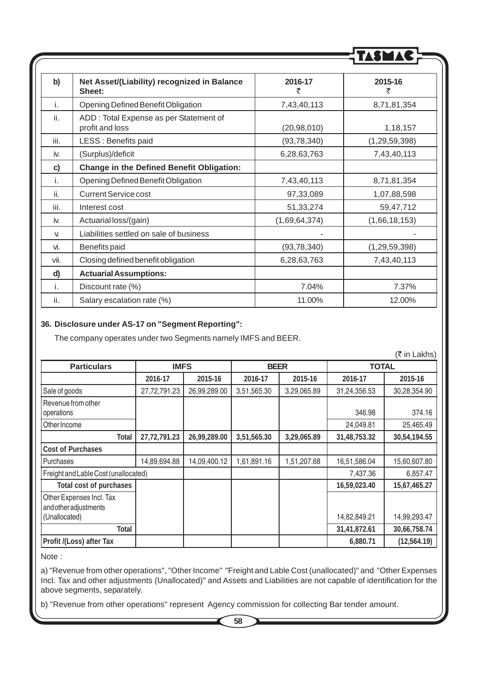|      |                                                           |               | <b>TASMA</b>     |
|------|-----------------------------------------------------------|---------------|------------------|
| b)   | Net Asset/(Liability) recognized in Balance<br>Sheet:     | 2016-17<br>₹  | 2015-16<br>₹     |
| i.   | Opening Defined Benefit Obligation                        | 7,43,40,113   | 8,71,81,354      |
| ii.  | ADD: Total Expense as per Statement of<br>profit and loss | (20, 98, 010) | 1,18,157         |
| iii. | LESS: Benefits paid                                       | (93, 78, 340) | (1, 29, 59, 398) |
| iv.  | (Surplus)/deficit                                         | 6,28,63,763   | 7,43,40,113      |
| c)   | <b>Change in the Defined Benefit Obligation:</b>          |               |                  |
| i.   | Opening Defined Benefit Obligation                        | 7,43,40,113   | 8,71,81,354      |
| ii.  | <b>Current Service cost</b>                               | 97,33,089     | 1,07,88,598      |
| iii. | Interest cost                                             | 51,33,274     | 59,47,712        |
| iv.  | Actuarial loss/(gain)                                     | (1,69,64,374) | (1,66,18,153)    |
| V.   | Liabilities settled on sale of business                   |               |                  |
| vi.  | Benefits paid                                             | (93, 78, 340) | (1, 29, 59, 398) |
| vii. | Closing defined benefit obligation                        | 6,28,63,763   | 7,43,40,113      |
| d)   | <b>Actuarial Assumptions:</b>                             |               |                  |
| Τ.   | Discount rate (%)                                         | 7.04%         | 7.37%            |
| ii.  | Salary escalation rate (%)                                | 11.00%        | 12.00%           |

### **36. Disclosure under AS-17 on "Segment Reporting":**

The company operates under two Segments namely IMFS and BEER.

 $($ ₹ in Lakhs)

| <b>Particulars</b>                                | <b>IMFS</b>  |              | <b>BEER</b> | <b>TOTAL</b> |              |              |  |  |  |  |
|---------------------------------------------------|--------------|--------------|-------------|--------------|--------------|--------------|--|--|--|--|
|                                                   | 2016-17      | 2015-16      | 2016-17     | 2015-16      | 2016-17      | 2015-16      |  |  |  |  |
| Sale of goods                                     | 27,72,791.23 | 26,99,289.00 | 3,51,565.30 | 3,29,065.89  | 31,24,356.53 | 30,28,354.90 |  |  |  |  |
| Revenue from other<br>operations                  |              |              |             |              | 346.98       | 374.16       |  |  |  |  |
| Other Income                                      |              |              |             |              | 24,049.81    | 25,465.49    |  |  |  |  |
| <b>Total</b>                                      | 27,72,791.23 | 26,99,289.00 | 3,51,565.30 | 3,29,065.89  | 31,48,753.32 | 30,54,194.55 |  |  |  |  |
| <b>Cost of Purchases</b>                          |              |              |             |              |              |              |  |  |  |  |
| <b>Purchases</b>                                  | 14,89,694.88 | 14,09,400.12 | 1,61,891.16 | 1,51,207.68  | 16,51,586.04 | 15,60,607.80 |  |  |  |  |
| Freight and Lable Cost (unallocated)              |              |              |             |              | 7,437.36     | 6,857.47     |  |  |  |  |
| <b>Total cost of purchases</b>                    |              |              |             |              | 16,59,023.40 | 15,67,465.27 |  |  |  |  |
| Other Expenses Incl. Tax<br>and other adjustments |              |              |             |              |              |              |  |  |  |  |
| (Unallocated)                                     |              |              |             |              | 14,82,849.21 | 14,99,293.47 |  |  |  |  |
| Total                                             |              |              |             |              | 31,41,872.61 | 30,66,758.74 |  |  |  |  |
| Profit /(Loss) after Tax                          |              |              |             |              | 6,880.71     | (12,564.19)  |  |  |  |  |

Note :

a) "Revenue from other operations", "Other Income" "Freight and Lable Cost (unallocated)" and "Other Expenses Incl. Tax and other adjustments (Unallocated)" and Assets and Liabilities are not capable of identification for the above segments, separately.

b) "Revenue from other operations" represent Agency commission for collecting Bar tender amount.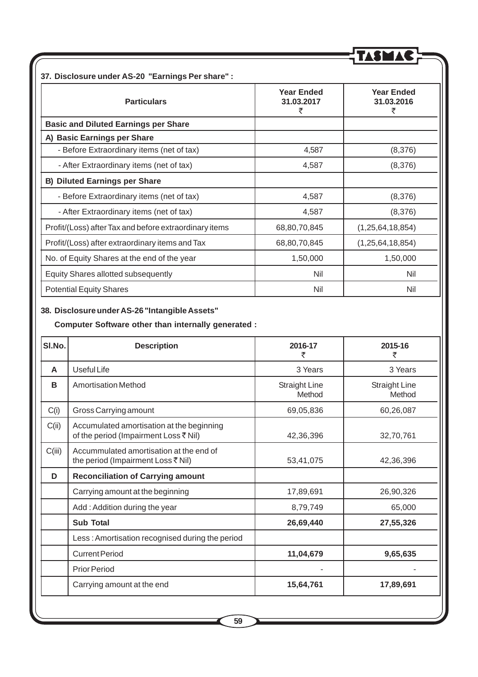| <b>Particulars</b>                                     | <b>Year Ended</b><br>31.03.2017<br>₹ | <b>Year Ended</b><br>31.03.2016<br>₹ |  |  |  |  |
|--------------------------------------------------------|--------------------------------------|--------------------------------------|--|--|--|--|
| <b>Basic and Diluted Earnings per Share</b>            |                                      |                                      |  |  |  |  |
| A) Basic Earnings per Share                            |                                      |                                      |  |  |  |  |
| - Before Extraordinary items (net of tax)              | 4,587                                | (8,376)                              |  |  |  |  |
| - After Extraordinary items (net of tax)               | 4,587                                | (8,376)                              |  |  |  |  |
| <b>B) Diluted Earnings per Share</b>                   |                                      |                                      |  |  |  |  |
| - Before Extraordinary items (net of tax)              | 4,587                                | (8,376)                              |  |  |  |  |
| - After Extraordinary items (net of tax)               | 4,587                                | (8,376)                              |  |  |  |  |
| Profit/(Loss) after Tax and before extraordinary items | 68,80,70,845                         | (1, 25, 64, 18, 854)                 |  |  |  |  |
| Profit/(Loss) after extraordinary items and Tax        | 68,80,70,845                         | (1, 25, 64, 18, 854)                 |  |  |  |  |
| No. of Equity Shares at the end of the year            | 1,50,000                             | 1,50,000                             |  |  |  |  |
| Equity Shares allotted subsequently                    | Nil                                  | Nil                                  |  |  |  |  |
| <b>Potential Equity Shares</b>                         | Nil                                  | Nil                                  |  |  |  |  |

TASMAC-

### **38. Disclosure under AS-26 "Intangible Assets"**

### **Computer Software other than internally generated :**

| SI.No. | <b>Description</b>                                                                 | 2016-17<br>₹                   | 2015-16<br>₹                   |
|--------|------------------------------------------------------------------------------------|--------------------------------|--------------------------------|
| A      | <b>Useful Life</b>                                                                 | 3 Years                        | 3 Years                        |
| B      | <b>Amortisation Method</b>                                                         | <b>Straight Line</b><br>Method | <b>Straight Line</b><br>Method |
| C(i)   | Gross Carrying amount                                                              | 69,05,836                      | 60,26,087                      |
| C(ii)  | Accumulated amortisation at the beginning<br>of the period (Impairment Loss ₹ Nil) | 42,36,396                      | 32,70,761                      |
| C(iii) | Accummulated amortisation at the end of<br>the period (Impairment Loss ₹ Nil)      | 53,41,075                      | 42,36,396                      |
| D      | <b>Reconciliation of Carrying amount</b>                                           |                                |                                |
|        | Carrying amount at the beginning                                                   | 17,89,691                      | 26,90,326                      |
|        | Add: Addition during the year                                                      | 8,79,749                       | 65,000                         |
|        | <b>Sub Total</b>                                                                   | 26,69,440                      | 27,55,326                      |
|        | Less: Amortisation recognised during the period                                    |                                |                                |
|        | <b>Current Period</b>                                                              | 11,04,679                      | 9,65,635                       |
|        | <b>Prior Period</b>                                                                |                                |                                |
|        | Carrying amount at the end                                                         | 15,64,761                      | 17,89,691                      |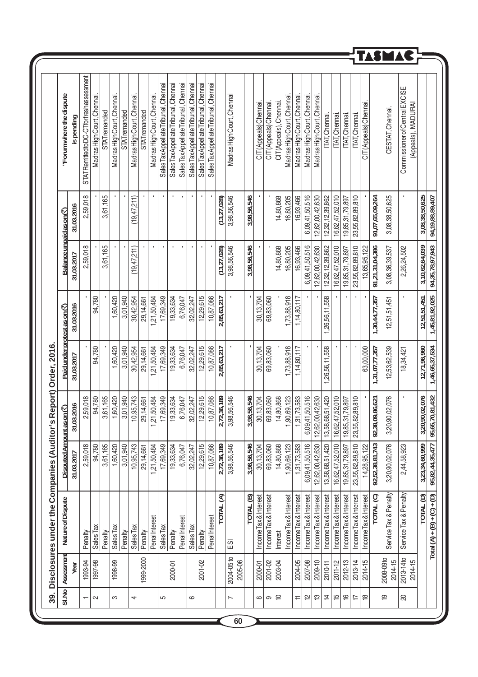| "Forum where the dispute                                           | is pending | STAT Remittedto DC-CT for fresh assessment | Madras High Court, Chennai | <b>STAT</b> remanded | Madras High Court, Chennai. | <b>STAT</b> remanded | Madras High Court, Chennai | <b>STAT</b> remanded | Madras High Court, Chennai. | Sales TaxAppellate Tribunal, Chennai | Sales Tax Appellate Tribunal, Chennai | Sales TaxAppellate Tribunal, Chennai | Sales Tax Appellate Tribunal, Chennai | Sales Tax Appellate Tribunal, Chennai | Sales Tax Appellate Tribunal, Chennai |                         | Madras High Court, Chennai |                 | CIT (Appeals) Chennai | CIT (Appeals) Chennai. | CIT(Appeals), Chennai. | Madras High Court, Chennai | Madras High Court, Chennai | Madras High Court, Chennai | Madras High Court, Chennai | ITAT, Chennai.      | ITAT, Chennai      | ITAT, Chennai              | ITAT, Chennai             | CIT (Appeals) Chennai |                      | CESTAT, Chennai.      | Commissioner of Central EXCISE<br>(Appeals), MADURAI |                      |                               |
|--------------------------------------------------------------------|------------|--------------------------------------------|----------------------------|----------------------|-----------------------------|----------------------|----------------------------|----------------------|-----------------------------|--------------------------------------|---------------------------------------|--------------------------------------|---------------------------------------|---------------------------------------|---------------------------------------|-------------------------|----------------------------|-----------------|-----------------------|------------------------|------------------------|----------------------------|----------------------------|----------------------------|----------------------------|---------------------|--------------------|----------------------------|---------------------------|-----------------------|----------------------|-----------------------|------------------------------------------------------|----------------------|-------------------------------|
|                                                                    | 31.03.2016 | 2,59,018                                   |                            | 3,61,165             |                             |                      | (19, 47, 211)              |                      |                             |                                      |                                       | $\mathbf{I}$                         |                                       |                                       |                                       | (13, 27, 028)           | 3,98,56,546                | 3,98,56,546     |                       |                        | 14,80,868              | 16,80,205                  | 16,93,466                  | 6,09,41,50,516             | 12,62,00,42,630            | 12,32, 12,39,862    | 16,62,47,52,010    | 19,85,31,79,897            | 23,55,82,89,810           |                       | 91,07,65,09,264      | 3,08,38,50,625        |                                                      | 3,08,38,50,625       | 94, 19, 88, 89, 407           |
| Balance unpaid as on (₹)                                           | 31.03.2017 | 2,59,018                                   |                            | 3,61,165             | ٠                           | $\blacksquare$       | (19,47,211)                |                      | $\blacksquare$              | $\blacksquare$                       | $\blacksquare$                        | $\blacksquare$                       | $\blacksquare$                        | $\blacksquare$                        | ×,                                    | (13, 27, 028)           | 3,98,56,546                | 3,98,56,546     |                       |                        | 14,80,868              | 16,80,205                  | 16,93,466                  | 6,09,41,50,516             | 12.62.00.42.630            | 12,32,12,39,862     | 16,62,47,52,010    | 19,85,31,79,897            | 23,55,82,89,810           | 13,65,95,122          | 91,21,31,04,386      | 3,08,36,39,537        | 2,26,24,502                                          | 3,10,62,64,039       | 94,35,78,97,943               |
|                                                                    | 31.03.2016 |                                            | 94,780                     |                      | 1,60,420                    | 3,01,940             | 30,42,954                  | 29,14,661            | ,21,50,484                  | 17,69,349                            | 19,33,634                             | 6,76,047                             | 32,02,247                             | 12,29,615                             | 10,87,086                             | 2,85,63,217             |                            |                 | 30,13,704             | 69,83,060              |                        | 1,73,88,918                | 1,14,80,117                |                            |                            | 1,26,56,11,558      |                    |                            |                           |                       | 1,30,44,77,357       | 12,51,51,451          |                                                      | 12,51,51,451         | 1,45,81,92,025                |
| Paid under protest as on (₹)<br>port) Order, 2016.                 | 31.03.2017 |                                            | 94,780                     |                      | 1,60,420                    | 3,01,940             | 30,42,954                  | 29,14,661            | 21,50,484                   | 17,69,349                            | 19,33,634                             | 6,76,047                             | 32,02,247                             | 12,29,615                             | 10,87,086                             | 2,85,63,217             |                            |                 | 30,13,704             | 69,83,060              |                        | 1,73,88,918                | 1,14,80,117                |                            |                            | 1,26,56,11,558      |                    | ×,                         |                           | 63,00,000             | 1,31,07,77,357       | 12,53,62,539          | 18,34,421                                            | 12,71,96,960         | 1,46,65,37,534                |
|                                                                    | 31.03.2016 | 2,59,018                                   | 94,780                     | 3,61,165             | 1,60,420                    | 3,01,940             | 10,95,743                  | <b>661</b><br>29,14, | 1,21,50,484                 | ,349<br>17,69,                       | 19,33,634                             | 6,76,047                             | 32,02,247                             | ,615<br>12,29,                        | ,086<br>10,87                         | 2,72,36,189             | 3,98,56,546                | 546<br>3,98,56, | 30,13,704             | 69,83,060              | ,868<br>14,80,         | 1,90,69,123                | ,583<br>1,31,73,           | 6,09,41,50,516             | 12,62,00,42,630            | ,420<br>13,58,68,51 | 16,62,47,52,010    | ,897<br>19,85,31,79,       | ,810<br>23,55,82,89       |                       | 621<br>92,38,09,86   | ,076<br>3,20,90,02    |                                                      | 3,20,90,02,076       | ,432<br>95,65,70,81           |
| Disputed Amount as on (₹)                                          | 31.03.2017 | 2,59,018                                   | 94,780                     | 3,61,165             | 1,60,420                    | 3,01,940             | 10,95,743                  | 29,14,661            | 1,21,50,484                 | 17,69,349                            | 19,33,634                             | 6,76,047                             | 32,02,247                             | 12,29,615                             | 10,87,086                             | 2,72,36,189             | 3,98,56,546                | 3,98,56,546     | 30,13,704             | 69,83,060              | 14,80,868              | 1,90,69,123                | 1,31,73,583                | 6,09,41,50,516             | 12,62,00,42,630            | 13,58,68,51,420     | 16,62,47,52,010    | 19,85,31,79,897            | 23,55,82,89,810           | 14,28,95,122          | 92,52,38,81,743      | 3,20,90,02,076        | 2,44,58,923                                          | 3,23,34,60,999       | 95,82,44,35,477               |
| Disclosures under the Companies (Auditor's Re<br>Nature of Dispute |            | Penalty                                    | Sales Tax                  | Penalty              | Sales Tax                   | Penalty              | Sales Tax                  | Penalty              | PenalInterest               | Sales Tax                            | Penalty                               | PenalInterest                        | Sales Tax                             | Penalty                               | <b>PenalInterest</b>                  | $\mathfrak{S}$<br>TOTAL | ES <sub>I</sub>            | TOTAL (B)       | IncomeTax&Interest    | IncomeTax&Interest     | Interest               | IncomeTax&Interest         | IncomeTax&Interest         | IncomeTax&Interest         | IncomeTax&Interest         | IncomeTax&Interest  | IncomeTax&Interest | IncomeTax&Interest         | IncomeTax&Interest        | IncomeTax&Interest    | TOTAL <sup>(C)</sup> | Service Tax & Penalty | Service Tax & Penalty                                | TOTAL <sub>(D)</sub> | Total $(A) + (B) + (C) + (D)$ |
| Assessment                                                         | Year       | 1993-94                                    | 1997-98                    |                      | 1998-99                     |                      |                            | 1999-2000            |                             |                                      | 2000-01                               |                                      |                                       | 2001-02                               |                                       |                         | 2004-05 to<br>2005-06      |                 | 2000-01               | 2001-02                | 2003-04                |                            | 2004-05                    | 2007-08                    | 2009-10                    | 2010-11             | $2011 - 12$        | 2012-13                    | 2013-14                   | 2014-15               | 2008-09to            | 2014-15               | 2013-14to<br>2014-15                                 |                      |                               |
| SI.No<br>39.                                                       |            | $\overline{\phantom{0}}$                   | $\sim$                     |                      | S                           |                      | 4                          |                      |                             | Б                                    |                                       |                                      | $\rm ^{\circ}$                        |                                       |                                       |                         | $\overline{ }$             |                 | $\infty$              | $\circ$                | $\Rightarrow$          |                            | H                          | 으                          | င္း                        | $\overline{4}$      | 台                  | $\widetilde{\mathfrak{S}}$ | $\overline{\overline{a}}$ | $\frac{\infty}{2}$    | စ္                   |                       | ସ                                                    |                      |                               |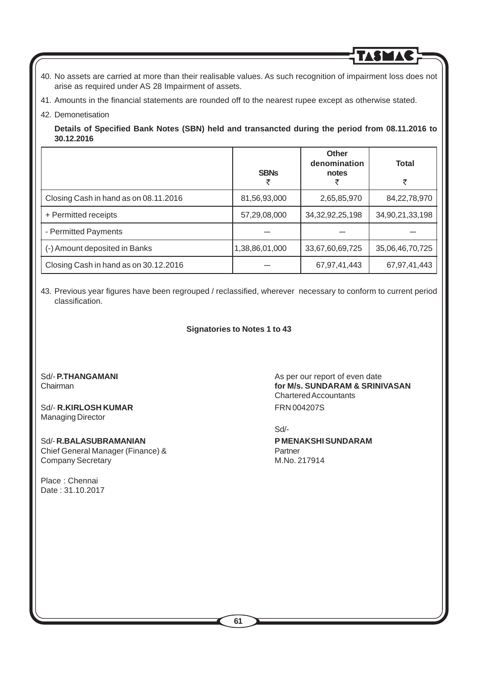40. No assets are carried at more than their realisable values. As such recognition of impairment loss does not arise as required under AS 28 Impairment of assets.

41. Amounts in the financial statements are rounded off to the nearest rupee except as otherwise stated.

#### 42. Demonetisation

**Details of Specified Bank Notes (SBN) held and transancted during the period from 08.11.2016 to 30.12.2016**

|                                       | <b>SBNs</b>    | Other<br>denomination<br>notes<br>₹ | <b>Total</b><br>₹ |
|---------------------------------------|----------------|-------------------------------------|-------------------|
| Closing Cash in hand as on 08.11.2016 | 81,56,93,000   | 2,65,85,970                         | 84,22,78,970      |
| + Permitted receipts                  | 57,29,08,000   | 34, 32, 92, 25, 198                 | 34,90,21,33,198   |
| - Permitted Payments                  |                |                                     |                   |
| (-) Amount deposited in Banks         | 1,38,86,01,000 | 33,67,60,69,725                     | 35,06,46,70,725   |
| Closing Cash in hand as on 30.12.2016 |                | 67,97,41,443                        | 67,97,41,443      |

43. Previous year figures have been regrouped / reclassified, wherever necessary to conform to current period classification.

#### **Signatories to Notes 1 to 43**

#### Sd/- **R.KIRLOSH KUMAR** FRN 004207S Managing Director

## Sd/- **R.BALASUBRAMANIAN P MENAKSHI SUNDARAM**

Chief General Manager (Finance) & Partner Company Secretary **M.No. 217914** 

Place : Chennai Date : 31.10.2017

Sd/- **P.THANGAMANI** As per our report of even date Chairman **for M/s. SUNDARAM & SRINIVASAN** Chartered Accountants

**TASMAC** 

Sd/-